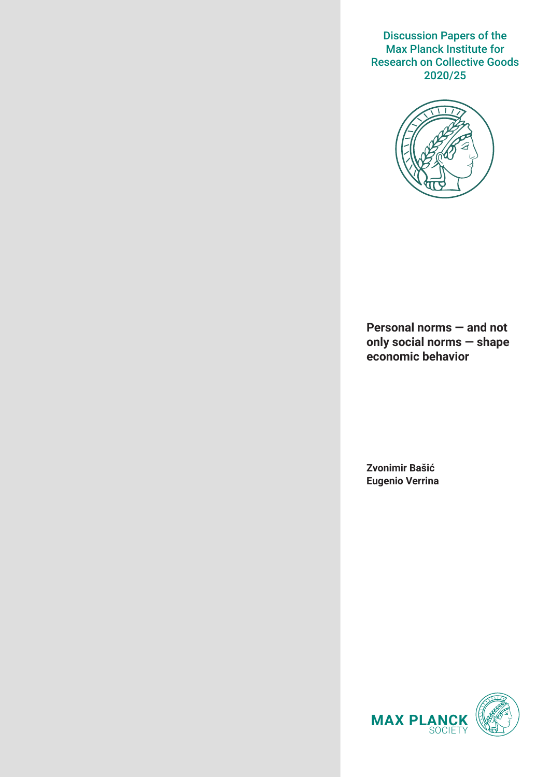Discussion Papers of the Max Planck Institute for Research on Collective Goods 2020/25



**Personal norms — and not only social norms — shape economic behavior**

**Zvonimir Bašić Eugenio Verrina**

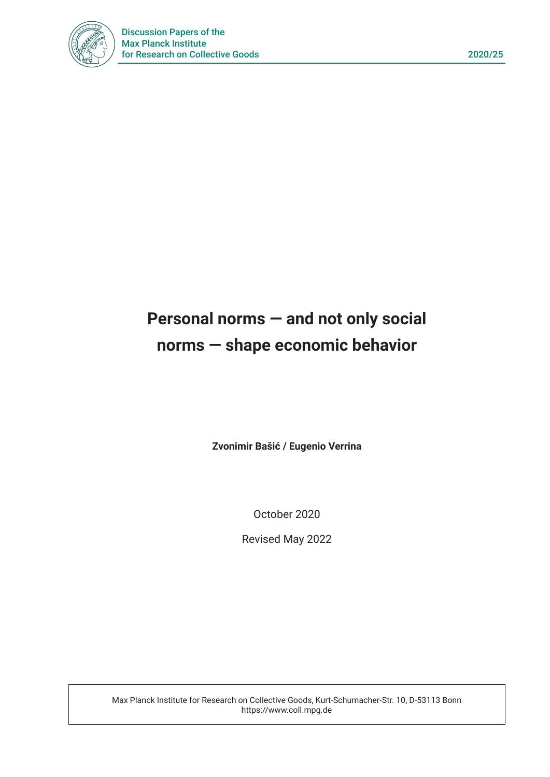

# **Personal norms — and not only social norms — shape economic behavior**

**Zvonimir Bašić / Eugenio Verrina**

October 2020

Revised May 2022

Max Planck Institute for Research on Collective Goods, Kurt-Schumacher-Str. 10, D-53113 Bonn https://www.coll.mpg.de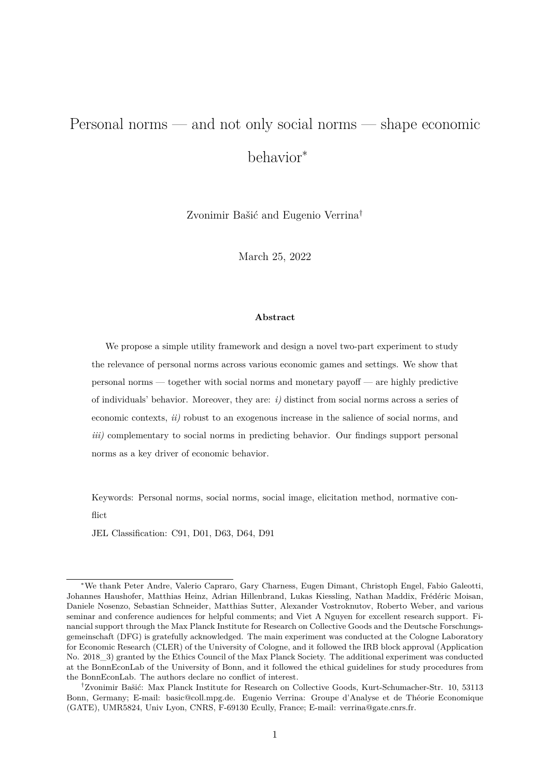## Personal norms — and not only social norms — shape economic behavior<sup>∗</sup>

Zvonimir Bašić and Eugenio Verrina*†*

March 25, 2022

#### **Abstract**

We propose a simple utility framework and design a novel two-part experiment to study the relevance of personal norms across various economic games and settings. We show that personal norms — together with social norms and monetary payoff — are highly predictive of individuals' behavior. Moreover, they are: *i)* distinct from social norms across a series of economic contexts, *ii)* robust to an exogenous increase in the salience of social norms, and *iii)* complementary to social norms in predicting behavior. Our findings support personal norms as a key driver of economic behavior.

Keywords: Personal norms, social norms, social image, elicitation method, normative conflict.

JEL Classification: C91, D01, D63, D64, D91

*<sup>∗</sup>*We thank Peter Andre, Valerio Capraro, Gary Charness, Eugen Dimant, Christoph Engel, Fabio Galeotti, Johannes Haushofer, Matthias Heinz, Adrian Hillenbrand, Lukas Kiessling, Nathan Maddix, Frédéric Moisan, Daniele Nosenzo, Sebastian Schneider, Matthias Sutter, Alexander Vostroknutov, Roberto Weber, and various seminar and conference audiences for helpful comments; and Viet A Nguyen for excellent research support. Financial support through the Max Planck Institute for Research on Collective Goods and the Deutsche Forschungsgemeinschaft (DFG) is gratefully acknowledged. The main experiment was conducted at the Cologne Laboratory for Economic Research (CLER) of the University of Cologne, and it followed the IRB block approval (Application No. 2018<sup>3</sup>) granted by the Ethics Council of the Max Planck Society. The additional experiment was conducted at the BonnEconLab of the University of Bonn, and it followed the ethical guidelines for study procedures from the BonnEconLab. The authors declare no conflict of interest.

*<sup>†</sup>*Zvonimir Bašić: Max Planck Institute for Research on Collective Goods, Kurt-Schumacher-Str. 10, 53113 Bonn, Germany; E-mail: basic@coll.mpg.de. Eugenio Verrina: Groupe d'Analyse et de Théorie Economique (GATE), UMR5824, Univ Lyon, CNRS, F-69130 Ecully, France; E-mail: verrina@gate.cnrs.fr.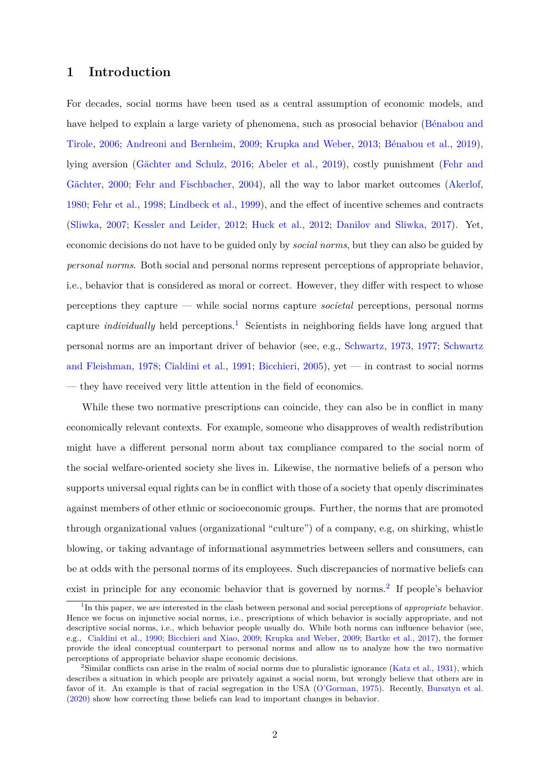## **1 Introduction**

For decades, social norms have been used as a central assumption of economic models, and have helped to explain a large variety of phenomena, such as prosocial behavior ([Bénabou and](#page-36-0) [Tirole,](#page-36-0) [2006](#page-36-0); [Andreoni and Bernheim](#page-35-0), [2009;](#page-35-0) [Krupka and Weber](#page-40-0), [2013](#page-40-0); [Bénabou et al.](#page-36-1), [2019](#page-36-1)), lying aversion ([Gächter and Schulz](#page-39-0), [2016;](#page-39-0) [Abeler et al.](#page-35-1), [2019\)](#page-35-1), costly punishment ([Fehr and](#page-38-0) [Gächter,](#page-38-0) [2000](#page-38-0); [Fehr and Fischbacher,](#page-38-1) [2004](#page-38-1)), all the way to labor market outcomes ([Akerlof](#page-35-2), [1980;](#page-35-2) [Fehr et al.,](#page-39-1) [1998;](#page-39-1) [Lindbeck et al.,](#page-40-1) [1999\)](#page-40-1), and the effect of incentive schemes and contracts [\(Sliwka](#page-41-0), [2007;](#page-41-0) [Kessler and Leider](#page-40-2), [2012;](#page-40-2) [Huck et al.](#page-40-3), [2012;](#page-40-3) [Danilov and Sliwka](#page-38-2), [2017\)](#page-38-2). Yet, economic decisions do not have to be guided only by *social norms*, but they can also be guided by *personal norms*. Both social and personal norms represent perceptions of appropriate behavior, i.e., behavior that is considered as moral or correct. However, they differ with respect to whose perceptions they capture — while social norms capture *societal* perceptions, personal norms capture *individually* held perceptions.1 Scientists in neighboring fields have long argued that personal norms are an important driver of behavior (see, e.g., [Schwartz,](#page-41-1) [1973,](#page-41-1) [1977;](#page-41-2) [Schwartz](#page-41-3) [and Fleishman](#page-41-3), [1978](#page-41-3); [Cialdini et al.](#page-37-0), [1991;](#page-37-0) [Bicchieri](#page-36-2), [2005](#page-36-2)), yet — in contrast to social norms — they have received very little attention in the field of economics.

While these two normative prescriptions can coincide, they can also be in conflict in many economically relevant contexts. For example, someone who disapproves of wealth redistribution might have a different personal norm about tax compliance compared to the social norm of the social welfare-oriented society she lives in. Likewise, the normative beliefs of a person who supports universal equal rights can be in conflict with those of a society that openly discriminates against members of other ethnic or socioeconomic groups. Further, the norms that are promoted through organizational values (organizational "culture") of a company, e.g, on shirking, whistle blowing, or taking advantage of informational asymmetries between sellers and consumers, can be at odds with the personal norms of its employees. Such discrepancies of normative beliefs can exist in principle for any economic behavior that is governed by norms.<sup>2</sup> If people's behavior

<sup>1</sup> In this paper, we are interested in the clash between personal and social perceptions of *appropriate* behavior. Hence we focus on injunctive social norms, i.e., prescriptions of which behavior is socially appropriate, and not descriptive social norms, i.e., which behavior people usually do. While both norms can influence behavior (see, e.g., [Cialdini et al.](#page-38-3), [1990;](#page-38-3) [Bicchieri and Xiao,](#page-37-1) [2009](#page-37-1); [Krupka and Weber](#page-40-4), [2009;](#page-40-4) [Bartke et al.,](#page-36-3) [2017](#page-36-3)), the former provide the ideal conceptual counterpart to personal norms and allow us to analyze how the two normative perceptions of appropriate behavior shape economic decisions.

<sup>&</sup>lt;sup>2</sup>Similar conflicts can arise in the realm of social norms due to pluralistic ignorance ([Katz et al.](#page-40-5), [1931](#page-40-5)), which describes a situation in which people are privately against a social norm, but wrongly believe that others are in favor of it. An example is that of racial segregation in the USA ([O'Gorman](#page-41-4), [1975](#page-41-4)). Recently, [Bursztyn et al.](#page-37-2) ([2020](#page-37-2)) show how correcting these beliefs can lead to important changes in behavior.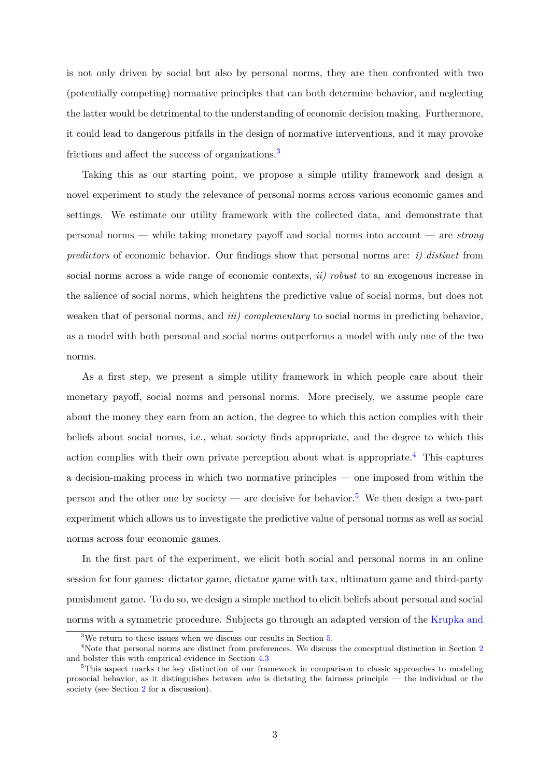is not only driven by social but also by personal norms, they are then confronted with two (potentially competing) normative principles that can both determine behavior, and neglecting the latter would be detrimental to the understanding of economic decision making. Furthermore, it could lead to dangerous pitfalls in the design of normative interventions, and it may provoke frictions and affect the success of organizations.<sup>3</sup>

Taking this as our starting point, we propose a simple utility framework and design a novel experiment to study the relevance of personal norms across various economic games and settings. We estimate our utility framework with the collected data, and demonstrate that personal norms — while taking monetary payoff and social norms into account — are *strong predictors* of economic behavior. Our findings show that personal norms are: *i) distinct* from social norms across a wide range of economic contexts, *ii) robust* to an exogenous increase in the salience of social norms, which heightens the predictive value of social norms, but does not weaken that of personal norms, and *iii) complementary* to social norms in predicting behavior, as a model with both personal and social norms outperforms a model with only one of the two norms.

As a first step, we present a simple utility framework in which people care about their monetary payoff, social norms and personal norms. More precisely, we assume people care about the money they earn from an action, the degree to which this action complies with their beliefs about social norms, i.e., what society finds appropriate, and the degree to which this action complies with their own private perception about what is appropriate.<sup>4</sup> This captures a decision-making process in which two normative principles — one imposed from within the person and the other one by society — are decisive for behavior.<sup>5</sup> We then design a two-part experiment which allows us to investigate the predictive value of personal norms as well as social norms across four economic games.

In the first part of the experiment, we elicit both social and personal norms in an online session for four games: dictator game, dictator game with tax, ultimatum game and third-party punishment game. To do so, we design a simple method to elicit beliefs about personal and social norms with a symmetric procedure. Subjects go through an adapted version of the [Krupka and](#page-40-0)

 $3\text{We return to these issues when we discuss our results in Section 5.}$  $3\text{We return to these issues when we discuss our results in Section 5.}$  $3\text{We return to these issues when we discuss our results in Section 5.}$ 

<sup>&</sup>lt;sup>4</sup>Note that personal norms are distinct from preferences. We discuss the conceptual distinction in Section [2](#page-9-0) and bolster this with empirical evidence in Section [4.3](#page-24-0)

<sup>&</sup>lt;sup>5</sup>This aspect marks the key distinction of our framework in comparison to classic approaches to modeling prosocial behavior, as it distinguishes between *who* is dictating the fairness principle — the individual or the society (see Section [2](#page-9-0) for a discussion).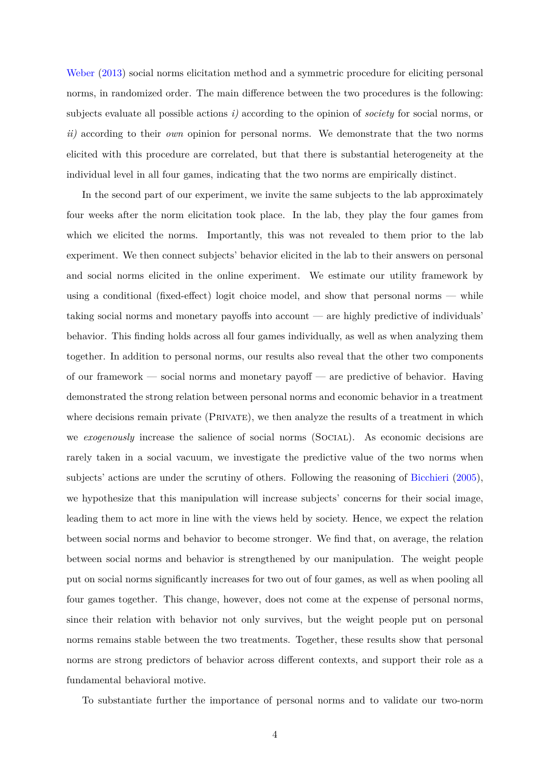Weber  $(2013)$  $(2013)$  social norms elicitation method and a symmetric procedure for eliciting personal norms, in randomized order. The main difference between the two procedures is the following: subjects evaluate all possible actions *i)* according to the opinion of *society* for social norms, or *ii)* according to their *own* opinion for personal norms. We demonstrate that the two norms elicited with this procedure are correlated, but that there is substantial heterogeneity at the individual level in all four games, indicating that the two norms are empirically distinct.

In the second part of our experiment, we invite the same subjects to the lab approximately four weeks after the norm elicitation took place. In the lab, they play the four games from which we elicited the norms. Importantly, this was not revealed to them prior to the lab experiment. We then connect subjects' behavior elicited in the lab to their answers on personal and social norms elicited in the online experiment. We estimate our utility framework by using a conditional (fixed-effect) logit choice model, and show that personal norms — while taking social norms and monetary payoffs into account — are highly predictive of individuals' behavior. This finding holds across all four games individually, as well as when analyzing them together. In addition to personal norms, our results also reveal that the other two components of our framework — social norms and monetary payoff — are predictive of behavior. Having demonstrated the strong relation between personal norms and economic behavior in a treatment where decisions remain private (PRIVATE), we then analyze the results of a treatment in which we *exogenously* increase the salience of social norms (Social). As economic decisions are rarely taken in a social vacuum, we investigate the predictive value of the two norms when subjects' actions are under the scrutiny of others. Following the reasoning of [Bicchieri](#page-36-2) [\(2005](#page-36-2)), we hypothesize that this manipulation will increase subjects' concerns for their social image, leading them to act more in line with the views held by society. Hence, we expect the relation between social norms and behavior to become stronger. We find that, on average, the relation between social norms and behavior is strengthened by our manipulation. The weight people put on social norms significantly increases for two out of four games, as well as when pooling all four games together. This change, however, does not come at the expense of personal norms, since their relation with behavior not only survives, but the weight people put on personal norms remains stable between the two treatments. Together, these results show that personal norms are strong predictors of behavior across different contexts, and support their role as a fundamental behavioral motive.

To substantiate further the importance of personal norms and to validate our two-norm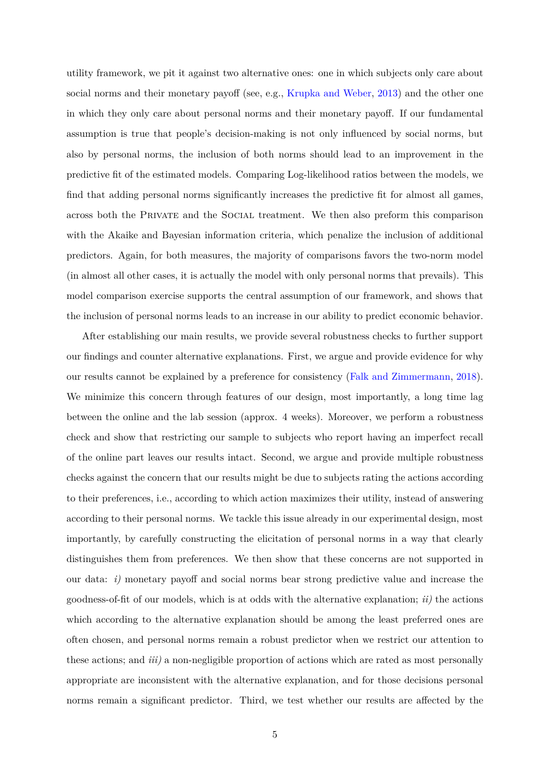utility framework, we pit it against two alternative ones: one in which subjects only care about social norms and their monetary payoff (see, e.g., [Krupka and Weber](#page-40-0), [2013\)](#page-40-0) and the other one in which they only care about personal norms and their monetary payoff. If our fundamental assumption is true that people's decision-making is not only influenced by social norms, but also by personal norms, the inclusion of both norms should lead to an improvement in the predictive fit of the estimated models. Comparing Log-likelihood ratios between the models, we find that adding personal norms significantly increases the predictive fit for almost all games, across both the Private and the Social treatment. We then also preform this comparison with the Akaike and Bayesian information criteria, which penalize the inclusion of additional predictors. Again, for both measures, the majority of comparisons favors the two-norm model (in almost all other cases, it is actually the model with only personal norms that prevails). This model comparison exercise supports the central assumption of our framework, and shows that the inclusion of personal norms leads to an increase in our ability to predict economic behavior.

After establishing our main results, we provide several robustness checks to further support our findings and counter alternative explanations. First, we argue and provide evidence for why our results cannot be explained by a preference for consistency ([Falk and Zimmermann,](#page-38-4) [2018](#page-38-4)). We minimize this concern through features of our design, most importantly, a long time lag between the online and the lab session (approx. 4 weeks). Moreover, we perform a robustness check and show that restricting our sample to subjects who report having an imperfect recall of the online part leaves our results intact. Second, we argue and provide multiple robustness checks against the concern that our results might be due to subjects rating the actions according to their preferences, i.e., according to which action maximizes their utility, instead of answering according to their personal norms. We tackle this issue already in our experimental design, most importantly, by carefully constructing the elicitation of personal norms in a way that clearly distinguishes them from preferences. We then show that these concerns are not supported in our data: *i)* monetary payoff and social norms bear strong predictive value and increase the goodness-of-fit of our models, which is at odds with the alternative explanation; *ii)* the actions which according to the alternative explanation should be among the least preferred ones are often chosen, and personal norms remain a robust predictor when we restrict our attention to these actions; and *iii)* a non-negligible proportion of actions which are rated as most personally appropriate are inconsistent with the alternative explanation, and for those decisions personal norms remain a significant predictor. Third, we test whether our results are affected by the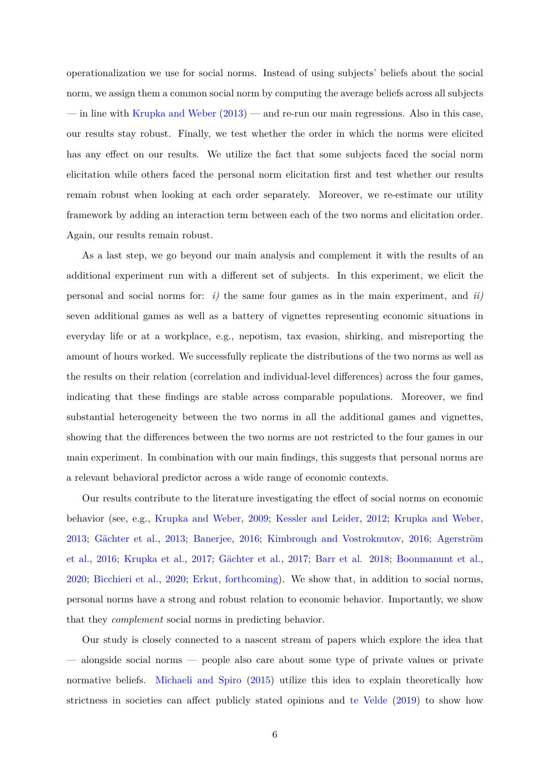operationalization we use for social norms. Instead of using subjects' beliefs about the social norm, we assign them a common social norm by computing the average beliefs across all subjects — in line with [Krupka and Weber](#page-40-0) ([2013](#page-40-0)) — and re-run our main regressions. Also in this case, our results stay robust. Finally, we test whether the order in which the norms were elicited has any effect on our results. We utilize the fact that some subjects faced the social norm elicitation while others faced the personal norm elicitation first and test whether our results remain robust when looking at each order separately. Moreover, we re-estimate our utility framework by adding an interaction term between each of the two norms and elicitation order. Again, our results remain robust.

As a last step, we go beyond our main analysis and complement it with the results of an additional experiment run with a different set of subjects. In this experiment, we elicit the personal and social norms for: *i)* the same four games as in the main experiment, and *ii)* seven additional games as well as a battery of vignettes representing economic situations in everyday life or at a workplace, e.g., nepotism, tax evasion, shirking, and misreporting the amount of hours worked. We successfully replicate the distributions of the two norms as well as the results on their relation (correlation and individual-level differences) across the four games, indicating that these findings are stable across comparable populations. Moreover, we find substantial heterogeneity between the two norms in all the additional games and vignettes, showing that the differences between the two norms are not restricted to the four games in our main experiment. In combination with our main findings, this suggests that personal norms are a relevant behavioral predictor across a wide range of economic contexts.

Our results contribute to the literature investigating the effect of social norms on economic behavior (see, e.g., [Krupka and Weber](#page-40-4), 2009; [Kessler and Leider](#page-40-2), 2012; [Krupka and Weber](#page-40-0), 2013; [Gächter et al.,](#page-39-2) 2013; [Banerjee,](#page-36-4) 2016; [Kimbrough and Vostroknutov](#page-40-6), 2016; [Agerström](#page-35-3) [et al.](#page-35-3), 2016; [Krupka et al.,](#page-40-7) 2017; [Gächter et al.](#page-39-3), 2017; [Barr et al.](#page-36-5) 2018; [Boonmanunt et al.](#page-37-3), 2020; [Bicchieri et al.,](#page-36-6) 2020; [Erkut](#page-38-5), forthcoming). We show that, in addition to social norms, personal norms have a strong and robust relation to economic behavior. Importantly, we show that they *complement* social norms in predicting behavior.

Our study is closely connected to a nascent stream of papers which explore the idea that — alongside social norms — people also care about some type of private values or private normative beliefs. [Michaeli and Spiro](#page-41-5) [\(2015\)](#page-41-5) utilize this idea to explain theoretically how strictness in societies can affect publicly stated opinions and [te Velde](#page-41-6) [\(2019\)](#page-41-6) to show how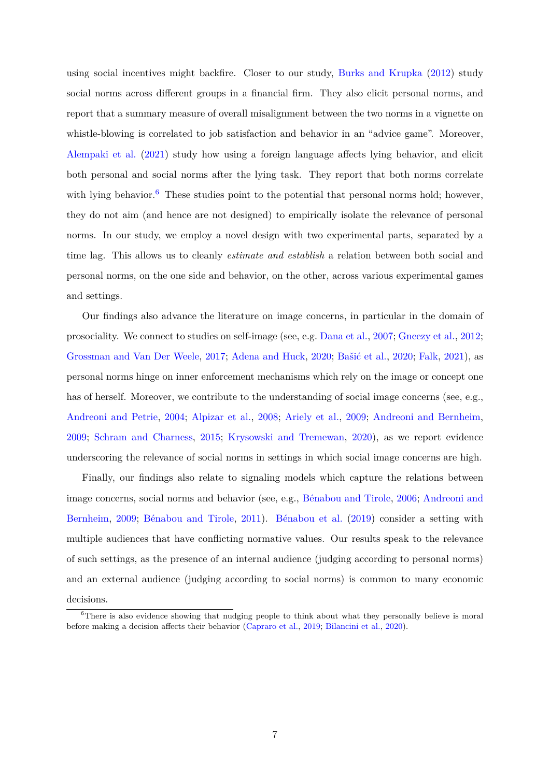using social incentives might backfire. Closer to our study, [Burks and Krupka](#page-37-4) [\(2012\)](#page-37-4) study social norms across different groups in a financial firm. They also elicit personal norms, and report that a summary measure of overall misalignment between the two norms in a vignette on whistle-blowing is correlated to job satisfaction and behavior in an "advice game". Moreover, [Alempaki et al.](#page-35-4) ([2021](#page-35-4)) study how using a foreign language affects lying behavior, and elicit both personal and social norms after the lying task. They report that both norms correlate with lying behavior.<sup>6</sup> These studies point to the potential that personal norms hold; however, they do not aim (and hence are not designed) to empirically isolate the relevance of personal norms. In our study, we employ a novel design with two experimental parts, separated by a time lag. This allows us to cleanly *estimate and establish* a relation between both social and personal norms, on the one side and behavior, on the other, across various experimental games and settings.

Our findings also advance the literature on image concerns, in particular in the domain of prosociality. We connect to studies on self-image (see, e.g. [Dana et al.,](#page-38-6) [2007;](#page-38-6) [Gneezy et al.,](#page-39-4) [2012](#page-39-4); [Grossman and Van Der Weele,](#page-39-5) [2017](#page-39-5); [Adena and Huck](#page-35-5), [2020;](#page-35-5) [Bašić et al.,](#page-36-7) [2020](#page-36-7); [Falk](#page-38-7), [2021\)](#page-38-7), as personal norms hinge on inner enforcement mechanisms which rely on the image or concept one has of herself. Moreover, we contribute to the understanding of social image concerns (see, e.g., [Andreoni and Petrie,](#page-35-6) [2004](#page-35-6); [Alpizar et al.,](#page-35-7) [2008](#page-35-7); [Ariely et al.](#page-35-8), [2009](#page-35-8); [Andreoni and Bernheim](#page-35-0), [2009;](#page-35-0) [Schram and Charness,](#page-41-7) [2015;](#page-41-7) [Krysowski and Tremewan,](#page-40-8) [2020\)](#page-40-8), as we report evidence underscoring the relevance of social norms in settings in which social image concerns are high.

Finally, our findings also relate to signaling models which capture the relations between image concerns, social norms and behavior (see, e.g., [Bénabou and Tirole,](#page-36-0) [2006](#page-36-0); [Andreoni and](#page-35-0) [Bernheim,](#page-35-0) [2009;](#page-35-0) [Bénabou and Tirole](#page-36-8), [2011\)](#page-36-8). [Bénabou et al.](#page-36-1) [\(2019\)](#page-36-1) consider a setting with multiple audiences that have conflicting normative values. Our results speak to the relevance of such settings, as the presence of an internal audience (judging according to personal norms) and an external audience (judging according to social norms) is common to many economic decisions.

<sup>&</sup>lt;sup>6</sup>There is also evidence showing that nudging people to think about what they personally believe is moral before making a decision affects their behavior [\(Capraro et al.,](#page-37-5) [2019;](#page-37-5) [Bilancini et al.,](#page-37-6) [2020\)](#page-37-6).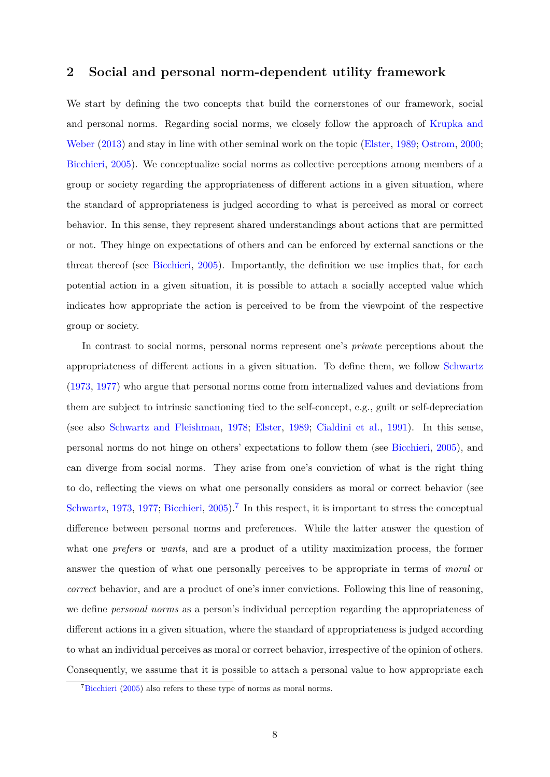## <span id="page-9-0"></span>**2 Social and personal norm-dependent utility framework**

We start by defining the two concepts that build the cornerstones of our framework, social and personal norms. Regarding social norms, we closely follow the approach of [Krupka and](#page-40-0) [Weber](#page-40-0) ([2013\)](#page-40-0) and stay in line with other seminal work on the topic ([Elster,](#page-38-8) [1989;](#page-38-8) [Ostrom](#page-41-8), [2000](#page-41-8); [Bicchieri](#page-36-2), [2005](#page-36-2)). We conceptualize social norms as collective perceptions among members of a group or society regarding the appropriateness of different actions in a given situation, where the standard of appropriateness is judged according to what is perceived as moral or correct behavior. In this sense, they represent shared understandings about actions that are permitted or not. They hinge on expectations of others and can be enforced by external sanctions or the threat thereof (see [Bicchieri,](#page-36-2) [2005](#page-36-2)). Importantly, the definition we use implies that, for each potential action in a given situation, it is possible to attach a socially accepted value which indicates how appropriate the action is perceived to be from the viewpoint of the respective group or society.

In contrast to social norms, personal norms represent one's *private* perceptions about the appropriateness of different actions in a given situation. To define them, we follow [Schwartz](#page-41-1) [\(1973](#page-41-1), [1977](#page-41-2)) who argue that personal norms come from internalized values and deviations from them are subject to intrinsic sanctioning tied to the self-concept, e.g., guilt or self-depreciation (see also [Schwartz and Fleishman](#page-41-3), [1978](#page-41-3); [Elster,](#page-38-8) [1989;](#page-38-8) [Cialdini et al.](#page-37-0), [1991](#page-37-0)). In this sense, personal norms do not hinge on others' expectations to follow them (see [Bicchieri,](#page-36-2) [2005](#page-36-2)), and can diverge from social norms. They arise from one's conviction of what is the right thing to do, reflecting the views on what one personally considers as moral or correct behavior (see [Schwartz,](#page-41-1) [1973,](#page-41-1) [1977](#page-41-2); [Bicchieri,](#page-36-2) [2005](#page-36-2)).<sup>7</sup> In this respect, it is important to stress the conceptual difference between personal norms and preferences. While the latter answer the question of what one *prefers* or *wants*, and are a product of a utility maximization process, the former answer the question of what one personally perceives to be appropriate in terms of *moral* or *correct* behavior, and are a product of one's inner convictions. Following this line of reasoning, we define *personal norms* as a person's individual perception regarding the appropriateness of different actions in a given situation, where the standard of appropriateness is judged according to what an individual perceives as moral or correct behavior, irrespective of the opinion of others. Consequently, we assume that it is possible to attach a personal value to how appropriate each

 ${}^{7}$ [Bicchieri](#page-36-2) [\(2005\)](#page-36-2) also refers to these type of norms as moral norms.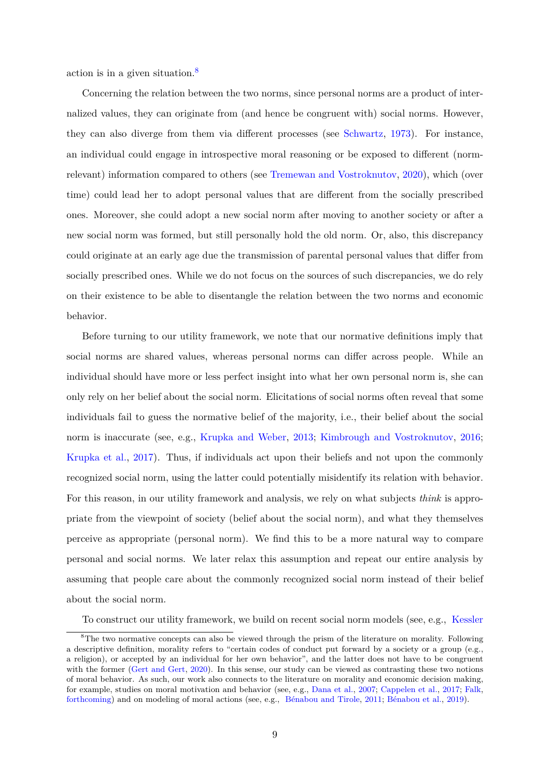action is in a given situation.8

Concerning the relation between the two norms, since personal norms are a product of internalized values, they can originate from (and hence be congruent with) social norms. However, they can also diverge from them via different processes (see [Schwartz,](#page-41-1) [1973\)](#page-41-1). For instance, an individual could engage in introspective moral reasoning or be exposed to different (normrelevant) information compared to others (see [Tremewan and Vostroknutov,](#page-42-0) [2020\)](#page-42-0), which (over time) could lead her to adopt personal values that are different from the socially prescribed ones. Moreover, she could adopt a new social norm after moving to another society or after a new social norm was formed, but still personally hold the old norm. Or, also, this discrepancy could originate at an early age due the transmission of parental personal values that differ from socially prescribed ones. While we do not focus on the sources of such discrepancies, we do rely on their existence to be able to disentangle the relation between the two norms and economic behavior.

Before turning to our utility framework, we note that our normative definitions imply that social norms are shared values, whereas personal norms can differ across people. While an individual should have more or less perfect insight into what her own personal norm is, she can only rely on her belief about the social norm. Elicitations of social norms often reveal that some individuals fail to guess the normative belief of the majority, i.e., their belief about the social norm is inaccurate (see, e.g., [Krupka and Weber](#page-40-0), [2013](#page-40-0); [Kimbrough and Vostroknutov,](#page-40-6) [2016](#page-40-6); [Krupka et al.](#page-40-7), [2017](#page-40-7)). Thus, if individuals act upon their beliefs and not upon the commonly recognized social norm, using the latter could potentially misidentify its relation with behavior. For this reason, in our utility framework and analysis, we rely on what subjects *think* is appropriate from the viewpoint of society (belief about the social norm), and what they themselves perceive as appropriate (personal norm). We find this to be a more natural way to compare personal and social norms. We later relax this assumption and repeat our entire analysis by assuming that people care about the commonly recognized social norm instead of their belief about the social norm.

To construct our utility framework, we build on recent social norm models (see, e.g., [Kessler](#page-40-2)

<sup>8</sup>[The two normative concepts can also be viewed through the prism of the literature on morality. Following](#page-40-2) [a descriptive definition, morality refers to "certain codes of conduct put forward by a society or a group \(e.g.,](#page-40-2) [a religion\), or accepted by an individual for her own behavior", and the latter does not have to be congruent](#page-40-2) [with the former \(Gert and Gert,](#page-40-2) [2020\)](#page-39-6). In this sense, our study can be viewed as contrasting these two notions of moral behavior. As such, our work also connects to the literature on morality and economic decision making, for example, studies on moral motivation and behavior (see, e.g., [Dana et al.](#page-38-6), 2007; [Cappelen et al.,](#page-37-7) 2017; [Falk,](#page-38-7) forthcoming) and on modeling of moral actions (see, e.g., [Bénabou and Tirole](#page-36-8), [2011;](#page-36-8) [Bénabou et al.](#page-36-1), [2019](#page-36-1)).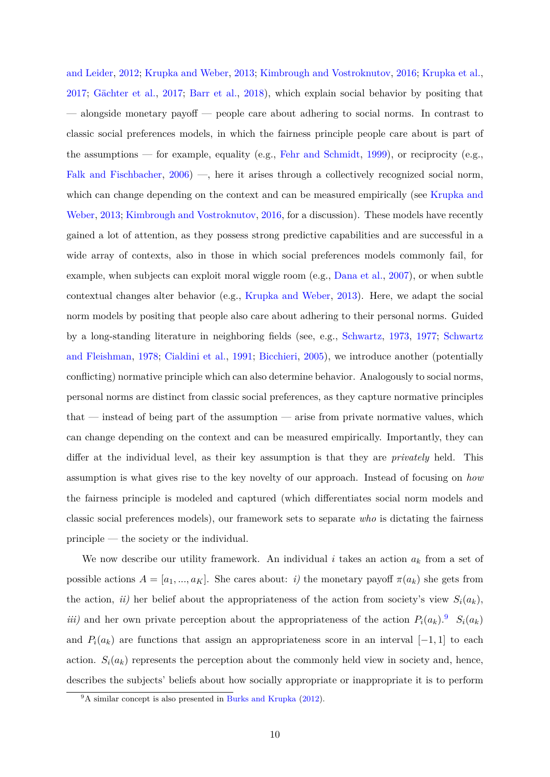and Leider, [2012;](#page-40-2) [Krupka and Weber](#page-40-0), [2013](#page-40-0); [Kimbrough and Vostroknutov,](#page-40-6) [2016](#page-40-6); [Krupka et al.](#page-40-7), [2017;](#page-40-7) [Gächter et al.,](#page-39-3) [2017;](#page-39-3) [Barr et al.,](#page-36-5) [2018\)](#page-36-5), which explain social behavior by positing that — alongside monetary payoff — people care about adhering to social norms. In contrast to classic social preferences models, in which the fairness principle people care about is part of the assumptions — for example, equality (e.g., [Fehr and Schmidt,](#page-39-7) [1999\)](#page-39-7), or reciprocity (e.g., [Falk and Fischbacher](#page-38-9),  $2006$ ) —, here it arises through a collectively recognized social norm, which can change depending on the context and can be measured empirically (see [Krupka and](#page-40-0) [Weber,](#page-40-0) [2013](#page-40-0); [Kimbrough and Vostroknutov](#page-40-6), [2016,](#page-40-6) for a discussion). These models have recently gained a lot of attention, as they possess strong predictive capabilities and are successful in a wide array of contexts, also in those in which social preferences models commonly fail, for example, when subjects can exploit moral wiggle room (e.g., [Dana et al.](#page-38-6), [2007\)](#page-38-6), or when subtle contextual changes alter behavior (e.g., [Krupka and Weber,](#page-40-0) [2013\)](#page-40-0). Here, we adapt the social norm models by positing that people also care about adhering to their personal norms. Guided by a long-standing literature in neighboring fields (see, e.g., [Schwartz](#page-41-1), [1973](#page-41-1), [1977;](#page-41-2) [Schwartz](#page-41-3) [and Fleishman,](#page-41-3) [1978](#page-41-3); [Cialdini et al.,](#page-37-0) [1991](#page-37-0); [Bicchieri,](#page-36-2) [2005\)](#page-36-2), we introduce another (potentially conflicting) normative principle which can also determine behavior. Analogously to social norms, personal norms are distinct from classic social preferences, as they capture normative principles that — instead of being part of the assumption — arise from private normative values, which can change depending on the context and can be measured empirically. Importantly, they can differ at the individual level, as their key assumption is that they are *privately* held. This assumption is what gives rise to the key novelty of our approach. Instead of focusing on *how* the fairness principle is modeled and captured (which differentiates social norm models and classic social preferences models), our framework sets to separate *who* is dictating the fairness principle — the society or the individual.

We now describe our utility framework. An individual *i* takes an action *a<sup>k</sup>* from a set of possible actions  $A = [a_1, ..., a_K]$ . She cares about: *i*) the monetary payoff  $\pi(a_k)$  she gets from the action, *ii*) her belief about the appropriateness of the action from society's view  $S_i(a_k)$ , *iii*) and her own private perception about the appropriateness of the action  $P_i(a_k)$ .  $S_i(a_k)$ and  $P_i(a_k)$  are functions that assign an appropriateness score in an interval [−1, 1] to each action.  $S_i(a_k)$  represents the perception about the commonly held view in society and, hence, describes the subjects' beliefs about how socially appropriate or inappropriate it is to perform

 $9^9$ A similar concept is also presented in [Burks and Krupka](#page-37-4) [\(2012\)](#page-37-4).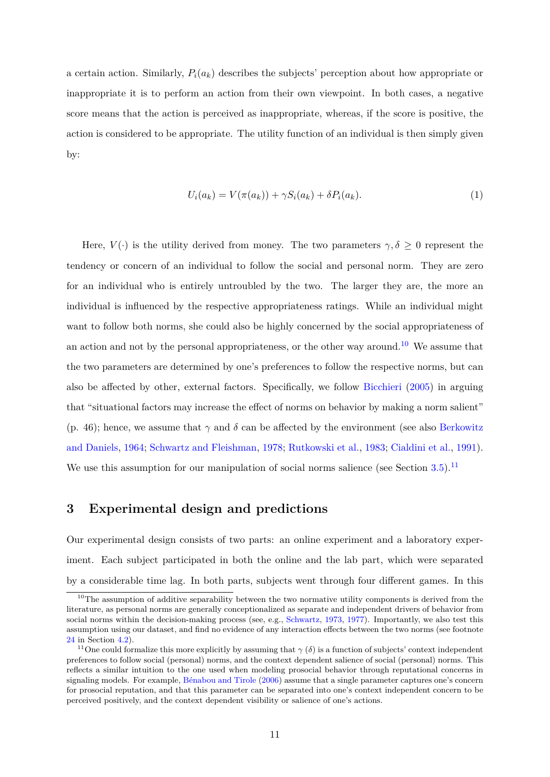a certain action. Similarly,  $P_i(a_k)$  describes the subjects' perception about how appropriate or inappropriate it is to perform an action from their own viewpoint. In both cases, a negative score means that the action is perceived as inappropriate, whereas, if the score is positive, the action is considered to be appropriate. The utility function of an individual is then simply given by:

<span id="page-12-0"></span>
$$
U_i(a_k) = V(\pi(a_k)) + \gamma S_i(a_k) + \delta P_i(a_k). \tag{1}
$$

Here,  $V(\cdot)$  is the utility derived from money. The two parameters  $\gamma, \delta \geq 0$  represent the tendency or concern of an individual to follow the social and personal norm. They are zero for an individual who is entirely untroubled by the two. The larger they are, the more an individual is influenced by the respective appropriateness ratings. While an individual might want to follow both norms, she could also be highly concerned by the social appropriateness of an action and not by the personal appropriateness, or the other way around.<sup>10</sup> We assume that the two parameters are determined by one's preferences to follow the respective norms, but can also be affected by other, external factors. Specifically, we follow [Bicchieri](#page-36-2) ([2005](#page-36-2)) in arguing that "situational factors may increase the effect of norms on behavior by making a norm salient" (p. 46); hence, we assume that  $\gamma$  and  $\delta$  can be affected by the environment (see also [Berkowitz](#page-36-9) [and Daniels,](#page-36-9) [1964;](#page-36-9) [Schwartz and Fleishman,](#page-41-3) [1978](#page-41-3); [Rutkowski et al.,](#page-41-9) [1983](#page-41-9); [Cialdini et al.,](#page-37-0) [1991](#page-37-0)). We use this assumption for our manipulation of social norms salience (see Section  $3.5$ ).<sup>11</sup>

## **3 Experimental design and predictions**

Our experimental design consists of two parts: an online experiment and a laboratory experiment. Each subject participated in both the online and the lab part, which were separated by a considerable time lag. In both parts, subjects went through four different games. In this

 $10$ The assumption of additive separability between the two normative utility components is derived from the literature, as personal norms are generally conceptionalized as separate and independent drivers of behavior from social norms within the decision-making process (see, e.g., [Schwartz](#page-41-1), [1973](#page-41-1), [1977](#page-41-2)). Importantly, we also test this assumption using our dataset, and find no evidence of any interaction effects between the two norms (see footnote [24](#page-23-0) in Section [4.2](#page-21-0)).

<sup>&</sup>lt;sup>11</sup>One could formalize this more explicitly by assuming that  $\gamma(\delta)$  is a function of subjects' context independent preferences to follow social (personal) norms, and the context dependent salience of social (personal) norms. This reflects a similar intuition to the one used when modeling prosocial behavior through reputational concerns in signaling models. For example, [Bénabou and Tirole](#page-36-0) [\(2006\)](#page-36-0) assume that a single parameter captures one's concern for prosocial reputation, and that this parameter can be separated into one's context independent concern to be perceived positively, and the context dependent visibility or salience of one's actions.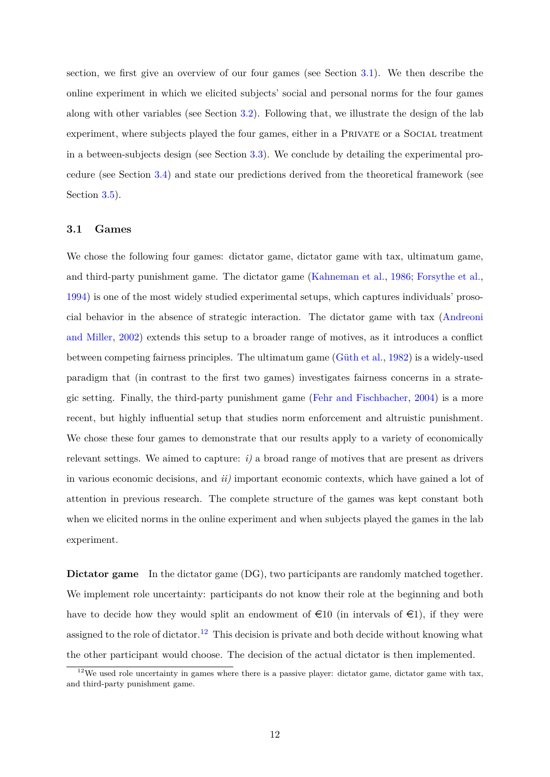section, we first give an overview of our four games (see Section [3.1\)](#page-13-0). We then describe the online experiment in which we elicited subjects' social and personal norms for the four games along with other variables (see Section [3.2](#page-15-0)). Following that, we illustrate the design of the lab experiment, where subjects played the four games, either in a PRIVATE or a SOCIAL treatment in a between-subjects design (see Section [3.3\)](#page-16-0). We conclude by detailing the experimental procedure (see Section [3.4](#page-17-1)) and state our predictions derived from the theoretical framework (see Section [3.5](#page-17-0)).

#### <span id="page-13-0"></span>**3.1 Games**

We chose the following four games: dictator game, dictator game with tax, ultimatum game, and third-party punishment game. The dictator game [\(Kahneman et al.](#page-40-9), [1986;](#page-40-9) [Forsythe et al.](#page-39-8), [1994\)](#page-39-8) is one of the most widely studied experimental setups, which captures individuals' prosocial behavior in the absence of strategic interaction. The dictator game with tax ([Andreoni](#page-35-9) [and Miller,](#page-35-9) [2002\)](#page-35-9) extends this setup to a broader range of motives, as it introduces a conflict between competing fairness principles. The ultimatum game ([Güth et al.,](#page-39-9) [1982](#page-39-9)) is a widely-used paradigm that (in contrast to the first two games) investigates fairness concerns in a strategic setting. Finally, the third-party punishment game ([Fehr and Fischbacher,](#page-38-1) [2004\)](#page-38-1) is a more recent, but highly influential setup that studies norm enforcement and altruistic punishment. We chose these four games to demonstrate that our results apply to a variety of economically relevant settings. We aimed to capture:  $i$ ) a broad range of motives that are present as drivers in various economic decisions, and *ii)* important economic contexts, which have gained a lot of attention in previous research. The complete structure of the games was kept constant both when we elicited norms in the online experiment and when subjects played the games in the lab experiment.

**Dictator game** In the dictator game (DG), two participants are randomly matched together. We implement role uncertainty: participants do not know their role at the beginning and both have to decide how they would split an endowment of  $\infty$  (in intervals of  $\infty$ ), if they were assigned to the role of dictator.<sup>12</sup> This decision is private and both decide without knowing what the other participant would choose. The decision of the actual dictator is then implemented.

 $12$ We used role uncertainty in games where there is a passive player: dictator game, dictator game with tax, and third-party punishment game.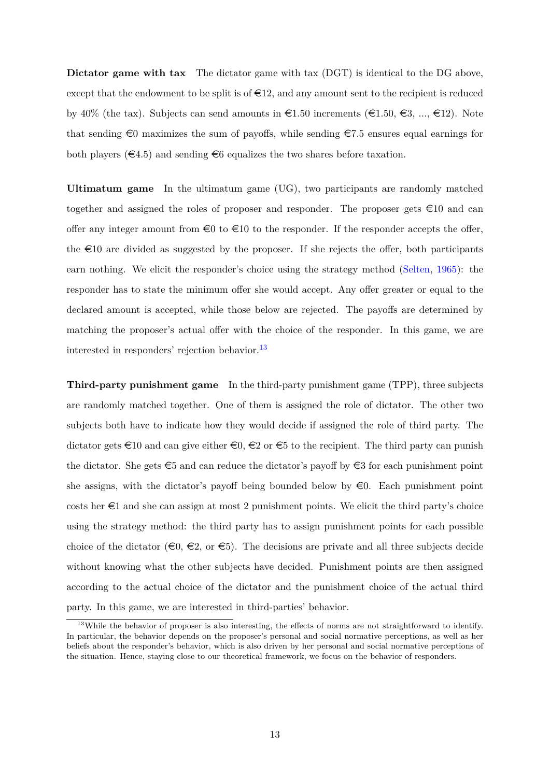**Dictator game with tax** The dictator game with tax (DGT) is identical to the DG above, except that the endowment to be split is of  $\in 12$ , and any amount sent to the recipient is reduced by 40% (the tax). Subjects can send amounts in  $\epsilon$ 1.50 increments ( $\epsilon$ 1.50,  $\epsilon$ 3, ...,  $\epsilon$ 12). Note that sending  $\epsilon$ 0 maximizes the sum of payoffs, while sending  $\epsilon$ 7.5 ensures equal earnings for both players  $(\epsilon 4.5)$  and sending  $\epsilon 6$  equalizes the two shares before taxation.

**Ultimatum game** In the ultimatum game (UG), two participants are randomly matched together and assigned the roles of proposer and responder. The proposer gets  $\in 10$  and can offer any integer amount from  $\epsilon_0$  to  $\epsilon_1$  to the responder. If the responder accepts the offer, the  $\epsilon$ 10 are divided as suggested by the proposer. If she rejects the offer, both participants earn nothing. We elicit the responder's choice using the strategy method [\(Selten,](#page-41-10) [1965\)](#page-41-10): the responder has to state the minimum offer she would accept. Any offer greater or equal to the declared amount is accepted, while those below are rejected. The payoffs are determined by matching the proposer's actual offer with the choice of the responder. In this game, we are interested in responders' rejection behavior.13

**Third-party punishment game** In the third-party punishment game (TPP), three subjects are randomly matched together. One of them is assigned the role of dictator. The other two subjects both have to indicate how they would decide if assigned the role of third party. The dictator gets  $\epsilon$ 10 and can give either  $\epsilon$ 0,  $\epsilon$ 2 or  $\epsilon$ 5 to the recipient. The third party can punish the dictator. She gets  $\epsilon$ 5 and can reduce the dictator's payoff by  $\epsilon$ 3 for each punishment point she assigns, with the dictator's payoff being bounded below by  $\epsilon$ 0. Each punishment point costs her  $\epsilon_1$  and she can assign at most 2 punishment points. We elicit the third party's choice using the strategy method: the third party has to assign punishment points for each possible choice of the dictator ( $\epsilon$ 0,  $\epsilon$ 2, or  $\epsilon$ 5). The decisions are private and all three subjects decide without knowing what the other subjects have decided. Punishment points are then assigned according to the actual choice of the dictator and the punishment choice of the actual third party. In this game, we are interested in third-parties' behavior.

<sup>&</sup>lt;sup>13</sup>While the behavior of proposer is also interesting, the effects of norms are not straightforward to identify. In particular, the behavior depends on the proposer's personal and social normative perceptions, as well as her beliefs about the responder's behavior, which is also driven by her personal and social normative perceptions of the situation. Hence, staying close to our theoretical framework, we focus on the behavior of responders.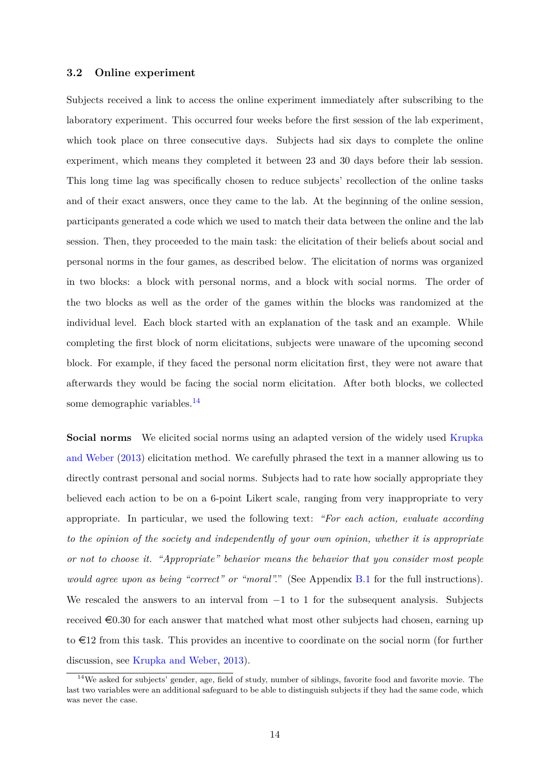#### <span id="page-15-0"></span>**3.2 Online experiment**

Subjects received a link to access the online experiment immediately after subscribing to the laboratory experiment. This occurred four weeks before the first session of the lab experiment, which took place on three consecutive days. Subjects had six days to complete the online experiment, which means they completed it between 23 and 30 days before their lab session. This long time lag was specifically chosen to reduce subjects' recollection of the online tasks and of their exact answers, once they came to the lab. At the beginning of the online session, participants generated a code which we used to match their data between the online and the lab session. Then, they proceeded to the main task: the elicitation of their beliefs about social and personal norms in the four games, as described below. The elicitation of norms was organized in two blocks: a block with personal norms, and a block with social norms. The order of the two blocks as well as the order of the games within the blocks was randomized at the individual level. Each block started with an explanation of the task and an example. While completing the first block of norm elicitations, subjects were unaware of the upcoming second block. For example, if they faced the personal norm elicitation first, they were not aware that afterwards they would be facing the social norm elicitation. After both blocks, we collected some demographic variables.<sup>14</sup>

**Social norms** We elicited social norms using an adapted version of the widely used [Krupka](#page-40-0) [and Weber](#page-40-0) ([2013\)](#page-40-0) elicitation method. We carefully phrased the text in a manner allowing us to directly contrast personal and social norms. Subjects had to rate how socially appropriate they believed each action to be on a 6-point Likert scale, ranging from very inappropriate to very appropriate. In particular, we used the following text: *"For each action, evaluate according to the opinion of the society and independently of your own opinion, whether it is appropriate or not to choose it. "Appropriate" behavior means the behavior that you consider most people would agree upon as being "correct" or "moral".*" (See Appendix [B.1](#page-58-0) for the full instructions). We rescaled the answers to an interval from  $-1$  to 1 for the subsequent analysis. Subjects received  $\epsilon$ 0.30 for each answer that matched what most other subjects had chosen, earning up to  $\epsilon$ 12 from this task. This provides an incentive to coordinate on the social norm (for further discussion, see [Krupka and Weber](#page-40-0), [2013\)](#page-40-0).

<sup>&</sup>lt;sup>14</sup>We asked for subjects' gender, age, field of study, number of siblings, favorite food and favorite movie. The last two variables were an additional safeguard to be able to distinguish subjects if they had the same code, which was never the case.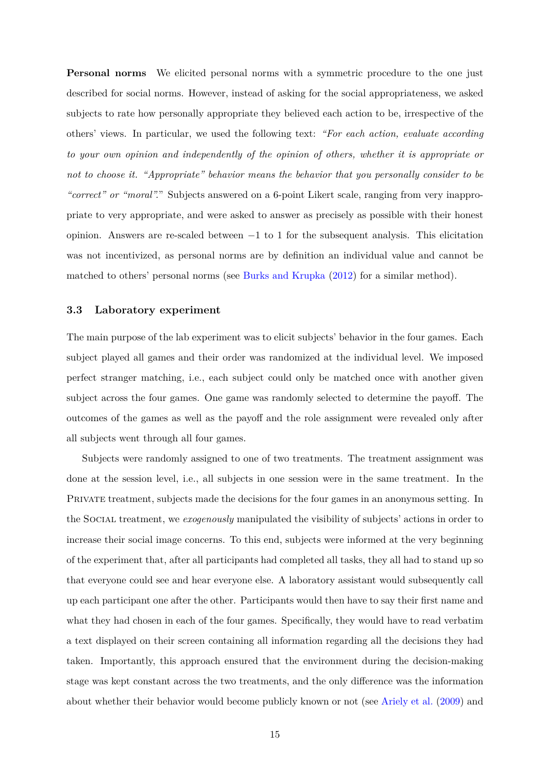**Personal norms** We elicited personal norms with a symmetric procedure to the one just described for social norms. However, instead of asking for the social appropriateness, we asked subjects to rate how personally appropriate they believed each action to be, irrespective of the others' views. In particular, we used the following text: *"For each action, evaluate according to your own opinion and independently of the opinion of others, whether it is appropriate or not to choose it. "Appropriate" behavior means the behavior that you personally consider to be "correct" or "moral".*" Subjects answered on a 6-point Likert scale, ranging from very inappropriate to very appropriate, and were asked to answer as precisely as possible with their honest opinion. Answers are re-scaled between *−*1 to 1 for the subsequent analysis. This elicitation was not incentivized, as personal norms are by definition an individual value and cannot be matched to others' personal norms (see [Burks and Krupka](#page-37-4) [\(2012](#page-37-4)) for a similar method).

#### <span id="page-16-0"></span>**3.3 Laboratory experiment**

The main purpose of the lab experiment was to elicit subjects' behavior in the four games. Each subject played all games and their order was randomized at the individual level. We imposed perfect stranger matching, i.e., each subject could only be matched once with another given subject across the four games. One game was randomly selected to determine the payoff. The outcomes of the games as well as the payoff and the role assignment were revealed only after all subjects went through all four games.

Subjects were randomly assigned to one of two treatments. The treatment assignment was done at the session level, i.e., all subjects in one session were in the same treatment. In the PRIVATE treatment, subjects made the decisions for the four games in an anonymous setting. In the Social treatment, we *exogenously* manipulated the visibility of subjects' actions in order to increase their social image concerns. To this end, subjects were informed at the very beginning of the experiment that, after all participants had completed all tasks, they all had to stand up so that everyone could see and hear everyone else. A laboratory assistant would subsequently call up each participant one after the other. Participants would then have to say their first name and what they had chosen in each of the four games. Specifically, they would have to read verbatim a text displayed on their screen containing all information regarding all the decisions they had taken. Importantly, this approach ensured that the environment during the decision-making stage was kept constant across the two treatments, and the only difference was the information about whether their behavior would become publicly known or not (see [Ariely et al.](#page-35-8) [\(2009](#page-35-8)) and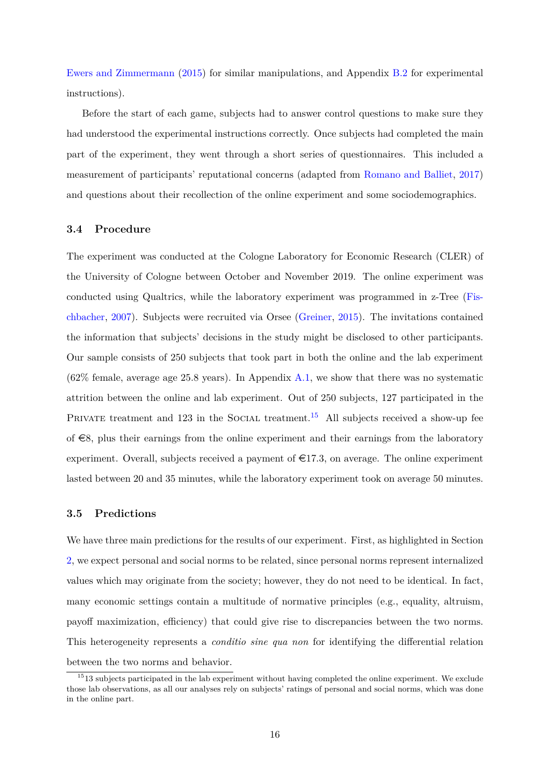[Ewers and Zimmermann](#page-38-10) [\(2015\)](#page-38-10) for similar manipulations, and Appendix [B.2](#page-71-0) for experimental instructions).

Before the start of each game, subjects had to answer control questions to make sure they had understood the experimental instructions correctly. Once subjects had completed the main part of the experiment, they went through a short series of questionnaires. This included a measurement of participants' reputational concerns (adapted from [Romano and Balliet](#page-41-11), [2017](#page-41-11)) and questions about their recollection of the online experiment and some sociodemographics.

### <span id="page-17-1"></span>**3.4 Procedure**

The experiment was conducted at the Cologne Laboratory for Economic Research (CLER) of the University of Cologne between October and November 2019. The online experiment was conducted using Qualtrics, while the laboratory experiment was programmed in z-Tree ([Fis](#page-39-10)[chbacher,](#page-39-10) [2007](#page-39-10)). Subjects were recruited via Orsee [\(Greiner](#page-39-11), [2015\)](#page-39-11). The invitations contained the information that subjects' decisions in the study might be disclosed to other participants. Our sample consists of 250 subjects that took part in both the online and the lab experiment (62% female, average age 25.8 years). In Appendix [A.1,](#page-43-0) we show that there was no systematic attrition between the online and lab experiment. Out of 250 subjects, 127 participated in the PRIVATE treatment and 123 in the SOCIAL treatment.<sup>15</sup> All subjects received a show-up fee of  $\epsilon$ 8, plus their earnings from the online experiment and their earnings from the laboratory experiment. Overall, subjects received a payment of  $\epsilon$ 17.3, on average. The online experiment lasted between 20 and 35 minutes, while the laboratory experiment took on average 50 minutes.

#### <span id="page-17-0"></span>**3.5 Predictions**

We have three main predictions for the results of our experiment. First, as highlighted in Section [2](#page-9-0), we expect personal and social norms to be related, since personal norms represent internalized values which may originate from the society; however, they do not need to be identical. In fact, many economic settings contain a multitude of normative principles (e.g., equality, altruism, payoff maximization, efficiency) that could give rise to discrepancies between the two norms. This heterogeneity represents a *conditio sine qua non* for identifying the differential relation between the two norms and behavior.

<span id="page-17-2"></span> $1513$  subjects participated in the lab experiment without having completed the online experiment. We exclude those lab observations, as all our analyses rely on subjects' ratings of personal and social norms, which was done in the online part.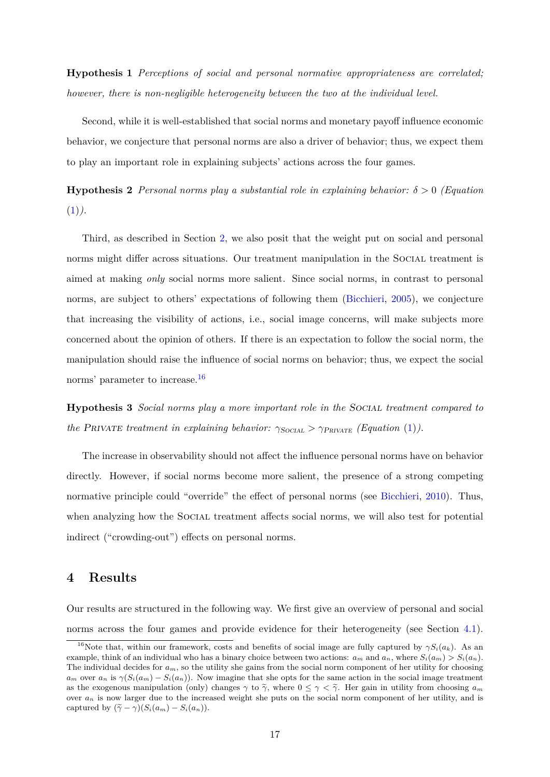**Hypothesis 1** *Perceptions of social and personal normative appropriateness are correlated; however, there is non-negligible heterogeneity between the two at the individual level.*

Second, while it is well-established that social norms and monetary payoff influence economic behavior, we conjecture that personal norms are also a driver of behavior; thus, we expect them to play an important role in explaining subjects' actions across the four games.

<span id="page-18-0"></span>**Hypothesis 2** *Personal norms play a substantial role in explaining behavior: δ >* 0 *(Equation*  $(1)$ .

Third, as described in Section [2](#page-9-0), we also posit that the weight put on social and personal norms might differ across situations. Our treatment manipulation in the SOCIAL treatment is aimed at making *only* social norms more salient. Since social norms, in contrast to personal norms, are subject to others' expectations of following them ([Bicchieri](#page-36-2), [2005\)](#page-36-2), we conjecture that increasing the visibility of actions, i.e., social image concerns, will make subjects more concerned about the opinion of others. If there is an expectation to follow the social norm, the manipulation should raise the influence of social norms on behavior; thus, we expect the social norms' parameter to increase.16

<span id="page-18-1"></span>**Hypothesis 3** *Social norms play a more important role in the Social treatment compared to the PRIVATE treatment in explaining behavior:*  $\gamma_{SOCIAL} > \gamma_{PRIVATE}$  (*Equation* [\(1\)](#page-12-0)*)*.

The increase in observability should not affect the influence personal norms have on behavior directly. However, if social norms become more salient, the presence of a strong competing normative principle could "override" the effect of personal norms (see [Bicchieri,](#page-36-10) [2010\)](#page-36-10). Thus, when analyzing how the SOCIAL treatment affects social norms, we will also test for potential indirect ("crowding-out") effects on personal norms.

## **4 Results**

Our results are structured in the following way. We first give an overview of personal and social norms across the four games and provide evidence for their heterogeneity (see Section [4.1](#page-19-0)).

<sup>&</sup>lt;sup>16</sup>Note that, within our framework, costs and benefits of social image are fully captured by  $\gamma S_i(a_k)$ . As an example, think of an individual who has a binary choice between two actions:  $a_m$  and  $a_n$ , where  $S_i(a_m) > S_i(a_n)$ . The individual decides for  $a_m$ , so the utility she gains from the social norm component of her utility for choosing  $a_m$  over  $a_n$  is  $\gamma(S_i(a_m) - S_i(a_n))$ . Now imagine that she opts for the same action in the social image treatment as the exogenous manipulation (only) changes  $\gamma$  to  $\tilde{\gamma}$ , where  $0 \leq \gamma < \tilde{\gamma}$ . Her gain in utility from choosing  $a_m$ over *a<sup>n</sup>* is now larger due to the increased weight she puts on the social norm component of her utility, and is captured by  $(\tilde{\gamma} - \gamma)(S_i(a_m) - S_i(a_n)).$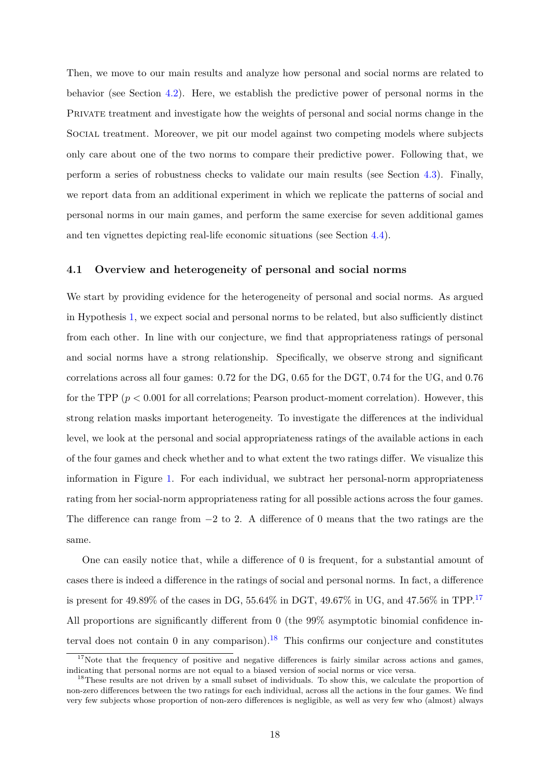Then, we move to our main results and analyze how personal and social norms are related to behavior (see Section [4.2](#page-21-0)). Here, we establish the predictive power of personal norms in the PRIVATE treatment and investigate how the weights of personal and social norms change in the Social treatment. Moreover, we pit our model against two competing models where subjects only care about one of the two norms to compare their predictive power. Following that, we perform a series of robustness checks to validate our main results (see Section [4.3\)](#page-24-0). Finally, we report data from an additional experiment in which we replicate the patterns of social and personal norms in our main games, and perform the same exercise for seven additional games and ten vignettes depicting real-life economic situations (see Section [4.4\)](#page-29-0).

### <span id="page-19-0"></span>**4.1 Overview and heterogeneity of personal and social norms**

We start by providing evidence for the heterogeneity of personal and social norms. As argued in Hypothesis [1](#page-17-2), we expect social and personal norms to be related, but also sufficiently distinct from each other. In line with our conjecture, we find that appropriateness ratings of personal and social norms have a strong relationship. Specifically, we observe strong and significant correlations across all four games: 0*.*72 for the DG, 0*.*65 for the DGT, 0*.*74 for the UG, and 0*.*76 for the TPP  $(p < 0.001$  for all correlations; Pearson product-moment correlation). However, this strong relation masks important heterogeneity. To investigate the differences at the individual level, we look at the personal and social appropriateness ratings of the available actions in each of the four games and check whether and to what extent the two ratings differ. We visualize this information in Figure [1.](#page-20-0) For each individual, we subtract her personal-norm appropriateness rating from her social-norm appropriateness rating for all possible actions across the four games. The difference can range from *−*2 to 2. A difference of 0 means that the two ratings are the same.

One can easily notice that, while a difference of 0 is frequent, for a substantial amount of cases there is indeed a difference in the ratings of social and personal norms. In fact, a difference is present for 49*.*89% of the cases in DG, 55*.*64% in DGT, 49*.*67% in UG, and 47*.*56% in TPP.17 All proportions are significantly different from 0 (the 99% asymptotic binomial confidence interval does not contain 0 in any comparison).<sup>18</sup> This confirms our conjecture and constitutes

 $17$ Note that the frequency of positive and negative differences is fairly similar across actions and games, indicating that personal norms are not equal to a biased version of social norms or vice versa.

<sup>&</sup>lt;sup>18</sup>These results are not driven by a small subset of individuals. To show this, we calculate the proportion of non-zero differences between the two ratings for each individual, across all the actions in the four games. We find very few subjects whose proportion of non-zero differences is negligible, as well as very few who (almost) always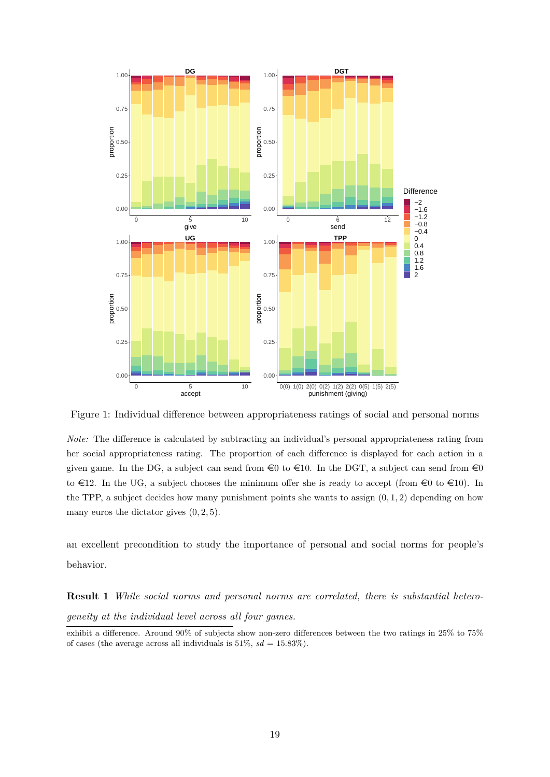<span id="page-20-0"></span>

Figure 1: Individual difference between appropriateness ratings of social and personal norms

*Note:* The difference is calculated by subtracting an individual's personal appropriateness rating from her social appropriateness rating. The proportion of each difference is displayed for each action in a given game. In the DG, a subject can send from  $\epsilon$ 0 to  $\epsilon$ 10. In the DGT, a subject can send from  $\epsilon$ 0 to  $\in$ 12. In the UG, a subject chooses the minimum offer she is ready to accept (from  $\in$ 0 to  $\in$ 10). In the TPP, a subject decides how many punishment points she wants to assign (0*,* 1*,* 2) depending on how many euros the dictator gives (0*,* 2*,* 5).

an excellent precondition to study the importance of personal and social norms for people's behavior.

<span id="page-20-1"></span>**Result 1** *While social norms and personal norms are correlated, there is substantial heterogeneity at the individual level across all four games.*

exhibit a difference. Around 90% of subjects show non-zero differences between the two ratings in 25% to 75% of cases (the average across all individuals is  $51\%$ ,  $sd = 15.83\%$ ).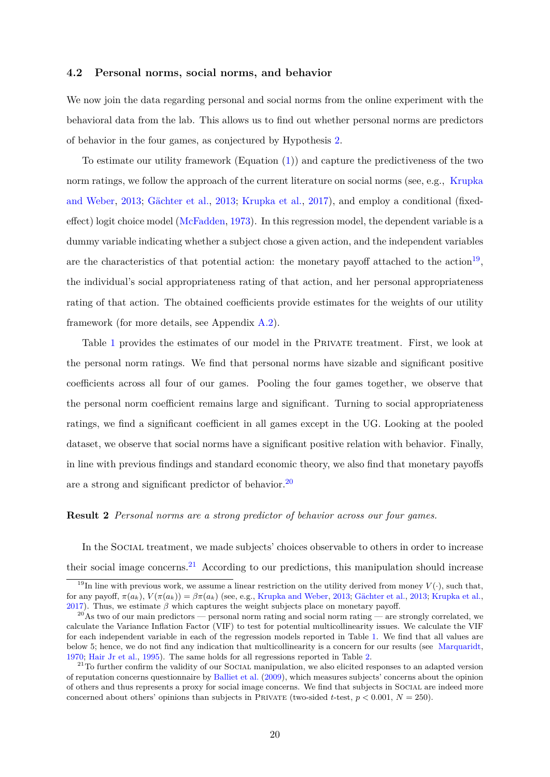#### <span id="page-21-0"></span>**4.2 Personal norms, social norms, and behavior**

We now join the data regarding personal and social norms from the online experiment with the behavioral data from the lab. This allows us to find out whether personal norms are predictors of behavior in the four games, as conjectured by Hypothesis [2.](#page-18-0)

To estimate our utility framework (Equation [\(1\)](#page-12-0)) and capture the predictiveness of the two norm ratings, we follow the approach of the current literature on social norms (see, e.g., [Krupka](#page-40-0) [and Weber](#page-40-0), [2013](#page-40-0); [Gächter et al.](#page-39-2), [2013](#page-39-2); [Krupka et al.,](#page-40-7) [2017\)](#page-40-7), and employ a conditional (fixedeffect) logit choice model [\(McFadden,](#page-41-12) [1973](#page-41-12)). In this regression model, the dependent variable is a dummy variable indicating whether a subject chose a given action, and the independent variables are the characteristics of that potential action: the monetary payoff attached to the action<sup>19</sup>, the individual's social appropriateness rating of that action, and her personal appropriateness rating of that action. The obtained coefficients provide estimates for the weights of our utility framework (for more details, see Appendix [A.2\)](#page-44-0).

Table [1](#page-22-0) provides the estimates of our model in the PRIVATE treatment. First, we look at the personal norm ratings. We find that personal norms have sizable and significant positive coefficients across all four of our games. Pooling the four games together, we observe that the personal norm coefficient remains large and significant. Turning to social appropriateness ratings, we find a significant coefficient in all games except in the UG. Looking at the pooled dataset, we observe that social norms have a significant positive relation with behavior. Finally, in line with previous findings and standard economic theory, we also find that monetary payoffs are a strong and significant predictor of behavior.<sup>20</sup>

#### **Result 2** *Personal norms are a strong predictor of behavior across our four games.*

In the Social treatment, we made subjects' choices observable to others in order to increase their social image concerns.<sup>21</sup> According to our predictions, this manipulation should increase

<sup>&</sup>lt;sup>19</sup>In line with previous work, we assume a linear restriction on the utility derived from money  $V(\cdot)$ , such that, for any payoff,  $\pi(a_k)$ ,  $V(\pi(a_k)) = \beta \pi(a_k)$  (see, e.g., [Krupka and Weber](#page-40-0), [2013;](#page-40-0) [Gächter et al.,](#page-39-2) [2013](#page-39-2); [Krupka et al.,](#page-40-7) [2017](#page-40-7)). Thus, we estimate *β* which captures the weight subjects place on monetary payoff.

 $^{20}$ As two of our main predictors — personal norm rating and social norm rating — are strongly correlated, we calculate the Variance Inflation Factor (VIF) to test for potential multicollinearity issues. We calculate the VIF for each independent variable in each of the regression models reported in Table [1](#page-22-0). We find that all values are below 5; hence, we do not find any indication that multicollinearity is a concern for our results (see [Marquaridt,](#page-40-10) [1970](#page-40-10); [Hair Jr et al.,](#page-40-11) [1995\)](#page-40-11). The same holds for all regressions reported in Table [2](#page-23-0).

 $21$ To further confirm the validity of our SOCIAL manipulation, we also elicited responses to an adapted version of reputation concerns questionnaire by [Balliet et al.](#page-35-10) [\(2009\)](#page-35-10), which measures subjects' concerns about the opinion of others and thus represents a proxy for social image concerns. We find that subjects in Social are indeed more concerned about others' opinions than subjects in PRIVATE (two-sided *t*-test,  $p < 0.001$ ,  $N = 250$ ).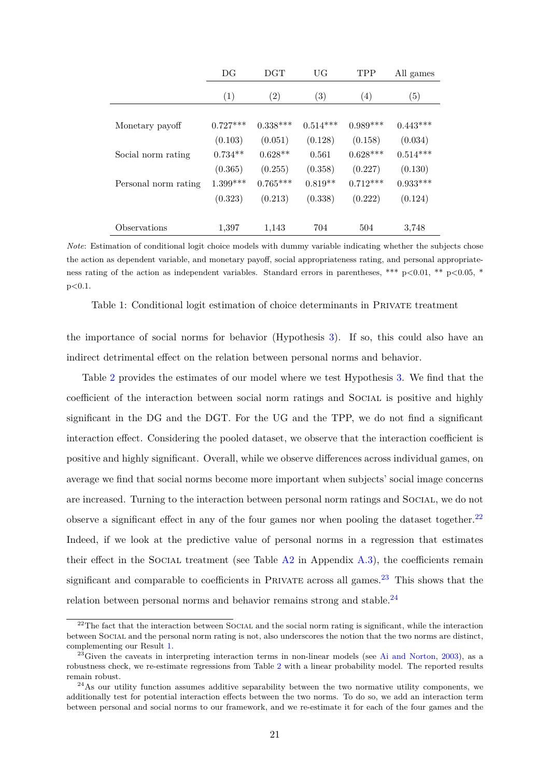<span id="page-22-0"></span>

|                      | DG         | <b>DGT</b> | UG                | <b>TPP</b> | All games  |
|----------------------|------------|------------|-------------------|------------|------------|
|                      | (1)        | (2)        | $\left( 3\right)$ | (4)        | (5)        |
| Monetary payoff      | $0.727***$ | $0.338***$ | $0.514***$        | $0.989***$ | $0.443***$ |
|                      | (0.103)    | (0.051)    | (0.128)           | (0.158)    | (0.034)    |
| Social norm rating   | $0.734**$  | $0.628**$  | 0.561             | $0.628***$ | $0.514***$ |
|                      | (0.365)    | (0.255)    | (0.358)           | (0.227)    | (0.130)    |
| Personal norm rating | $1.399***$ | $0.765***$ | $0.819**$         | $0.712***$ | $0.933***$ |
|                      | (0.323)    | (0.213)    | (0.338)           | (0.222)    | (0.124)    |
|                      |            |            |                   |            |            |
| Observations         | 1,397      | 1,143      | 704               | 504        | 3,748      |

*Note*: Estimation of conditional logit choice models with dummy variable indicating whether the subjects chose the action as dependent variable, and monetary payoff, social appropriateness rating, and personal appropriateness rating of the action as independent variables. Standard errors in parentheses, \*\*\* p*<*0.01, \*\* p*<*0.05, \* p*<*0.1.

Table 1: Conditional logit estimation of choice determinants in Private treatment

the importance of social norms for behavior (Hypothesis [3\)](#page-18-1). If so, this could also have an indirect detrimental effect on the relation between personal norms and behavior.

Table [2](#page-23-0) provides the estimates of our model where we test Hypothesis [3.](#page-18-1) We find that the coefficient of the interaction between social norm ratings and Social is positive and highly significant in the DG and the DGT. For the UG and the TPP, we do not find a significant interaction effect. Considering the pooled dataset, we observe that the interaction coefficient is positive and highly significant. Overall, while we observe differences across individual games, on average we find that social norms become more important when subjects' social image concerns are increased. Turning to the interaction between personal norm ratings and SOCIAL, we do not observe a significant effect in any of the four games nor when pooling the dataset together. $^{22}$ Indeed, if we look at the predictive value of personal norms in a regression that estimates their effect in the SOCIAL treatment (see Table  $A2$  in Appendix  $A.3$ ), the coefficients remain significant and comparable to coefficients in PRIVATE across all games.<sup>23</sup> This shows that the relation between personal norms and behavior remains strong and stable. $^{24}$ 

<span id="page-22-1"></span><sup>&</sup>lt;sup>22</sup>The fact that the interaction between SOCIAL and the social norm rating is significant, while the interaction between Social and the personal norm rating is not, also underscores the notion that the two norms are distinct, complementing our Result [1.](#page-20-1)

 $^{23}$ Given the caveats in interpreting interaction terms in non-linear models (see [Ai and Norton,](#page-35-11) [2003](#page-35-11)), as a robustness check, we re-estimate regressions from Table [2](#page-23-0) with a linear probability model. The reported results remain robust.

 $^{24}$ As our utility function assumes additive separability between the two normative utility components, we additionally test for potential interaction effects between the two norms. To do so, we add an interaction term between personal and social norms to our framework, and we re-estimate it for each of the four games and the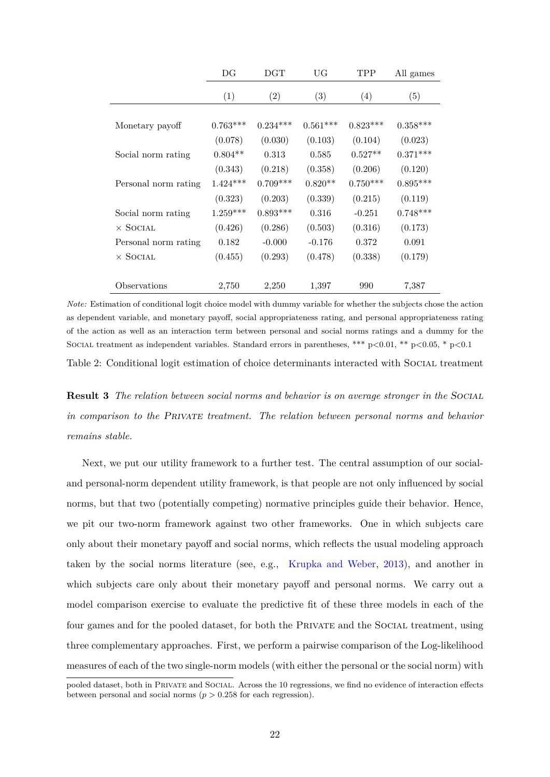<span id="page-23-0"></span>

|                      | DG         | $_{\rm DGT}$ | UG         | TPP        | All games  |
|----------------------|------------|--------------|------------|------------|------------|
|                      | (1)        | (2)          | (3)        | (4)        | (5)        |
|                      |            |              |            |            |            |
| Monetary payoff      | $0.763***$ | $0.234***$   | $0.561***$ | $0.823***$ | $0.358***$ |
|                      | (0.078)    | (0.030)      | (0.103)    | (0.104)    | (0.023)    |
| Social norm rating   | $0.804**$  | 0.313        | 0.585      | $0.527**$  | $0.371***$ |
|                      | (0.343)    | (0.218)      | (0.358)    | (0.206)    | (0.120)    |
| Personal norm rating | $1.424***$ | $0.709***$   | $0.820**$  | $0.750***$ | $0.895***$ |
|                      | (0.323)    | (0.203)      | (0.339)    | (0.215)    | (0.119)    |
| Social norm rating   | $1.259***$ | $0.893***$   | 0.316      | $-0.251$   | $0.748***$ |
| $\times$ Social      | (0.426)    | (0.286)      | (0.503)    | (0.316)    | (0.173)    |
| Personal norm rating | 0.182      | $-0.000$     | $-0.176$   | 0.372      | 0.091      |
| $\times$ Social      | (0.455)    | (0.293)      | (0.478)    | (0.338)    | (0.179)    |
|                      |            |              |            |            |            |
| Observations         | 2,750      | 2,250        | 1,397      | 990        | 7,387      |

*Note:* Estimation of conditional logit choice model with dummy variable for whether the subjects chose the action as dependent variable, and monetary payoff, social appropriateness rating, and personal appropriateness rating of the action as well as an interaction term between personal and social norms ratings and a dummy for the Social treatment as independent variables. Standard errors in parentheses, \*\*\* p*<*0.01, \*\* p*<*0.05, \* p*<*0.1

Table 2: Conditional logit estimation of choice determinants interacted with SOCIAL treatment

**Result 3** *The relation between social norms and behavior is on average stronger in the Social in comparison to the Private treatment. The relation between personal norms and behavior remains stable.*

Next, we put our utility framework to a further test. The central assumption of our socialand personal-norm dependent utility framework, is that people are not only influenced by social norms, but that two (potentially competing) normative principles guide their behavior. Hence, we pit our two-norm framework against two other frameworks. One in which subjects care only about their monetary payoff and social norms, which reflects the usual modeling approach taken by the social norms literature (see, e.g., [Krupka and Weber](#page-40-0), [2013](#page-40-0)), and another in which subjects care only about their monetary payoff and personal norms. We carry out a model comparison exercise to evaluate the predictive fit of these three models in each of the four games and for the pooled dataset, for both the PRIVATE and the SOCIAL treatment, using three complementary approaches. First, we perform a pairwise comparison of the Log-likelihood measures of each of the two single-norm models (with either the personal or the social norm) with

pooled dataset, both in Private and Social. Across the 10 regressions, we find no evidence of interaction effects between personal and social norms ( $p > 0.258$  for each regression).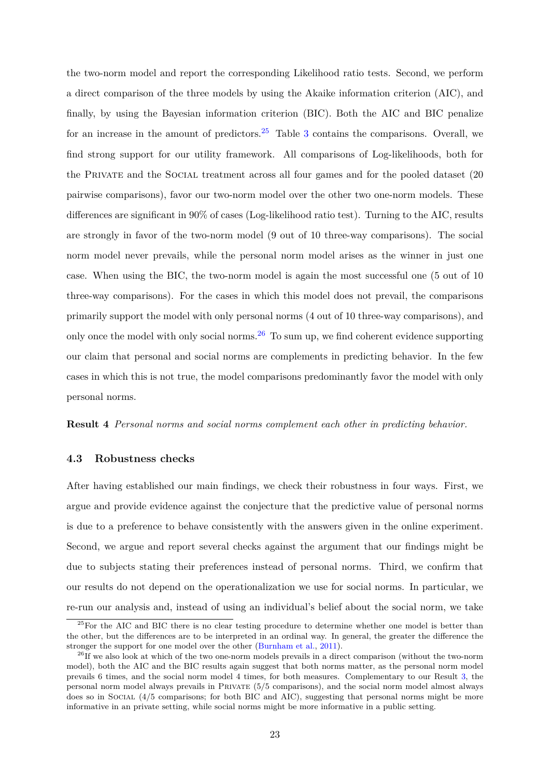the two-norm model and report the corresponding Likelihood ratio tests. Second, we perform a direct comparison of the three models by using the Akaike information criterion (AIC), and finally, by using the Bayesian information criterion (BIC). Both the AIC and BIC penalize for an increase in the amount of predictors.<sup>25</sup> Table [3](#page-25-0) contains the comparisons. Overall, we find strong support for our utility framework. All comparisons of Log-likelihoods, both for the PRIVATE and the SOCIAL treatment across all four games and for the pooled dataset (20 pairwise comparisons), favor our two-norm model over the other two one-norm models. These differences are significant in 90% of cases (Log-likelihood ratio test). Turning to the AIC, results are strongly in favor of the two-norm model (9 out of 10 three-way comparisons). The social norm model never prevails, while the personal norm model arises as the winner in just one case. When using the BIC, the two-norm model is again the most successful one (5 out of 10 three-way comparisons). For the cases in which this model does not prevail, the comparisons primarily support the model with only personal norms (4 out of 10 three-way comparisons), and only once the model with only social norms.<sup>26</sup> To sum up, we find coherent evidence supporting our claim that personal and social norms are complements in predicting behavior. In the few cases in which this is not true, the model comparisons predominantly favor the model with only personal norms.

<span id="page-24-1"></span>**Result 4** *Personal norms and social norms complement each other in predicting behavior.*

#### <span id="page-24-0"></span>**4.3 Robustness checks**

After having established our main findings, we check their robustness in four ways. First, we argue and provide evidence against the conjecture that the predictive value of personal norms is due to a preference to behave consistently with the answers given in the online experiment. Second, we argue and report several checks against the argument that our findings might be due to subjects stating their preferences instead of personal norms. Third, we confirm that our results do not depend on the operationalization we use for social norms. In particular, we re-run our analysis and, instead of using an individual's belief about the social norm, we take

<sup>&</sup>lt;sup>25</sup>For the AIC and BIC there is no clear testing procedure to determine whether one model is better than the other, but the differences are to be interpreted in an ordinal way. In general, the greater the difference the stronger the support for one model over the other ([Burnham et al.,](#page-37-8) [2011\)](#page-37-8).

 $^{26}$ If we also look at which of the two one-norm models prevails in a direct comparison (without the two-norm model), both the AIC and the BIC results again suggest that both norms matter, as the personal norm model prevails 6 times, and the social norm model 4 times, for both measures. Complementary to our Result [3](#page-22-1), the personal norm model always prevails in Private (5/5 comparisons), and the social norm model almost always does so in Social (4/5 comparisons; for both BIC and AIC), suggesting that personal norms might be more informative in an private setting, while social norms might be more informative in a public setting.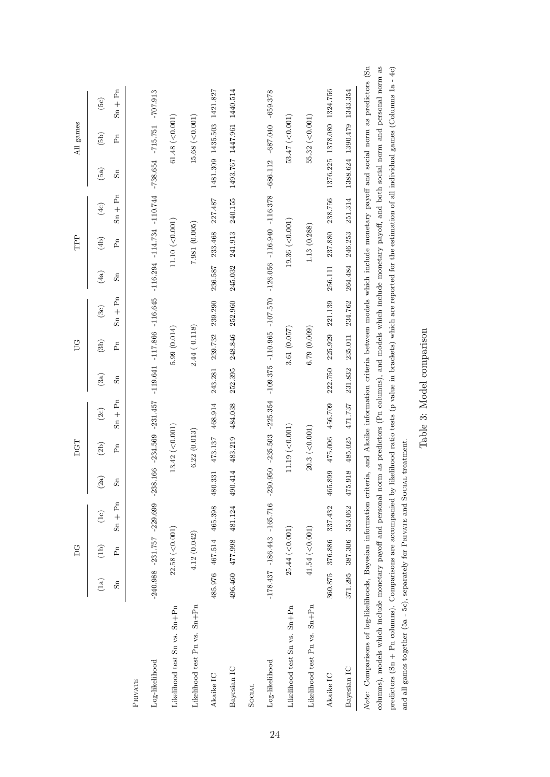|                                                                                                                                                                                                                                                                                                                                                                                                                                                                                                                                                                                                                                     |         | DG               |                                                 |                    | DGT              |           |         | UG          |                                                                                                                                                                                                                                                        |                         | TPP             |                 |                            | All games            |                            |
|-------------------------------------------------------------------------------------------------------------------------------------------------------------------------------------------------------------------------------------------------------------------------------------------------------------------------------------------------------------------------------------------------------------------------------------------------------------------------------------------------------------------------------------------------------------------------------------------------------------------------------------|---------|------------------|-------------------------------------------------|--------------------|------------------|-----------|---------|-------------|--------------------------------------------------------------------------------------------------------------------------------------------------------------------------------------------------------------------------------------------------------|-------------------------|-----------------|-----------------|----------------------------|----------------------|----------------------------|
|                                                                                                                                                                                                                                                                                                                                                                                                                                                                                                                                                                                                                                     | (1a)    | $\binom{d}{b}$   | (1c)                                            | $\left( 2a\right)$ | (2b)             | (2c)      | (3a)    | (3b)        | (3c)                                                                                                                                                                                                                                                   | (4a)                    | (4b)            | (4c)            | (5a)                       | (5b)                 | (5c)                       |
|                                                                                                                                                                                                                                                                                                                                                                                                                                                                                                                                                                                                                                     | Sn      | Pn               | $Sn + Pn$                                       | Sn                 | $F_n$            | $Sn + Pn$ | Sn      | $F_n$       | $S_n + P_n$                                                                                                                                                                                                                                            | $\operatorname{ss}_{n}$ | ĥ               | $Sn + Pn$       | Sn                         | Ρñ                   | $Sn + Pn$                  |
| PRIVATE                                                                                                                                                                                                                                                                                                                                                                                                                                                                                                                                                                                                                             |         |                  |                                                 |                    |                  |           |         |             |                                                                                                                                                                                                                                                        |                         |                 |                 |                            |                      |                            |
| Log-likelihood                                                                                                                                                                                                                                                                                                                                                                                                                                                                                                                                                                                                                      |         |                  |                                                 |                    |                  |           |         |             | $230.5240.9883 - 2231.7577 - 2239.699 - 2231.4578 - 2231.4577 - 1129.6641 - 116.645 - 116.294 - 114.734 - 110.744 - 738.654 - 715.751 - 707.913$                                                                                                       |                         |                 |                 |                            |                      |                            |
| Likelihood test Sn vs. Sn+Pn                                                                                                                                                                                                                                                                                                                                                                                                                                                                                                                                                                                                        |         | 22.58 (< 0.001)  |                                                 |                    | $13.42$ (<0.001) |           |         | 5.99(0.014) |                                                                                                                                                                                                                                                        |                         | 11.10 (< 0.001) |                 |                            | 61.48 $(<0.001)$     |                            |
| Likelihood test Pn vs. Sn+Pn                                                                                                                                                                                                                                                                                                                                                                                                                                                                                                                                                                                                        |         | 4.12(0.042)      |                                                 |                    | 6.22(0.013)      |           |         | 2.44(0.118) |                                                                                                                                                                                                                                                        |                         | 7.981 (0.005)   |                 |                            | $15.68$ (<0.001)     |                            |
| Akaike IC                                                                                                                                                                                                                                                                                                                                                                                                                                                                                                                                                                                                                           |         |                  | 485.976 467.514 465.398                         | 480.331            | 473.137 468.914  |           | 243.281 |             | 239.732 239.290                                                                                                                                                                                                                                        | 236.587                 | 233.468         | 227.487         | 1481.309 1435.503 1421.827 |                      |                            |
| Bayesian IC                                                                                                                                                                                                                                                                                                                                                                                                                                                                                                                                                                                                                         |         |                  | 496.460 477.998 481.124                         | 490.414            | 483.219          | 484.038   | 252.395 | 248.846     | 252.960                                                                                                                                                                                                                                                | 245.032                 | 241.913         | 240.155         |                            |                      | 1493.767 1447.961 1440.514 |
| SOCIAL                                                                                                                                                                                                                                                                                                                                                                                                                                                                                                                                                                                                                              |         |                  |                                                 |                    |                  |           |         |             |                                                                                                                                                                                                                                                        |                         |                 |                 |                            |                      |                            |
| Log-likelihood                                                                                                                                                                                                                                                                                                                                                                                                                                                                                                                                                                                                                      |         |                  |                                                 |                    |                  |           |         |             | $178.437 - 186.443 - 165.716 - 230.950 - 2235.563 - 225.564 - 100.965 - 110.965 - 110.570 - 126.056 - 116.940 - 116.378 - 688.112 - 659.378 - 659.212 - 659.278 - 659.278 - 659.278 - 659.278 - 659.278 - 659.278 - 659.278 - 659.278 - 659.278 - 659$ |                         |                 |                 |                            |                      |                            |
| Likelihood test Sn vs. Sn+Pn                                                                                                                                                                                                                                                                                                                                                                                                                                                                                                                                                                                                        |         | 25.44 (< 0.001)  |                                                 |                    | $11.19$ (<0.001) |           |         | 3.61(0.057) |                                                                                                                                                                                                                                                        |                         | 19.36 (< 0.001) |                 |                            | 53.47 $(< 0.001)$    |                            |
| Likelihood test Pn vs. Sn+Pn                                                                                                                                                                                                                                                                                                                                                                                                                                                                                                                                                                                                        |         | $41.54$ (<0.001) |                                                 |                    | $20.3$ (<0.001)  |           |         | (0.009)     |                                                                                                                                                                                                                                                        |                         | 1.13(0.288)     |                 |                            | $55.32$ ( $<$ 0.001) |                            |
| Akaike IC                                                                                                                                                                                                                                                                                                                                                                                                                                                                                                                                                                                                                           |         |                  | 360.875 376.886 337.432 465.899 475.006 456.709 |                    |                  |           |         |             | 222.750 225.929 221.139                                                                                                                                                                                                                                | 256.111                 |                 | 237.880 238.756 | 1376.225 1378.080 1324.756 |                      |                            |
| Bayesian IC                                                                                                                                                                                                                                                                                                                                                                                                                                                                                                                                                                                                                         | 371.295 | 387.306          | 353.062                                         | $\infty$<br>475.91 | 485.025          | 471.737   | 231.832 | 235.011     | 234.762                                                                                                                                                                                                                                                | 264.484                 | 246.253         | 251.314         | 1388.624 1390.479 1343.354 |                      |                            |
| Note: Comparisons of log-likelihoods, Bayesian information criteria, and Akaike information criteria between models which include monetary payoff and social norm as predictors (Sn<br>columns), models which include monetary payoff and personal norm as predictors (Pn columns), and models which include monetary payoff, and both social norm and personal norm as<br>predictors (Sn + Pn columns). Comparisons are accompanied by likelihood ratio tests (p value in brackets) which are reported for the estimation of all individual games (Columns 1a - 4c)<br>allamentame (Eq. Eq. 1-1-anomaic Dominican Dominican Design |         |                  |                                                 |                    |                  |           |         |             |                                                                                                                                                                                                                                                        |                         |                 |                 |                            |                      |                            |

Table 3: Model comparison Table 3: Model comparison

<span id="page-25-0"></span>and all games together (5a - 5c), separately for PRIVATE and SOCIAL treatment.

and all games together (5a - 5c), separately for PRIVATE and SOCIAL treatment.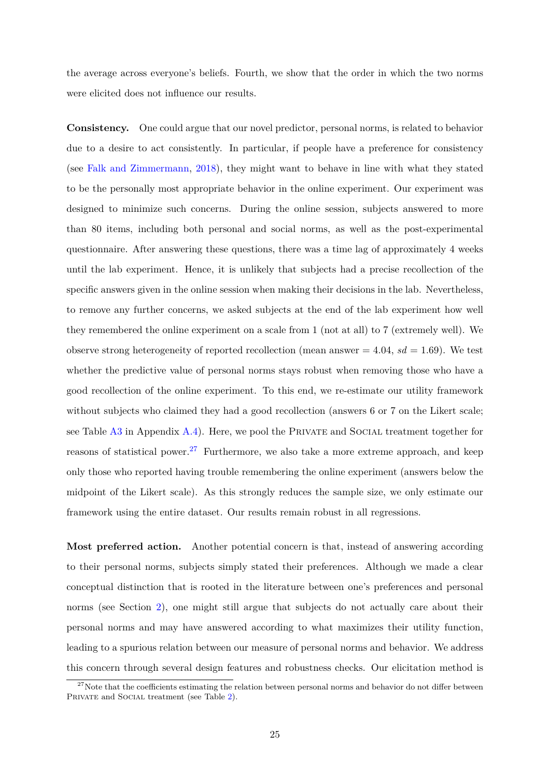the average across everyone's beliefs. Fourth, we show that the order in which the two norms were elicited does not influence our results.

**Consistency.** One could argue that our novel predictor, personal norms, is related to behavior due to a desire to act consistently. In particular, if people have a preference for consistency (see [Falk and Zimmermann,](#page-38-4) [2018\)](#page-38-4), they might want to behave in line with what they stated to be the personally most appropriate behavior in the online experiment. Our experiment was designed to minimize such concerns. During the online session, subjects answered to more than 80 items, including both personal and social norms, as well as the post-experimental questionnaire. After answering these questions, there was a time lag of approximately 4 weeks until the lab experiment. Hence, it is unlikely that subjects had a precise recollection of the specific answers given in the online session when making their decisions in the lab. Nevertheless, to remove any further concerns, we asked subjects at the end of the lab experiment how well they remembered the online experiment on a scale from 1 (not at all) to 7 (extremely well). We observe strong heterogeneity of reported recollection (mean answer  $= 4.04$ ,  $sd = 1.69$ ). We test whether the predictive value of personal norms stays robust when removing those who have a good recollection of the online experiment. To this end, we re-estimate our utility framework without subjects who claimed they had a good recollection (answers 6 or 7 on the Likert scale; see Table [A3](#page-46-0) in Appendix [A.4](#page-45-2)). Here, we pool the PRIVATE and SOCIAL treatment together for reasons of statistical power.<sup>27</sup> Furthermore, we also take a more extreme approach, and keep only those who reported having trouble remembering the online experiment (answers below the midpoint of the Likert scale). As this strongly reduces the sample size, we only estimate our framework using the entire dataset. Our results remain robust in all regressions.

**Most preferred action.** Another potential concern is that, instead of answering according to their personal norms, subjects simply stated their preferences. Although we made a clear conceptual distinction that is rooted in the literature between one's preferences and personal norms (see Section [2\)](#page-9-0), one might still argue that subjects do not actually care about their personal norms and may have answered according to what maximizes their utility function, leading to a spurious relation between our measure of personal norms and behavior. We address this concern through several design features and robustness checks. Our elicitation method is

 $27$ Note that the coefficients estimating the relation between personal norms and behavior do not differ between PRIVATE and SOCIAL treatment (see Table [2](#page-23-0)).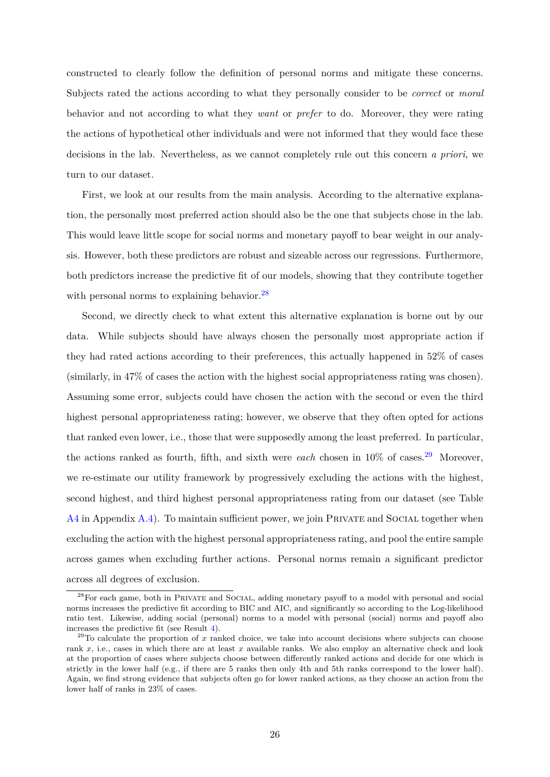constructed to clearly follow the definition of personal norms and mitigate these concerns. Subjects rated the actions according to what they personally consider to be *correct* or *moral* behavior and not according to what they *want* or *prefer* to do. Moreover, they were rating the actions of hypothetical other individuals and were not informed that they would face these decisions in the lab. Nevertheless, as we cannot completely rule out this concern *a priori*, we turn to our dataset.

First, we look at our results from the main analysis. According to the alternative explanation, the personally most preferred action should also be the one that subjects chose in the lab. This would leave little scope for social norms and monetary payoff to bear weight in our analysis. However, both these predictors are robust and sizeable across our regressions. Furthermore, both predictors increase the predictive fit of our models, showing that they contribute together with personal norms to explaining behavior.<sup>28</sup>

Second, we directly check to what extent this alternative explanation is borne out by our data. While subjects should have always chosen the personally most appropriate action if they had rated actions according to their preferences, this actually happened in 52% of cases (similarly, in 47% of cases the action with the highest social appropriateness rating was chosen). Assuming some error, subjects could have chosen the action with the second or even the third highest personal appropriateness rating; however, we observe that they often opted for actions that ranked even lower, i.e., those that were supposedly among the least preferred. In particular, the actions ranked as fourth, fifth, and sixth were *each* chosen in  $10\%$  of cases.<sup>29</sup> Moreover, we re-estimate our utility framework by progressively excluding the actions with the highest, second highest, and third highest personal appropriateness rating from our dataset (see Table  $A4$  in Appendix  $A.4$ ). To maintain sufficient power, we join PRIVATE and SOCIAL together when excluding the action with the highest personal appropriateness rating, and pool the entire sample across games when excluding further actions. Personal norms remain a significant predictor across all degrees of exclusion.

<sup>28</sup>For each game, both in Private and Social, adding monetary payoff to a model with personal and social norms increases the predictive fit according to BIC and AIC, and significantly so according to the Log-likelihood ratio test. Likewise, adding social (personal) norms to a model with personal (social) norms and payoff also increases the predictive fit (see Result [4\)](#page-24-1).

 $29$ To calculate the proportion of *x* ranked choice, we take into account decisions where subjects can choose rank *x*, i.e., cases in which there are at least *x* available ranks. We also employ an alternative check and look at the proportion of cases where subjects choose between differently ranked actions and decide for one which is strictly in the lower half (e.g., if there are 5 ranks then only 4th and 5th ranks correspond to the lower half). Again, we find strong evidence that subjects often go for lower ranked actions, as they choose an action from the lower half of ranks in 23% of cases.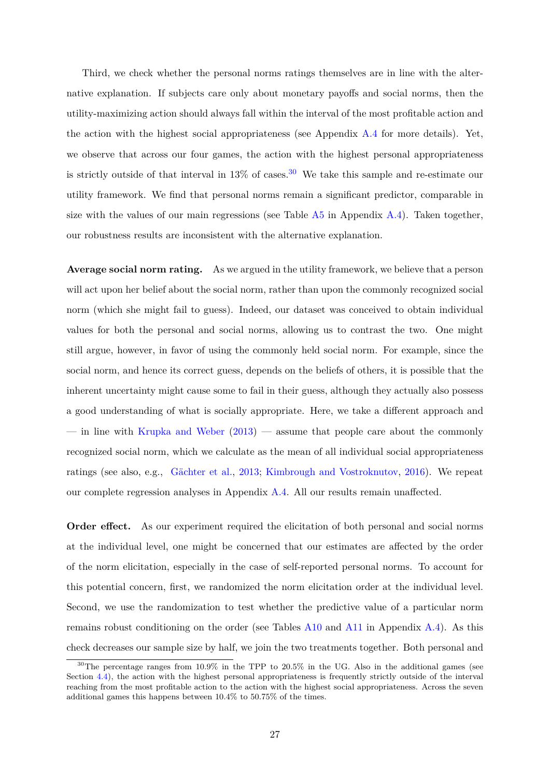Third, we check whether the personal norms ratings themselves are in line with the alternative explanation. If subjects care only about monetary payoffs and social norms, then the utility-maximizing action should always fall within the interval of the most profitable action and the action with the highest social appropriateness (see Appendix [A.4](#page-45-2) for more details). Yet, we observe that across our four games, the action with the highest personal appropriateness is strictly outside of that interval in  $13\%$  of cases.<sup>30</sup> We take this sample and re-estimate our utility framework. We find that personal norms remain a significant predictor, comparable in size with the values of our main regressions (see Table  $\overline{A_5}$  in Appendix  $\overline{A_4}$ ). Taken together, our robustness results are inconsistent with the alternative explanation.

**Average social norm rating.** As we argued in the utility framework, we believe that a person will act upon her belief about the social norm, rather than upon the commonly recognized social norm (which she might fail to guess). Indeed, our dataset was conceived to obtain individual values for both the personal and social norms, allowing us to contrast the two. One might still argue, however, in favor of using the commonly held social norm. For example, since the social norm, and hence its correct guess, depends on the beliefs of others, it is possible that the inherent uncertainty might cause some to fail in their guess, although they actually also possess a good understanding of what is socially appropriate. Here, we take a different approach and — in line with [Krupka and Weber](#page-40-0)  $(2013)$  $(2013)$  — assume that people care about the commonly recognized social norm, which we calculate as the mean of all individual social appropriateness ratings (see also, e.g., [Gächter et al.,](#page-39-2) [2013;](#page-39-2) [Kimbrough and Vostroknutov](#page-40-6), [2016](#page-40-6)). We repeat our complete regression analyses in Appendix [A.4](#page-45-2). All our results remain unaffected.

**Order effect.** As our experiment required the elicitation of both personal and social norms at the individual level, one might be concerned that our estimates are affected by the order of the norm elicitation, especially in the case of self-reported personal norms. To account for this potential concern, first, we randomized the norm elicitation order at the individual level. Second, we use the randomization to test whether the predictive value of a particular norm remains robust conditioning on the order (see Tables [A10](#page-53-0) and [A11](#page-54-0) in Appendix [A.4\)](#page-45-2). As this check decreases our sample size by half, we join the two treatments together. Both personal and

 $30$ The percentage ranges from 10.9% in the TPP to 20.5% in the UG. Also in the additional games (see Section [4.4\)](#page-29-0), the action with the highest personal appropriateness is frequently strictly outside of the interval reaching from the most profitable action to the action with the highest social appropriateness. Across the seven additional games this happens between 10.4% to 50.75% of the times.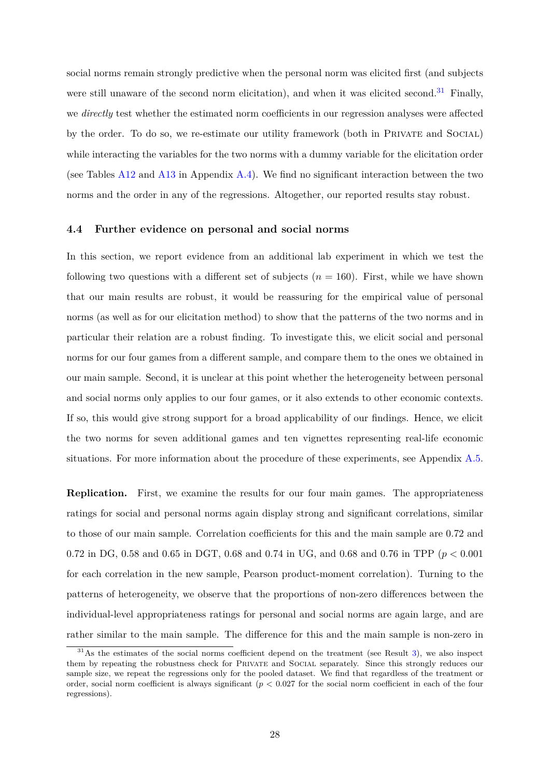social norms remain strongly predictive when the personal norm was elicited first (and subjects were still unaware of the second norm elicitation), and when it was elicited second.<sup>31</sup> Finally, we *directly* test whether the estimated norm coefficients in our regression analyses were affected by the order. To do so, we re-estimate our utility framework (both in Private and Social) while interacting the variables for the two norms with a dummy variable for the elicitation order (see Tables [A12](#page-54-1) and [A13](#page-55-0) in Appendix [A.4\)](#page-45-2). We find no significant interaction between the two norms and the order in any of the regressions. Altogether, our reported results stay robust.

#### <span id="page-29-0"></span>**4.4 Further evidence on personal and social norms**

In this section, we report evidence from an additional lab experiment in which we test the following two questions with a different set of subjects  $(n = 160)$ . First, while we have shown that our main results are robust, it would be reassuring for the empirical value of personal norms (as well as for our elicitation method) to show that the patterns of the two norms and in particular their relation are a robust finding. To investigate this, we elicit social and personal norms for our four games from a different sample, and compare them to the ones we obtained in our main sample. Second, it is unclear at this point whether the heterogeneity between personal and social norms only applies to our four games, or it also extends to other economic contexts. If so, this would give strong support for a broad applicability of our findings. Hence, we elicit the two norms for seven additional games and ten vignettes representing real-life economic situations. For more information about the procedure of these experiments, see Appendix [A.5](#page-56-0).

**Replication.** First, we examine the results for our four main games. The appropriateness ratings for social and personal norms again display strong and significant correlations, similar to those of our main sample. Correlation coefficients for this and the main sample are 0*.*72 and 0*.*72 in DG, 0*.*58 and 0*.*65 in DGT, 0*.*68 and 0*.*74 in UG, and 0*.*68 and 0*.*76 in TPP (*p <* 0*.*001 for each correlation in the new sample, Pearson product-moment correlation). Turning to the patterns of heterogeneity, we observe that the proportions of non-zero differences between the individual-level appropriateness ratings for personal and social norms are again large, and are rather similar to the main sample. The difference for this and the main sample is non-zero in

 $31\text{As}$  the estimates of the social norms coefficient depend on the treatment (see Result [3\)](#page-22-1), we also inspect them by repeating the robustness check for Private and Social separately. Since this strongly reduces our sample size, we repeat the regressions only for the pooled dataset. We find that regardless of the treatment or order, social norm coefficient is always significant (*p <* 0*.*027 for the social norm coefficient in each of the four regressions).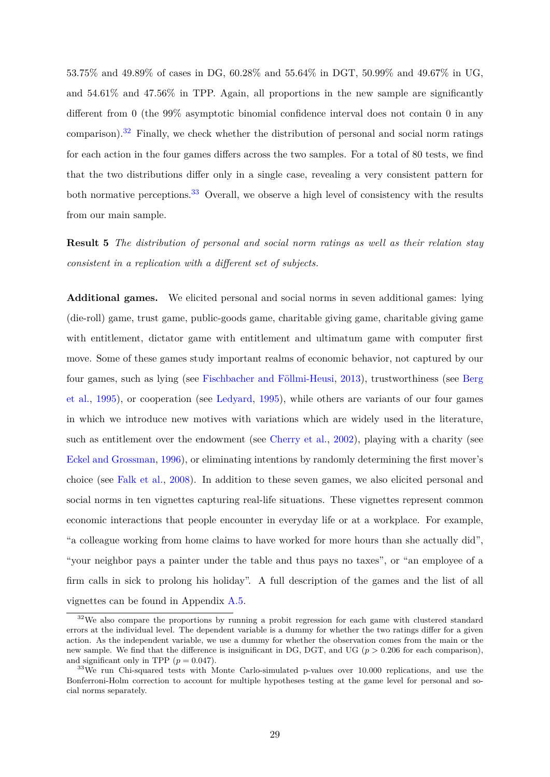53*.*75% and 49*.*89% of cases in DG, 60*.*28% and 55*.*64% in DGT, 50*.*99% and 49*.*67% in UG, and 54*.*61% and 47*.*56% in TPP. Again, all proportions in the new sample are significantly different from 0 (the 99% asymptotic binomial confidence interval does not contain 0 in any comparison).<sup>32</sup> Finally, we check whether the distribution of personal and social norm ratings for each action in the four games differs across the two samples. For a total of 80 tests, we find that the two distributions differ only in a single case, revealing a very consistent pattern for both normative perceptions.<sup>33</sup> Overall, we observe a high level of consistency with the results from our main sample.

**Result 5** *The distribution of personal and social norm ratings as well as their relation stay consistent in a replication with a different set of subjects.*

**Additional games.** We elicited personal and social norms in seven additional games: lying (die-roll) game, trust game, public-goods game, charitable giving game, charitable giving game with entitlement, dictator game with entitlement and ultimatum game with computer first move. Some of these games study important realms of economic behavior, not captured by our four games, such as lying (see [Fischbacher and Föllmi-Heusi,](#page-39-12) [2013\)](#page-39-12), trustworthiness (see [Berg](#page-36-11) [et al.,](#page-36-11) [1995](#page-36-11)), or cooperation (see [Ledyard](#page-40-12), [1995](#page-40-12)), while others are variants of our four games in which we introduce new motives with variations which are widely used in the literature, such as entitlement over the endowment (see [Cherry et al.](#page-37-9), [2002](#page-37-9)), playing with a charity (see [Eckel and Grossman](#page-38-11), [1996\)](#page-38-11), or eliminating intentions by randomly determining the first mover's choice (see [Falk et al.,](#page-38-12) [2008](#page-38-12)). In addition to these seven games, we also elicited personal and social norms in ten vignettes capturing real-life situations. These vignettes represent common economic interactions that people encounter in everyday life or at a workplace. For example, "a colleague working from home claims to have worked for more hours than she actually did", "your neighbor pays a painter under the table and thus pays no taxes", or "an employee of a firm calls in sick to prolong his holiday". A full description of the games and the list of all vignettes can be found in Appendix [A.5](#page-56-0).

 $32\text{We also compare the proportions by running a probit regression for each game with clustered standard.}$ errors at the individual level. The dependent variable is a dummy for whether the two ratings differ for a given action. As the independent variable, we use a dummy for whether the observation comes from the main or the new sample. We find that the difference is insignificant in DG, DGT, and UG (*p >* 0*.*206 for each comparison), and significant only in TPP  $(p = 0.047)$ .

<sup>&</sup>lt;sup>33</sup>We run Chi-squared tests with Monte Carlo-simulated p-values over 10.000 replications, and use the Bonferroni-Holm correction to account for multiple hypotheses testing at the game level for personal and social norms separately.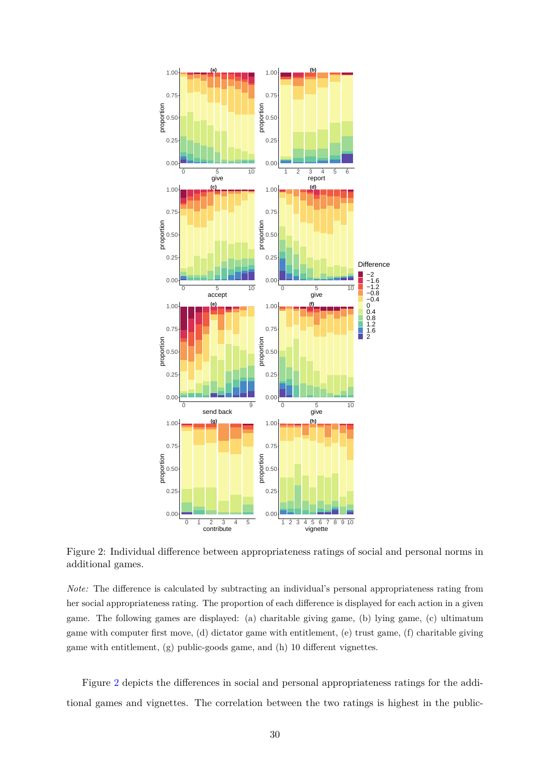<span id="page-31-0"></span>

Figure 2: Individual difference between appropriateness ratings of social and personal norms in additional games.

*Note:* The difference is calculated by subtracting an individual's personal appropriateness rating from her social appropriateness rating. The proportion of each difference is displayed for each action in a given game. The following games are displayed: (a) charitable giving game, (b) lying game, (c) ultimatum game with computer first move, (d) dictator game with entitlement, (e) trust game, (f) charitable giving game with entitlement, (g) public-goods game, and (h) 10 different vignettes.

Figure [2](#page-31-0) depicts the differences in social and personal appropriateness ratings for the additional games and vignettes. The correlation between the two ratings is highest in the public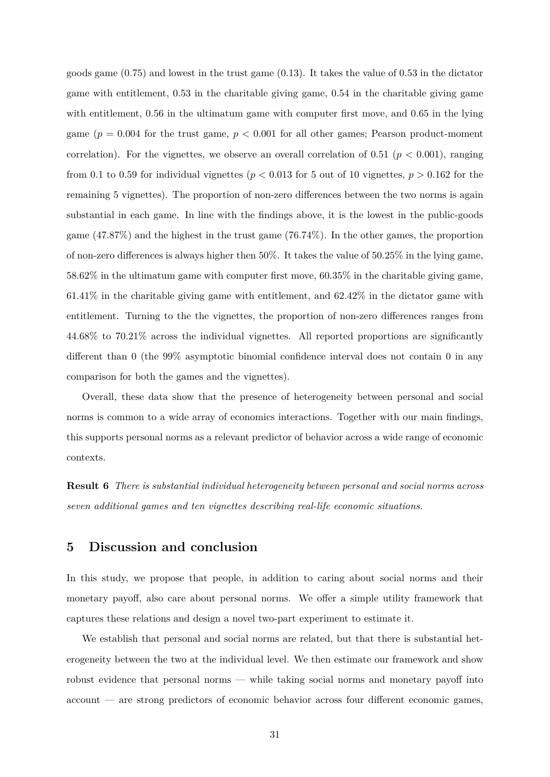goods game (0*.*75) and lowest in the trust game (0*.*13). It takes the value of 0*.*53 in the dictator game with entitlement, 0*.*53 in the charitable giving game, 0*.*54 in the charitable giving game with entitlement, 0*.*56 in the ultimatum game with computer first move, and 0*.*65 in the lying game  $(p = 0.004$  for the trust game,  $p < 0.001$  for all other games; Pearson product-moment correlation). For the vignettes, we observe an overall correlation of 0.51 ( $p < 0.001$ ), ranging from 0.1 to 0.59 for individual vignettes ( $p < 0.013$  for 5 out of 10 vignettes,  $p > 0.162$  for the remaining 5 vignettes). The proportion of non-zero differences between the two norms is again substantial in each game. In line with the findings above, it is the lowest in the public-goods game (47*.*87%) and the highest in the trust game (76*.*74%). In the other games, the proportion of non-zero differences is always higher then 50%. It takes the value of 50*.*25% in the lying game, 58*.*62% in the ultimatum game with computer first move, 60*.*35% in the charitable giving game, 61*.*41% in the charitable giving game with entitlement, and 62*.*42% in the dictator game with entitlement. Turning to the the vignettes, the proportion of non-zero differences ranges from 44*.*68% to 70*.*21% across the individual vignettes. All reported proportions are significantly different than 0 (the 99% asymptotic binomial confidence interval does not contain 0 in any comparison for both the games and the vignettes).

Overall, these data show that the presence of heterogeneity between personal and social norms is common to a wide array of economics interactions. Together with our main findings, this supports personal norms as a relevant predictor of behavior across a wide range of economic contexts.

**Result 6** *There is substantial individual heterogeneity between personal and social norms across seven additional games and ten vignettes describing real-life economic situations.*

## **5 Discussion and conclusion**

In this study, we propose that people, in addition to caring about social norms and their monetary payoff, also care about personal norms. We offer a simple utility framework that captures these relations and design a novel two-part experiment to estimate it.

We establish that personal and social norms are related, but that there is substantial heterogeneity between the two at the individual level. We then estimate our framework and show robust evidence that personal norms — while taking social norms and monetary payoff into account — are strong predictors of economic behavior across four different economic games,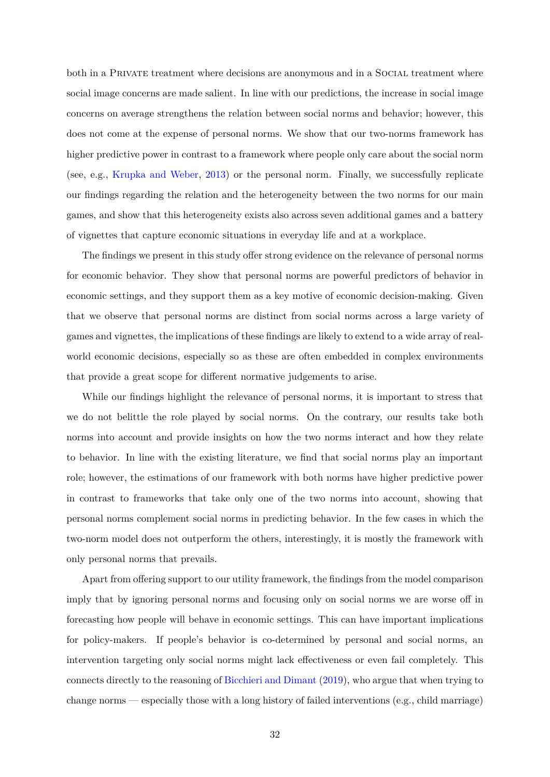both in a PRIVATE treatment where decisions are anonymous and in a SOCIAL treatment where social image concerns are made salient. In line with our predictions, the increase in social image concerns on average strengthens the relation between social norms and behavior; however, this does not come at the expense of personal norms. We show that our two-norms framework has higher predictive power in contrast to a framework where people only care about the social norm (see, e.g., [Krupka and Weber](#page-40-0), [2013](#page-40-0)) or the personal norm. Finally, we successfully replicate our findings regarding the relation and the heterogeneity between the two norms for our main games, and show that this heterogeneity exists also across seven additional games and a battery of vignettes that capture economic situations in everyday life and at a workplace.

The findings we present in this study offer strong evidence on the relevance of personal norms for economic behavior. They show that personal norms are powerful predictors of behavior in economic settings, and they support them as a key motive of economic decision-making. Given that we observe that personal norms are distinct from social norms across a large variety of games and vignettes, the implications of these findings are likely to extend to a wide array of realworld economic decisions, especially so as these are often embedded in complex environments that provide a great scope for different normative judgements to arise.

While our findings highlight the relevance of personal norms, it is important to stress that we do not belittle the role played by social norms. On the contrary, our results take both norms into account and provide insights on how the two norms interact and how they relate to behavior. In line with the existing literature, we find that social norms play an important role; however, the estimations of our framework with both norms have higher predictive power in contrast to frameworks that take only one of the two norms into account, showing that personal norms complement social norms in predicting behavior. In the few cases in which the two-norm model does not outperform the others, interestingly, it is mostly the framework with only personal norms that prevails.

Apart from offering support to our utility framework, the findings from the model comparison imply that by ignoring personal norms and focusing only on social norms we are worse off in forecasting how people will behave in economic settings. This can have important implications for policy-makers. If people's behavior is co-determined by personal and social norms, an intervention targeting only social norms might lack effectiveness or even fail completely. This connects directly to the reasoning of [Bicchieri and Dimant](#page-36-12) ([2019](#page-36-12)), who argue that when trying to change norms — especially those with a long history of failed interventions (e.g., child marriage)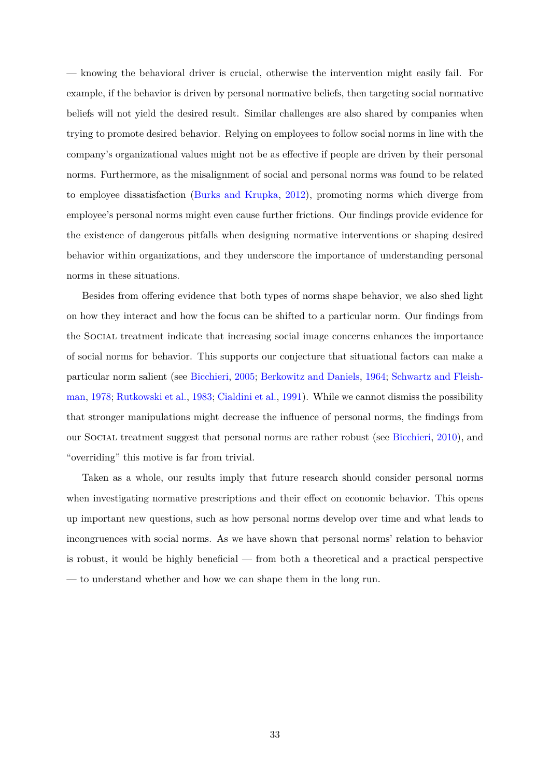— knowing the behavioral driver is crucial, otherwise the intervention might easily fail. For example, if the behavior is driven by personal normative beliefs, then targeting social normative beliefs will not yield the desired result. Similar challenges are also shared by companies when trying to promote desired behavior. Relying on employees to follow social norms in line with the company's organizational values might not be as effective if people are driven by their personal norms. Furthermore, as the misalignment of social and personal norms was found to be related to employee dissatisfaction [\(Burks and Krupka](#page-37-4), [2012\)](#page-37-4), promoting norms which diverge from employee's personal norms might even cause further frictions. Our findings provide evidence for the existence of dangerous pitfalls when designing normative interventions or shaping desired behavior within organizations, and they underscore the importance of understanding personal norms in these situations.

Besides from offering evidence that both types of norms shape behavior, we also shed light on how they interact and how the focus can be shifted to a particular norm. Our findings from the Social treatment indicate that increasing social image concerns enhances the importance of social norms for behavior. This supports our conjecture that situational factors can make a particular norm salient (see [Bicchieri,](#page-36-2) [2005;](#page-36-2) [Berkowitz and Daniels](#page-36-9), [1964;](#page-36-9) [Schwartz and Fleish](#page-41-3)[man,](#page-41-3) [1978](#page-41-3); [Rutkowski et al.,](#page-41-9) [1983;](#page-41-9) [Cialdini et al.](#page-37-0), [1991](#page-37-0)). While we cannot dismiss the possibility that stronger manipulations might decrease the influence of personal norms, the findings from our Social treatment suggest that personal norms are rather robust (see [Bicchieri,](#page-36-10) [2010\)](#page-36-10), and "overriding" this motive is far from trivial.

Taken as a whole, our results imply that future research should consider personal norms when investigating normative prescriptions and their effect on economic behavior. This opens up important new questions, such as how personal norms develop over time and what leads to incongruences with social norms. As we have shown that personal norms' relation to behavior is robust, it would be highly beneficial — from both a theoretical and a practical perspective — to understand whether and how we can shape them in the long run.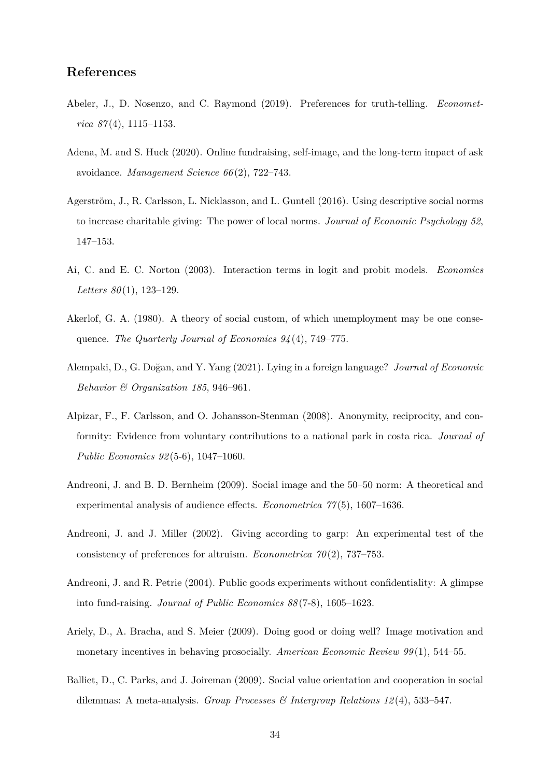## **References**

- <span id="page-35-1"></span>Abeler, J., D. Nosenzo, and C. Raymond (2019). Preferences for truth-telling. *Econometrica 87* (4), 1115–1153.
- <span id="page-35-5"></span>Adena, M. and S. Huck (2020). Online fundraising, self-image, and the long-term impact of ask avoidance. *Management Science 66* (2), 722–743.
- <span id="page-35-3"></span>Agerström, J., R. Carlsson, L. Nicklasson, and L. Guntell (2016). Using descriptive social norms to increase charitable giving: The power of local norms. *Journal of Economic Psychology 52*, 147–153.
- <span id="page-35-11"></span>Ai, C. and E. C. Norton (2003). Interaction terms in logit and probit models. *Economics Letters 80* (1), 123–129.
- <span id="page-35-2"></span>Akerlof, G. A. (1980). A theory of social custom, of which unemployment may be one consequence. *The Quarterly Journal of Economics 94* (4), 749–775.
- <span id="page-35-4"></span>Alempaki, D., G. Doğan, and Y. Yang (2021). Lying in a foreign language? *Journal of Economic Behavior & Organization 185*, 946–961.
- <span id="page-35-7"></span>Alpizar, F., F. Carlsson, and O. Johansson-Stenman (2008). Anonymity, reciprocity, and conformity: Evidence from voluntary contributions to a national park in costa rica. *Journal of Public Economics 92* (5-6), 1047–1060.
- <span id="page-35-0"></span>Andreoni, J. and B. D. Bernheim (2009). Social image and the 50–50 norm: A theoretical and experimental analysis of audience effects. *Econometrica 77* (5), 1607–1636.
- <span id="page-35-9"></span>Andreoni, J. and J. Miller (2002). Giving according to garp: An experimental test of the consistency of preferences for altruism. *Econometrica 70* (2), 737–753.
- <span id="page-35-6"></span>Andreoni, J. and R. Petrie (2004). Public goods experiments without confidentiality: A glimpse into fund-raising. *Journal of Public Economics 88* (7-8), 1605–1623.
- <span id="page-35-8"></span>Ariely, D., A. Bracha, and S. Meier (2009). Doing good or doing well? Image motivation and monetary incentives in behaving prosocially. *American Economic Review 99* (1), 544–55.
- <span id="page-35-10"></span>Balliet, D., C. Parks, and J. Joireman (2009). Social value orientation and cooperation in social dilemmas: A meta-analysis. *Group Processes & Intergroup Relations 12* (4), 533–547.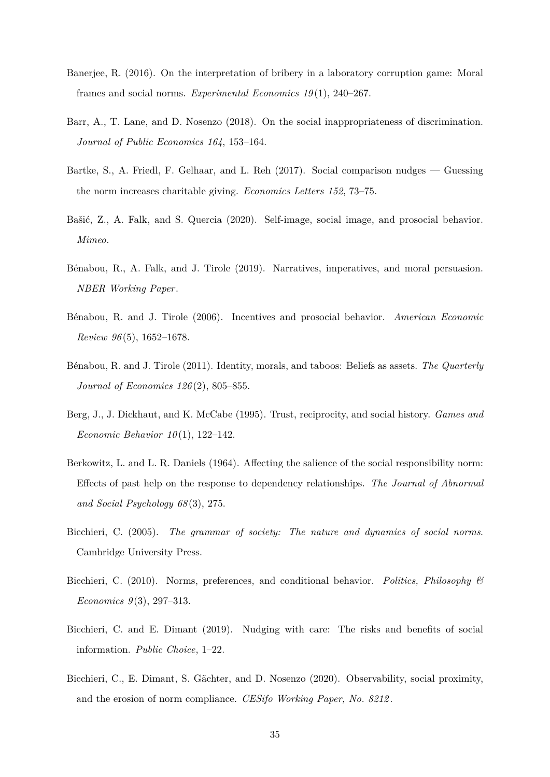- Banerjee, R. (2016). On the interpretation of bribery in a laboratory corruption game: Moral frames and social norms. *Experimental Economics 19* (1), 240–267.
- Barr, A., T. Lane, and D. Nosenzo (2018). On the social inappropriateness of discrimination. *Journal of Public Economics 164*, 153–164.
- Bartke, S., A. Friedl, F. Gelhaar, and L. Reh (2017). Social comparison nudges Guessing the norm increases charitable giving. *Economics Letters 152*, 73–75.
- Bašić, Z., A. Falk, and S. Quercia (2020). Self-image, social image, and prosocial behavior. *Mimeo*.
- Bénabou, R., A. Falk, and J. Tirole (2019). Narratives, imperatives, and moral persuasion. *NBER Working Paper*.
- Bénabou, R. and J. Tirole (2006). Incentives and prosocial behavior. *American Economic Review 96* (5), 1652–1678.
- Bénabou, R. and J. Tirole (2011). Identity, morals, and taboos: Beliefs as assets. *The Quarterly Journal of Economics 126* (2), 805–855.
- Berg, J., J. Dickhaut, and K. McCabe (1995). Trust, reciprocity, and social history. *Games and Economic Behavior 10* (1), 122–142.
- Berkowitz, L. and L. R. Daniels (1964). Affecting the salience of the social responsibility norm: Effects of past help on the response to dependency relationships. *The Journal of Abnormal and Social Psychology 68* (3), 275.
- Bicchieri, C. (2005). *The grammar of society: The nature and dynamics of social norms*. Cambridge University Press.
- Bicchieri, C. (2010). Norms, preferences, and conditional behavior. *Politics, Philosophy & Economics 9* (3), 297–313.
- Bicchieri, C. and E. Dimant (2019). Nudging with care: The risks and benefits of social information. *Public Choice*, 1–22.
- Bicchieri, C., E. Dimant, S. Gächter, and D. Nosenzo (2020). Observability, social proximity, and the erosion of norm compliance. *CESifo Working Paper, No. 8212* .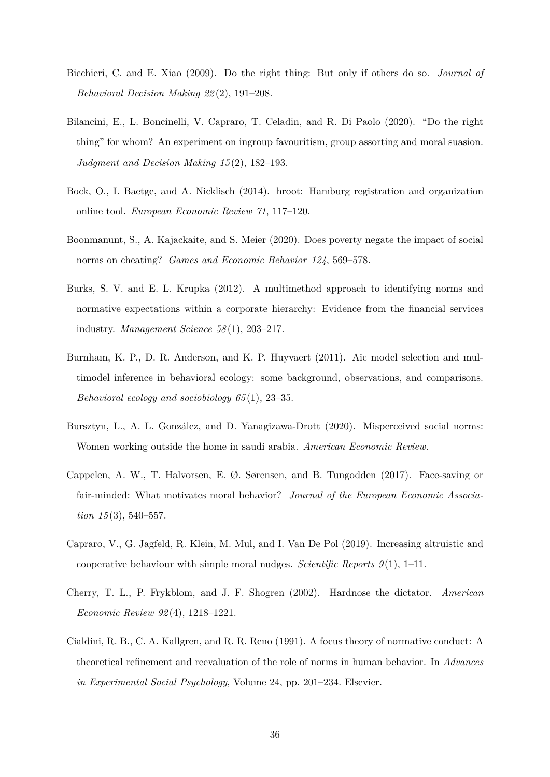- Bicchieri, C. and E. Xiao (2009). Do the right thing: But only if others do so. *Journal of Behavioral Decision Making 22* (2), 191–208.
- Bilancini, E., L. Boncinelli, V. Capraro, T. Celadin, and R. Di Paolo (2020). "Do the right thing" for whom? An experiment on ingroup favouritism, group assorting and moral suasion. *Judgment and Decision Making 15* (2), 182–193.
- <span id="page-37-0"></span>Bock, O., I. Baetge, and A. Nicklisch (2014). hroot: Hamburg registration and organization online tool. *European Economic Review 71*, 117–120.
- Boonmanunt, S., A. Kajackaite, and S. Meier (2020). Does poverty negate the impact of social norms on cheating? *Games and Economic Behavior 124*, 569–578.
- Burks, S. V. and E. L. Krupka (2012). A multimethod approach to identifying norms and normative expectations within a corporate hierarchy: Evidence from the financial services industry. *Management Science 58* (1), 203–217.
- Burnham, K. P., D. R. Anderson, and K. P. Huyvaert (2011). Aic model selection and multimodel inference in behavioral ecology: some background, observations, and comparisons. *Behavioral ecology and sociobiology 65* (1), 23–35.
- Bursztyn, L., A. L. González, and D. Yanagizawa-Drott (2020). Misperceived social norms: Women working outside the home in saudi arabia. *American Economic Review*.
- Cappelen, A. W., T. Halvorsen, E. Ø. Sørensen, and B. Tungodden (2017). Face-saving or fair-minded: What motivates moral behavior? *Journal of the European Economic Association 15* (3), 540–557.
- Capraro, V., G. Jagfeld, R. Klein, M. Mul, and I. Van De Pol (2019). Increasing altruistic and cooperative behaviour with simple moral nudges. *Scientific Reports 9* (1), 1–11.
- Cherry, T. L., P. Frykblom, and J. F. Shogren (2002). Hardnose the dictator. *American Economic Review 92* (4), 1218–1221.
- Cialdini, R. B., C. A. Kallgren, and R. R. Reno (1991). A focus theory of normative conduct: A theoretical refinement and reevaluation of the role of norms in human behavior. In *Advances in Experimental Social Psychology*, Volume 24, pp. 201–234. Elsevier.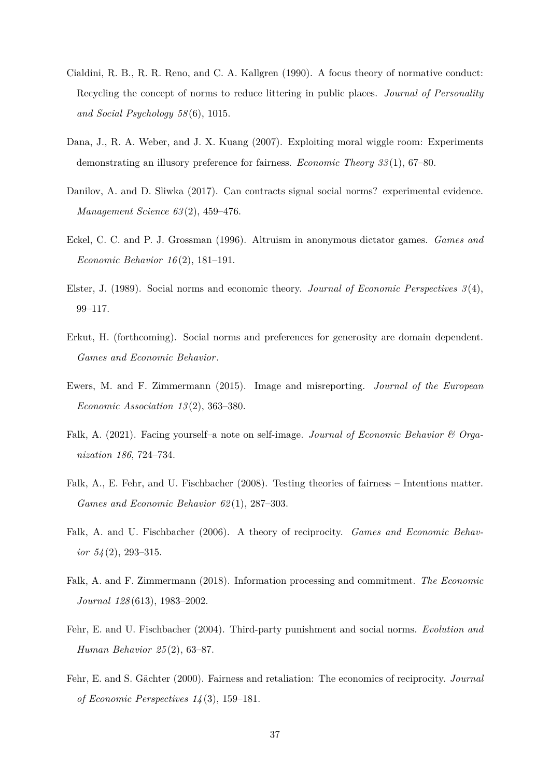- Cialdini, R. B., R. R. Reno, and C. A. Kallgren (1990). A focus theory of normative conduct: Recycling the concept of norms to reduce littering in public places. *Journal of Personality and Social Psychology 58* (6), 1015.
- Dana, J., R. A. Weber, and J. X. Kuang (2007). Exploiting moral wiggle room: Experiments demonstrating an illusory preference for fairness. *Economic Theory 33* (1), 67–80.
- Danilov, A. and D. Sliwka (2017). Can contracts signal social norms? experimental evidence. *Management Science 63* (2), 459–476.
- Eckel, C. C. and P. J. Grossman (1996). Altruism in anonymous dictator games. *Games and Economic Behavior 16* (2), 181–191.
- Elster, J. (1989). Social norms and economic theory. *Journal of Economic Perspectives 3* (4), 99–117.
- Erkut, H. (forthcoming). Social norms and preferences for generosity are domain dependent. *Games and Economic Behavior*.
- Ewers, M. and F. Zimmermann (2015). Image and misreporting. *Journal of the European Economic Association 13* (2), 363–380.
- Falk, A. (2021). Facing yourself–a note on self-image. *Journal of Economic Behavior & Organization 186*, 724–734.
- Falk, A., E. Fehr, and U. Fischbacher (2008). Testing theories of fairness Intentions matter. *Games and Economic Behavior 62* (1), 287–303.
- Falk, A. and U. Fischbacher (2006). A theory of reciprocity. *Games and Economic Behavior 54* (2), 293–315.
- Falk, A. and F. Zimmermann (2018). Information processing and commitment. *The Economic Journal 128* (613), 1983–2002.
- Fehr, E. and U. Fischbacher (2004). Third-party punishment and social norms. *Evolution and Human Behavior 25* (2), 63–87.
- Fehr, E. and S. Gächter (2000). Fairness and retaliation: The economics of reciprocity. *Journal of Economic Perspectives 14* (3), 159–181.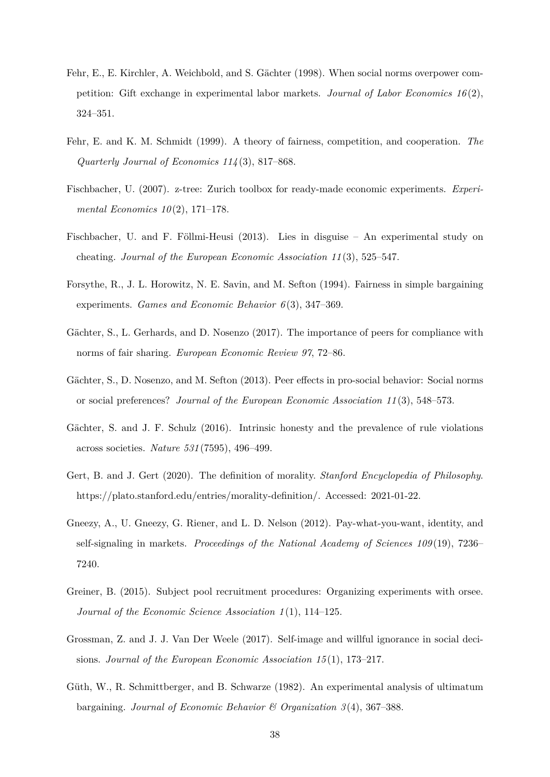- Fehr, E., E. Kirchler, A. Weichbold, and S. Gächter (1998). When social norms overpower competition: Gift exchange in experimental labor markets. *Journal of Labor Economics 16* (2), 324–351.
- Fehr, E. and K. M. Schmidt (1999). A theory of fairness, competition, and cooperation. *The Quarterly Journal of Economics 114* (3), 817–868.
- <span id="page-39-1"></span>Fischbacher, U. (2007). z-tree: Zurich toolbox for ready-made economic experiments. *Experimental Economics 10* (2), 171–178.
- Fischbacher, U. and F. Föllmi-Heusi (2013). Lies in disguise An experimental study on cheating. *Journal of the European Economic Association 11* (3), 525–547.
- Forsythe, R., J. L. Horowitz, N. E. Savin, and M. Sefton (1994). Fairness in simple bargaining experiments. *Games and Economic Behavior 6* (3), 347–369.
- Gächter, S., L. Gerhards, and D. Nosenzo (2017). The importance of peers for compliance with norms of fair sharing. *European Economic Review 97*, 72–86.
- <span id="page-39-0"></span>Gächter, S., D. Nosenzo, and M. Sefton (2013). Peer effects in pro-social behavior: Social norms or social preferences? *Journal of the European Economic Association 11* (3), 548–573.
- Gächter, S. and J. F. Schulz (2016). Intrinsic honesty and the prevalence of rule violations across societies. *Nature 531* (7595), 496–499.
- Gert, B. and J. Gert (2020). The definition of morality. *Stanford Encyclopedia of Philosophy*. https://plato.stanford.edu/entries/morality-definition/. Accessed: 2021-01-22.
- Gneezy, A., U. Gneezy, G. Riener, and L. D. Nelson (2012). Pay-what-you-want, identity, and self-signaling in markets. *Proceedings of the National Academy of Sciences 109* (19), 7236– 7240.
- Greiner, B. (2015). Subject pool recruitment procedures: Organizing experiments with orsee. *Journal of the Economic Science Association 1* (1), 114–125.
- Grossman, Z. and J. J. Van Der Weele (2017). Self-image and willful ignorance in social decisions. *Journal of the European Economic Association 15* (1), 173–217.
- Güth, W., R. Schmittberger, and B. Schwarze (1982). An experimental analysis of ultimatum bargaining. *Journal of Economic Behavior & Organization 3* (4), 367–388.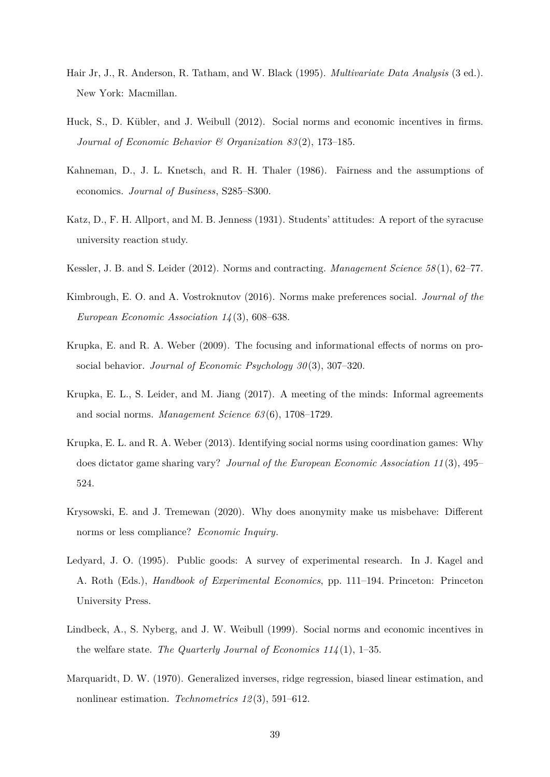- Hair Jr, J., R. Anderson, R. Tatham, and W. Black (1995). *Multivariate Data Analysis* (3 ed.). New York: Macmillan.
- Huck, S., D. Kübler, and J. Weibull (2012). Social norms and economic incentives in firms. *Journal of Economic Behavior & Organization 83* (2), 173–185.
- Kahneman, D., J. L. Knetsch, and R. H. Thaler (1986). Fairness and the assumptions of economics. *Journal of Business*, S285–S300.
- Katz, D., F. H. Allport, and M. B. Jenness (1931). Students' attitudes: A report of the syracuse university reaction study.
- Kessler, J. B. and S. Leider (2012). Norms and contracting. *Management Science 58* (1), 62–77.
- Kimbrough, E. O. and A. Vostroknutov (2016). Norms make preferences social. *Journal of the European Economic Association 14* (3), 608–638.
- Krupka, E. and R. A. Weber (2009). The focusing and informational effects of norms on prosocial behavior. *Journal of Economic Psychology 30* (3), 307–320.
- <span id="page-40-1"></span>Krupka, E. L., S. Leider, and M. Jiang (2017). A meeting of the minds: Informal agreements and social norms. *Management Science 63* (6), 1708–1729.
- <span id="page-40-0"></span>Krupka, E. L. and R. A. Weber (2013). Identifying social norms using coordination games: Why does dictator game sharing vary? *Journal of the European Economic Association 11* (3), 495– 524.
- Krysowski, E. and J. Tremewan (2020). Why does anonymity make us misbehave: Different norms or less compliance? *Economic Inquiry*.
- Ledyard, J. O. (1995). Public goods: A survey of experimental research. In J. Kagel and A. Roth (Eds.), *Handbook of Experimental Economics*, pp. 111–194. Princeton: Princeton University Press.
- Lindbeck, A., S. Nyberg, and J. W. Weibull (1999). Social norms and economic incentives in the welfare state. *The Quarterly Journal of Economics 114* (1), 1–35.
- Marquaridt, D. W. (1970). Generalized inverses, ridge regression, biased linear estimation, and nonlinear estimation. *Technometrics 12* (3), 591–612.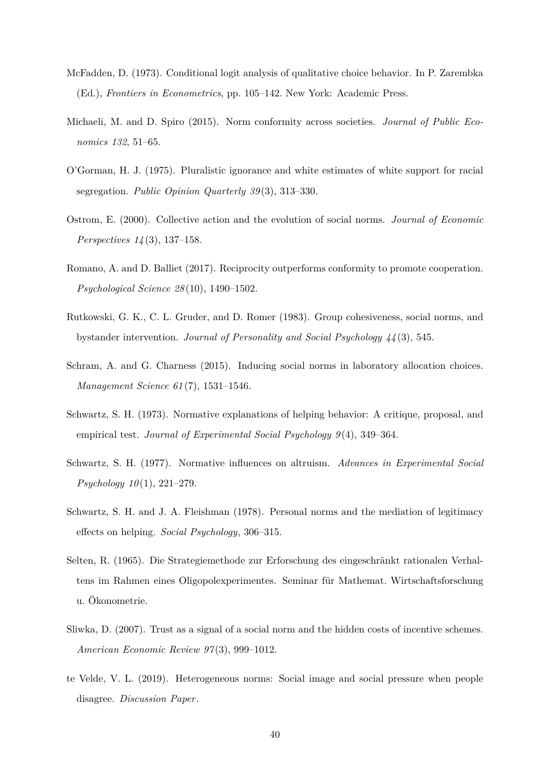- McFadden, D. (1973). Conditional logit analysis of qualitative choice behavior. In P. Zarembka (Ed.), *Frontiers in Econometrics*, pp. 105–142. New York: Academic Press.
- Michaeli, M. and D. Spiro (2015). Norm conformity across societies. *Journal of Public Economics 132*, 51–65.
- O'Gorman, H. J. (1975). Pluralistic ignorance and white estimates of white support for racial segregation. *Public Opinion Quarterly 39* (3), 313–330.
- Ostrom, E. (2000). Collective action and the evolution of social norms. *Journal of Economic Perspectives 14* (3), 137–158.
- Romano, A. and D. Balliet (2017). Reciprocity outperforms conformity to promote cooperation. *Psychological Science 28* (10), 1490–1502.
- Rutkowski, G. K., C. L. Gruder, and D. Romer (1983). Group cohesiveness, social norms, and bystander intervention. *Journal of Personality and Social Psychology 44* (3), 545.
- Schram, A. and G. Charness (2015). Inducing social norms in laboratory allocation choices. *Management Science 61* (7), 1531–1546.
- Schwartz, S. H. (1973). Normative explanations of helping behavior: A critique, proposal, and empirical test. *Journal of Experimental Social Psychology 9* (4), 349–364.
- Schwartz, S. H. (1977). Normative influences on altruism. *Advances in Experimental Social Psychology 10* (1), 221–279.
- Schwartz, S. H. and J. A. Fleishman (1978). Personal norms and the mediation of legitimacy effects on helping. *Social Psychology*, 306–315.
- Selten, R. (1965). Die Strategiemethode zur Erforschung des eingeschränkt rationalen Verhaltens im Rahmen eines Oligopolexperimentes. Seminar für Mathemat. Wirtschaftsforschung u. Ökonometrie.
- Sliwka, D. (2007). Trust as a signal of a social norm and the hidden costs of incentive schemes. *American Economic Review 97* (3), 999–1012.
- te Velde, V. L. (2019). Heterogeneous norms: Social image and social pressure when people disagree. *Discussion Paper*.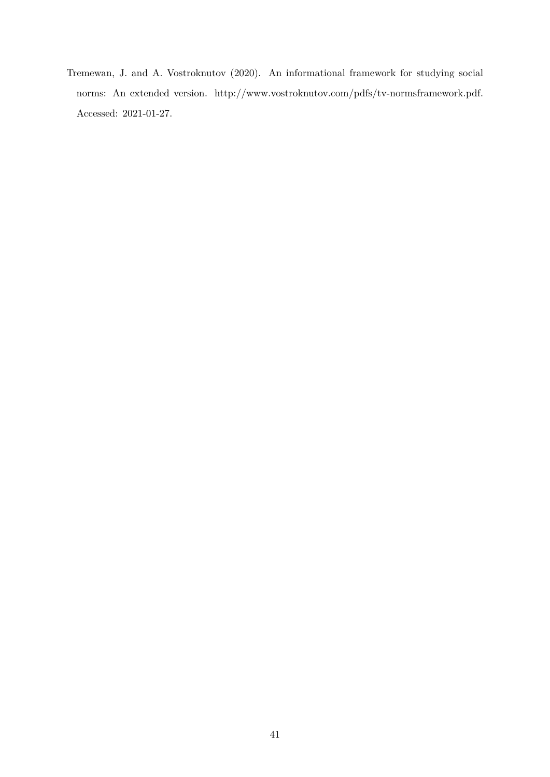Tremewan, J. and A. Vostroknutov (2020). An informational framework for studying social norms: An extended version. http://www.vostroknutov.com/pdfs/tv-normsframework.pdf. Accessed: 2021-01-27.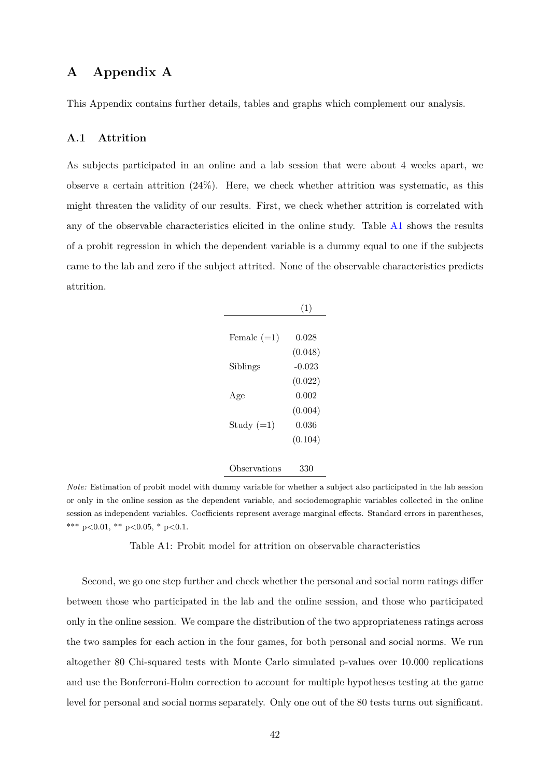# **A Appendix A**

This Appendix contains further details, tables and graphs which complement our analysis.

### **A.1 Attrition**

<span id="page-43-0"></span>As subjects participated in an online and a lab session that were about 4 weeks apart, we observe a certain attrition  $(24\%)$ . Here, we check whether attrition was systematic, as this might threaten the validity of our results. First, we check whether attrition is correlated with any of the observable characteristics elicited in the online study. Table [A1](#page-43-0) shows the results of a probit regression in which the dependent variable is a dummy equal to one if the subjects came to the lab and zero if the subject attrited. None of the observable characteristics predicts attrition.

|               | (1)      |
|---------------|----------|
|               |          |
| Female $(=1)$ | 0.028    |
|               | (0.048)  |
| Siblings      | $-0.023$ |
|               | (0.022)  |
| Age           | 0.002    |
|               | (0.004)  |
| Study $(=1)$  | 0.036    |
|               | (0.104)  |
|               |          |
| Observations  | 330      |

*Note:* Estimation of probit model with dummy variable for whether a subject also participated in the lab session or only in the online session as the dependent variable, and sociodemographic variables collected in the online session as independent variables. Coefficients represent average marginal effects. Standard errors in parentheses, \*\*\* p*<*0.01, \*\* p*<*0.05, \* p*<*0.1.

Table A1: Probit model for attrition on observable characteristics

Second, we go one step further and check whether the personal and social norm ratings differ between those who participated in the lab and the online session, and those who participated only in the online session. We compare the distribution of the two appropriateness ratings across the two samples for each action in the four games, for both personal and social norms. We run altogether 80 Chi-squared tests with Monte Carlo simulated p-values over 10.000 replications and use the Bonferroni-Holm correction to account for multiple hypotheses testing at the game level for personal and social norms separately. Only one out of the 80 tests turns out significant.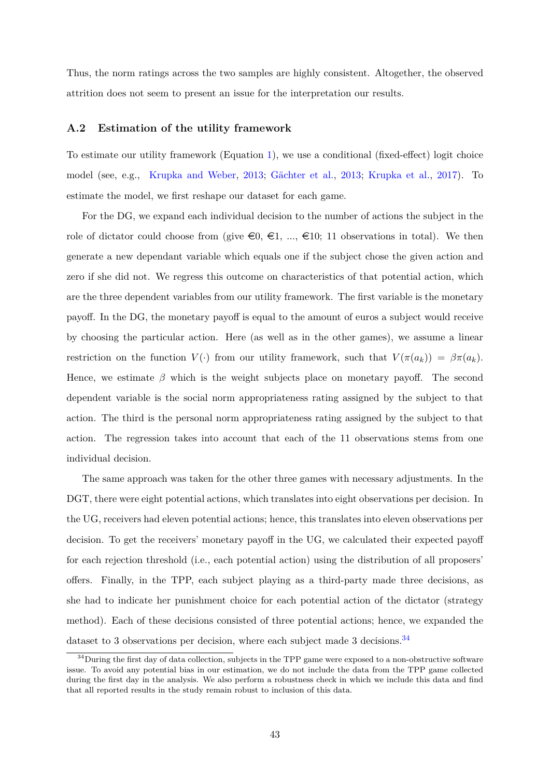Thus, the norm ratings across the two samples are highly consistent. Altogether, the observed attrition does not seem to present an issue for the interpretation our results.

### **A.2 Estimation of the utility framework**

To estimate our utility framework (Equation [1\)](#page-12-0), we use a conditional (fixed-effect) logit choice model (see, e.g., [Krupka and Weber,](#page-40-0) [2013](#page-40-0); [Gächter et al.](#page-39-0), [2013;](#page-39-0) [Krupka et al.](#page-40-1), [2017](#page-40-1)). To estimate the model, we first reshape our dataset for each game.

For the DG, we expand each individual decision to the number of actions the subject in the role of dictator could choose from (give  $\epsilon_0, \epsilon_1, ..., \epsilon_{10}$ ; 11 observations in total). We then generate a new dependant variable which equals one if the subject chose the given action and zero if she did not. We regress this outcome on characteristics of that potential action, which are the three dependent variables from our utility framework. The first variable is the monetary payoff. In the DG, the monetary payoff is equal to the amount of euros a subject would receive by choosing the particular action. Here (as well as in the other games), we assume a linear restriction on the function  $V(\cdot)$  from our utility framework, such that  $V(\pi(a_k)) = \beta \pi(a_k)$ . Hence, we estimate  $\beta$  which is the weight subjects place on monetary payoff. The second dependent variable is the social norm appropriateness rating assigned by the subject to that action. The third is the personal norm appropriateness rating assigned by the subject to that action. The regression takes into account that each of the 11 observations stems from one individual decision.

The same approach was taken for the other three games with necessary adjustments. In the DGT, there were eight potential actions, which translates into eight observations per decision. In the UG, receivers had eleven potential actions; hence, this translates into eleven observations per decision. To get the receivers' monetary payoff in the UG, we calculated their expected payoff for each rejection threshold (i.e., each potential action) using the distribution of all proposers' offers. Finally, in the TPP, each subject playing as a third-party made three decisions, as she had to indicate her punishment choice for each potential action of the dictator (strategy method). Each of these decisions consisted of three potential actions; hence, we expanded the dataset to 3 observations per decision, where each subject made 3 decisions.<sup>34</sup>

 $34$ During the first day of data collection, subjects in the TPP game were exposed to a non-obstructive software issue. To avoid any potential bias in our estimation, we do not include the data from the TPP game collected during the first day in the analysis. We also perform a robustness check in which we include this data and find that all reported results in the study remain robust to inclusion of this data.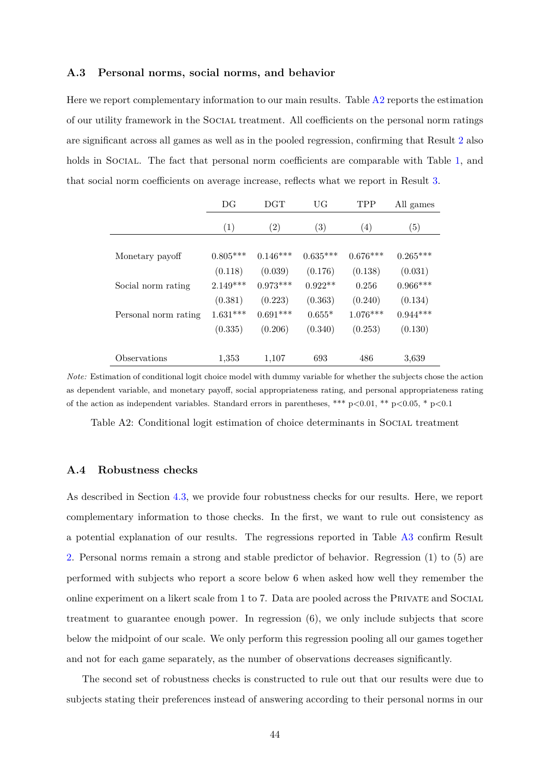### **A.3 Personal norms, social norms, and behavior**

Here we report complementary information to our main results. Table [A2](#page-45-0) reports the estimation of our utility framework in the Social treatment. All coefficients on the personal norm ratings are significant across all games as well as in the pooled regression, confirming that Result [2](#page-21-0) also holds in Social. The fact that personal norm coefficients are comparable with Table [1](#page-22-0), and that social norm coefficients on average increase, reflects what we report in Result [3.](#page-22-1)

<span id="page-45-0"></span>

|                      | DG         | <b>DGT</b>        | UG                | <b>TPP</b> | All games  |
|----------------------|------------|-------------------|-------------------|------------|------------|
|                      | (1)        | $\left( 2\right)$ | $\left( 3\right)$ | (4)        | (5)        |
| Monetary payoff      | $0.805***$ | $0.146***$        | $0.635***$        | $0.676***$ | $0.265***$ |
|                      | (0.118)    | (0.039)           | (0.176)           | (0.138)    | (0.031)    |
| Social norm rating   | $2.149***$ | $0.973***$        | $0.922**$         | 0.256      | $0.966***$ |
|                      | (0.381)    | (0.223)           | (0.363)           | (0.240)    | (0.134)    |
| Personal norm rating | $1.631***$ | $0.691***$        | $0.655*$          | $1.076***$ | $0.944***$ |
|                      | (0.335)    | (0.206)           | (0.340)           | (0.253)    | (0.130)    |
|                      |            |                   |                   |            |            |
| Observations         | 1,353      | 1,107             | 693               | 486        | 3,639      |

*Note:* Estimation of conditional logit choice model with dummy variable for whether the subjects chose the action as dependent variable, and monetary payoff, social appropriateness rating, and personal appropriateness rating of the action as independent variables. Standard errors in parentheses, \*\*\* p*<*0.01, \*\* p*<*0.05, \* p*<*0.1

Table A2: Conditional logit estimation of choice determinants in SOCIAL treatment

### **A.4 Robustness checks**

As described in Section [4.3](#page-24-0), we provide four robustness checks for our results. Here, we report complementary information to those checks. In the first, we want to rule out consistency as a potential explanation of our results. The regressions reported in Table [A3](#page-46-0) confirm Result [2](#page-21-0). Personal norms remain a strong and stable predictor of behavior. Regression (1) to (5) are performed with subjects who report a score below 6 when asked how well they remember the online experiment on a likert scale from 1 to 7. Data are pooled across the Private and Social treatment to guarantee enough power. In regression (6), we only include subjects that score below the midpoint of our scale. We only perform this regression pooling all our games together and not for each game separately, as the number of observations decreases significantly.

The second set of robustness checks is constructed to rule out that our results were due to subjects stating their preferences instead of answering according to their personal norms in our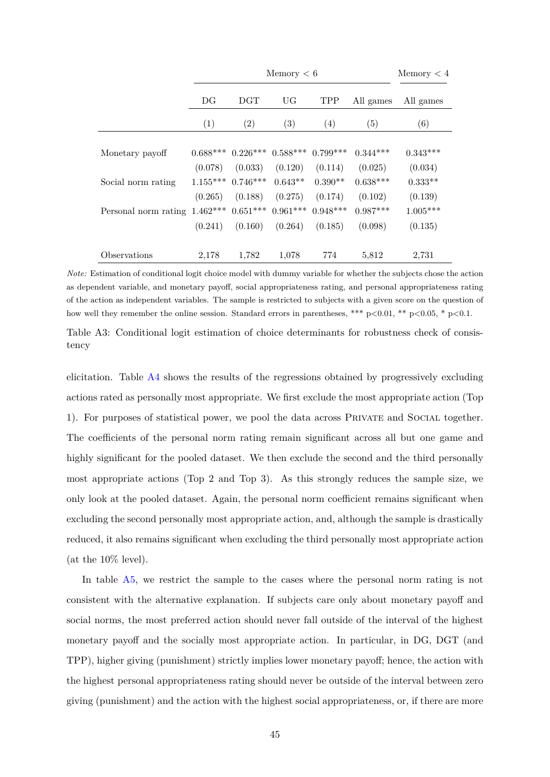<span id="page-46-0"></span>

|                      |            |              | Memory < 6                       |            |            | Memory < 4 |
|----------------------|------------|--------------|----------------------------------|------------|------------|------------|
|                      | DG         | $_{\rm DGT}$ | UG                               | <b>TPP</b> | All games  | All games  |
|                      | (1)        | (2)          | (3)                              | (4)        | (5)        | (6)        |
| Monetary payoff      | $0.688***$ |              | $0.226***$ $0.588***$ $0.799***$ |            | $0.344***$ | $0.343***$ |
|                      | (0.078)    | (0.033)      | (0.120)                          | (0.114)    | (0.025)    | (0.034)    |
| Social norm rating   | $1.155***$ | $0.746***$   | $0.643**$                        | $0.390**$  | $0.638***$ | $0.333**$  |
|                      | (0.265)    | (0.188)      | (0.275)                          | (0.174)    | (0.102)    | (0.139)    |
| Personal norm rating | $1.462***$ | $0.651***$   | $0.961***$                       | $0.948***$ | $0.987***$ | $1.005***$ |
|                      | (0.241)    | (0.160)      | (0.264)                          | (0.185)    | (0.098)    | (0.135)    |
| Observations         | 2,178      | 1,782        | 1,078                            | 774        | 5,812      | 2,731      |

*Note:* Estimation of conditional logit choice model with dummy variable for whether the subjects chose the action as dependent variable, and monetary payoff, social appropriateness rating, and personal appropriateness rating of the action as independent variables. The sample is restricted to subjects with a given score on the question of how well they remember the online session. Standard errors in parentheses, \*\*\* p*<*0.01, \*\* p*<*0.05, \* p*<*0.1.

Table A3: Conditional logit estimation of choice determinants for robustness check of consistency

elicitation. Table [A4](#page-47-0) shows the results of the regressions obtained by progressively excluding actions rated as personally most appropriate. We first exclude the most appropriate action (Top 1). For purposes of statistical power, we pool the data across Private and Social together. The coefficients of the personal norm rating remain significant across all but one game and highly significant for the pooled dataset. We then exclude the second and the third personally most appropriate actions (Top 2 and Top 3). As this strongly reduces the sample size, we only look at the pooled dataset. Again, the personal norm coefficient remains significant when excluding the second personally most appropriate action, and, although the sample is drastically reduced, it also remains significant when excluding the third personally most appropriate action (at the 10% level).

In table [A5](#page-48-0), we restrict the sample to the cases where the personal norm rating is not consistent with the alternative explanation. If subjects care only about monetary payoff and social norms, the most preferred action should never fall outside of the interval of the highest monetary payoff and the socially most appropriate action. In particular, in DG, DGT (and TPP), higher giving (punishment) strictly implies lower monetary payoff; hence, the action with the highest personal appropriateness rating should never be outside of the interval between zero giving (punishment) and the action with the highest social appropriateness, or, if there are more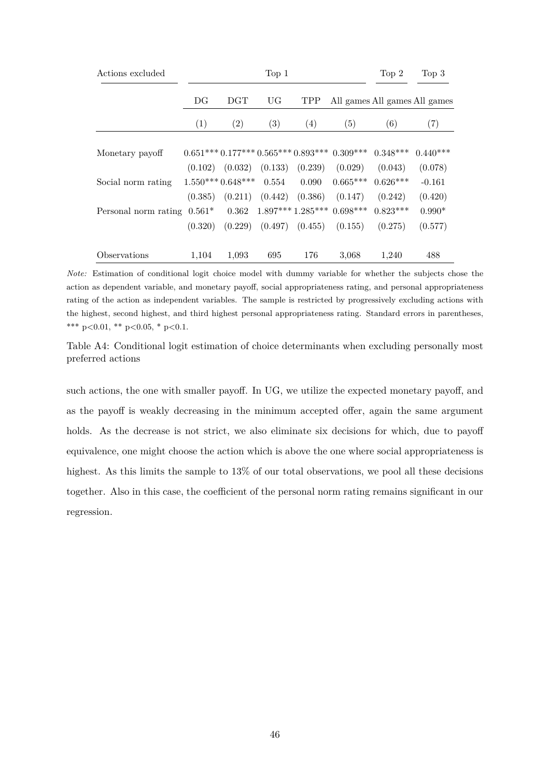<span id="page-47-0"></span>

| Actions excluded              |         |                                         | Top 1                         |                     |                                            | Top 2      | Top <sub>3</sub>              |
|-------------------------------|---------|-----------------------------------------|-------------------------------|---------------------|--------------------------------------------|------------|-------------------------------|
|                               | DG      | <b>DGT</b>                              | <b>UG</b>                     | <b>TPP</b>          |                                            |            | All games All games All games |
|                               | (1)     | (2)                                     | (3)                           | (4)                 | (5)                                        | (6)        | (7)                           |
| Monetary payoff               |         |                                         |                               |                     | $0.651***0.177***0.565***0.893***0.309***$ | $0.348***$ | $0.440***$                    |
|                               |         | $(0.102)$ $(0.032)$ $(0.133)$ $(0.239)$ |                               |                     | (0.029)                                    | (0.043)    | (0.078)                       |
| Social norm rating            |         | $1.550***0.648***$                      | 0.554                         | 0.090               | $0.665***$                                 | $0.626***$ | $-0.161$                      |
|                               | (0.385) |                                         | $(0.211)$ $(0.442)$ $(0.386)$ |                     | (0.147)                                    | (0.242)    | (0.420)                       |
| Personal norm rating $0.561*$ |         |                                         |                               |                     | $0.362 \quad 1.897***1.285***0.698***$     | $0.823***$ | $0.990*$                      |
|                               | (0.320) | (0.229)                                 |                               | $(0.497)$ $(0.455)$ | (0.155)                                    | (0.275)    | (0.577)                       |
| Observations                  | 1,104   | 1,093                                   | 695                           | 176                 | 3,068                                      | 1,240      | 488                           |

*Note:* Estimation of conditional logit choice model with dummy variable for whether the subjects chose the action as dependent variable, and monetary payoff, social appropriateness rating, and personal appropriateness rating of the action as independent variables. The sample is restricted by progressively excluding actions with the highest, second highest, and third highest personal appropriateness rating. Standard errors in parentheses, \*\*\* p*<*0.01, \*\* p*<*0.05, \* p*<*0.1.

Table A4: Conditional logit estimation of choice determinants when excluding personally most preferred actions

such actions, the one with smaller payoff. In UG, we utilize the expected monetary payoff, and as the payoff is weakly decreasing in the minimum accepted offer, again the same argument holds. As the decrease is not strict, we also eliminate six decisions for which, due to payoff equivalence, one might choose the action which is above the one where social appropriateness is highest. As this limits the sample to 13% of our total observations, we pool all these decisions together. Also in this case, the coefficient of the personal norm rating remains significant in our regression.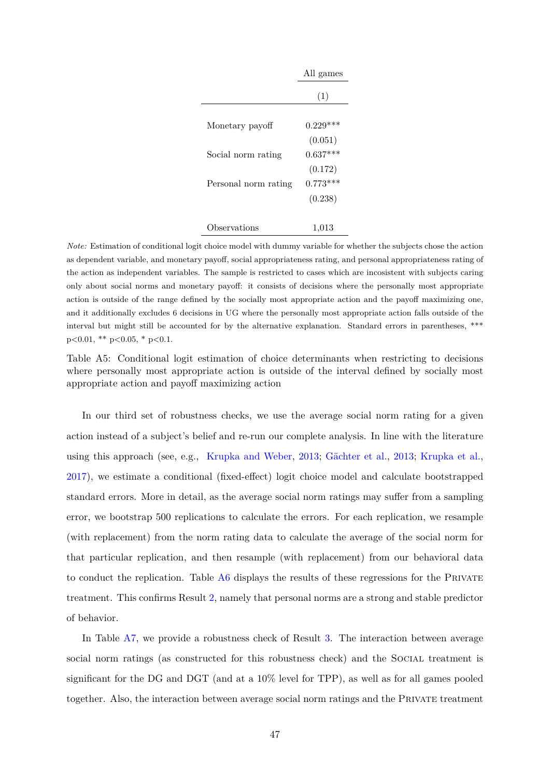<span id="page-48-0"></span>

|                      | All games  |
|----------------------|------------|
|                      | (1)        |
| Monetary payoff      | $0.229***$ |
|                      | (0.051)    |
| Social norm rating   | $0.637***$ |
|                      | (0.172)    |
| Personal norm rating | $0.773***$ |
|                      | (0.238)    |
| bservations          | 1,013      |

*Note:* Estimation of conditional logit choice model with dummy variable for whether the subjects chose the action as dependent variable, and monetary payoff, social appropriateness rating, and personal appropriateness rating of the action as independent variables. The sample is restricted to cases which are incosistent with subjects caring only about social norms and monetary payoff: it consists of decisions where the personally most appropriate action is outside of the range defined by the socially most appropriate action and the payoff maximizing one, and it additionally excludes 6 decisions in UG where the personally most appropriate action falls outside of the interval but might still be accounted for by the alternative explanation. Standard errors in parentheses, \*\*\* p*<*0.01, \*\* p*<*0.05, \* p*<*0.1.

Table A5: Conditional logit estimation of choice determinants when restricting to decisions where personally most appropriate action is outside of the interval defined by socially most appropriate action and payoff maximizing action

In our third set of robustness checks, we use the average social norm rating for a given action instead of a subject's belief and re-run our complete analysis. In line with the literature using this approach (see, e.g., [Krupka and Weber](#page-40-0), [2013](#page-40-0); [Gächter et al.](#page-39-0), [2013](#page-39-0); [Krupka et al.](#page-40-1), [2017\)](#page-40-1), we estimate a conditional (fixed-effect) logit choice model and calculate bootstrapped standard errors. More in detail, as the average social norm ratings may suffer from a sampling error, we bootstrap 500 replications to calculate the errors. For each replication, we resample (with replacement) from the norm rating data to calculate the average of the social norm for that particular replication, and then resample (with replacement) from our behavioral data to conduct the replication. Table [A6](#page-49-0) displays the results of these regressions for the PRIVATE treatment. This confirms Result [2,](#page-21-0) namely that personal norms are a strong and stable predictor of behavior.

In Table [A7](#page-50-0), we provide a robustness check of Result [3](#page-22-1). The interaction between average social norm ratings (as constructed for this robustness check) and the Social treatment is significant for the DG and DGT (and at a 10% level for TPP), as well as for all games pooled together. Also, the interaction between average social norm ratings and the Private treatment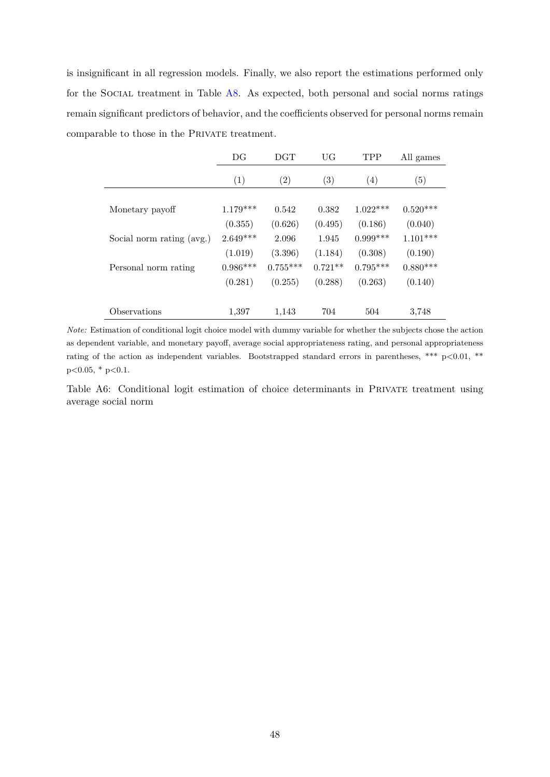is insignificant in all regression models. Finally, we also report the estimations performed only for the Social treatment in Table [A8.](#page-50-1) As expected, both personal and social norms ratings remain significant predictors of behavior, and the coefficients observed for personal norms remain comparable to those in the PRIVATE treatment.

<span id="page-49-0"></span>

|                           | DG         | $_{\rm DGT}$      | UG        | <b>TPP</b> | All games         |
|---------------------------|------------|-------------------|-----------|------------|-------------------|
|                           | (1)        | $\left( 2\right)$ | (3)       | (4)        | $\left( 5\right)$ |
|                           |            |                   |           |            |                   |
| Monetary payoff           | $1.179***$ | 0.542             | 0.382     | $1.022***$ | $0.520***$        |
|                           | (0.355)    | (0.626)           | (0.495)   | (0.186)    | (0.040)           |
| Social norm rating (avg.) | $2.649***$ | 2.096             | 1.945     | $0.999***$ | $1.101***$        |
|                           | (1.019)    | (3.396)           | (1.184)   | (0.308)    | (0.190)           |
| Personal norm rating      | $0.986***$ | $0.755***$        | $0.721**$ | $0.795***$ | $0.880***$        |
|                           | (0.281)    | (0.255)           | (0.288)   | (0.263)    | (0.140)           |
| Observations              | 1,397      | 1,143             | 704       | 504        | 3,748             |

*Note:* Estimation of conditional logit choice model with dummy variable for whether the subjects chose the action as dependent variable, and monetary payoff, average social appropriateness rating, and personal appropriateness rating of the action as independent variables. Bootstrapped standard errors in parentheses, \*\*\* p*<*0.01, \*\* p*<*0.05, \* p*<*0.1.

Table A6: Conditional logit estimation of choice determinants in PRIVATE treatment using average social norm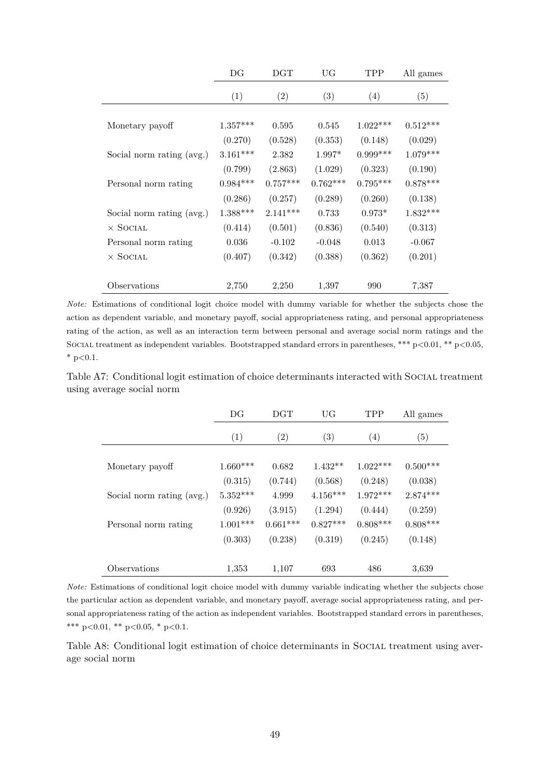<span id="page-50-0"></span>

|                           | DG         | $_{\rm DGT}$ | UG         | <b>TPP</b> | All games  |
|---------------------------|------------|--------------|------------|------------|------------|
|                           | (1)        | (2)          | (3)        | (4)        | (5)        |
|                           |            |              |            |            |            |
| Monetary payoff           | $1.357***$ | 0.595        | 0.545      | $1.022***$ | $0.512***$ |
|                           | (0.270)    | (0.528)      | (0.353)    | (0.148)    | (0.029)    |
| Social norm rating (avg.) | $3.161***$ | 2.382        | $1.997*$   | $0.999***$ | $1.079***$ |
|                           | (0.799)    | (2.863)      | (1.029)    | (0.323)    | (0.190)    |
| Personal norm rating      | $0.984***$ | $0.757***$   | $0.762***$ | $0.795***$ | $0.878***$ |
|                           | (0.286)    | (0.257)      | (0.289)    | (0.260)    | (0.138)    |
| Social norm rating (avg.) | $1.388***$ | $2.141***$   | 0.733      | $0.973*$   | $1.832***$ |
| $\times$ Social           | (0.414)    | (0.501)      | (0.836)    | (0.540)    | (0.313)    |
| Personal norm rating      | 0.036      | $-0.102$     | $-0.048$   | 0.013      | $-0.067$   |
| $\times$ Social           | (0.407)    | (0.342)      | (0.388)    | (0.362)    | (0.201)    |
|                           |            |              |            |            |            |
| Observations              | 2,750      | 2,250        | 1,397      | 990        | 7,387      |

*Note:* Estimations of conditional logit choice model with dummy variable for whether the subjects chose the action as dependent variable, and monetary payoff, social appropriateness rating, and personal appropriateness rating of the action, as well as an interaction term between personal and average social norm ratings and the Social treatment as independent variables. Bootstrapped standard errors in parentheses, \*\*\* p*<*0.01, \*\* p*<*0.05, \* p*<*0.1.

<span id="page-50-1"></span>Table A7: Conditional logit estimation of choice determinants interacted with SOCIAL treatment using average social norm

|                           | DG         | <b>DGT</b>        | <b>UG</b>         | <b>TPP</b> | All games  |
|---------------------------|------------|-------------------|-------------------|------------|------------|
|                           | (1)        | $\left( 2\right)$ | $\left( 3\right)$ | (4)        | (5)        |
| Monetary payoff           | $1.660***$ | 0.682             | $1.432**$         | $1.022***$ | $0.500***$ |
|                           | (0.315)    | (0.744)           | (0.568)           | (0.248)    | (0.038)    |
| Social norm rating (avg.) | $5.352***$ | 4.999             | $4.156***$        | $1.972***$ | $2.874***$ |
|                           | (0.926)    | (3.915)           | (1.294)           | (0.444)    | (0.259)    |
| Personal norm rating      | $1.001***$ | $0.661***$        | $0.827***$        | $0.808***$ | $0.808***$ |
|                           | (0.303)    | (0.238)           | (0.319)           | (0.245)    | (0.148)    |
|                           |            |                   |                   |            |            |
| Observations              | 1,353      | 1.107             | 693               | 486        | 3,639      |

*Note:* Estimations of conditional logit choice model with dummy variable indicating whether the subjects chose the particular action as dependent variable, and monetary payoff, average social appropriateness rating, and personal appropriateness rating of the action as independent variables. Bootstrapped standard errors in parentheses, \*\*\* p*<*0.01, \*\* p*<*0.05, \* p*<*0.1.

Table A8: Conditional logit estimation of choice determinants in SOCIAL treatment using average social norm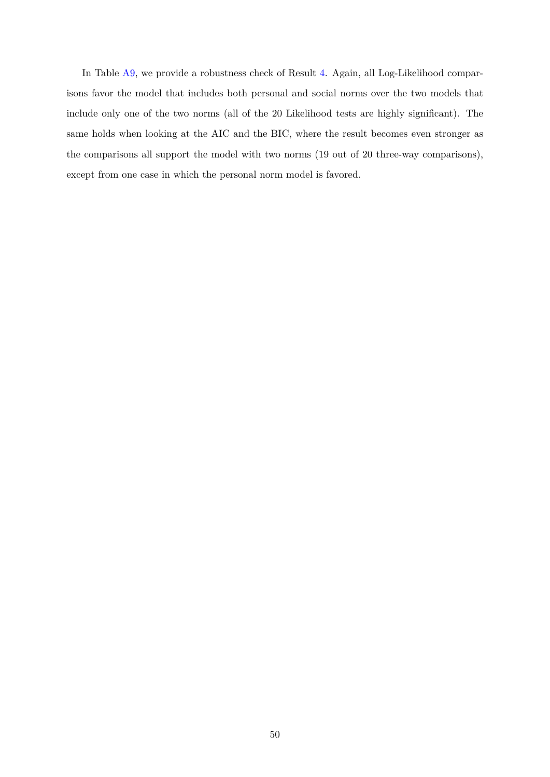In Table [A9](#page-52-0), we provide a robustness check of Result [4.](#page-24-1) Again, all Log-Likelihood comparisons favor the model that includes both personal and social norms over the two models that include only one of the two norms (all of the 20 Likelihood tests are highly significant). The same holds when looking at the AIC and the BIC, where the result becomes even stronger as the comparisons all support the model with two norms (19 out of 20 three-way comparisons), except from one case in which the personal norm model is favored.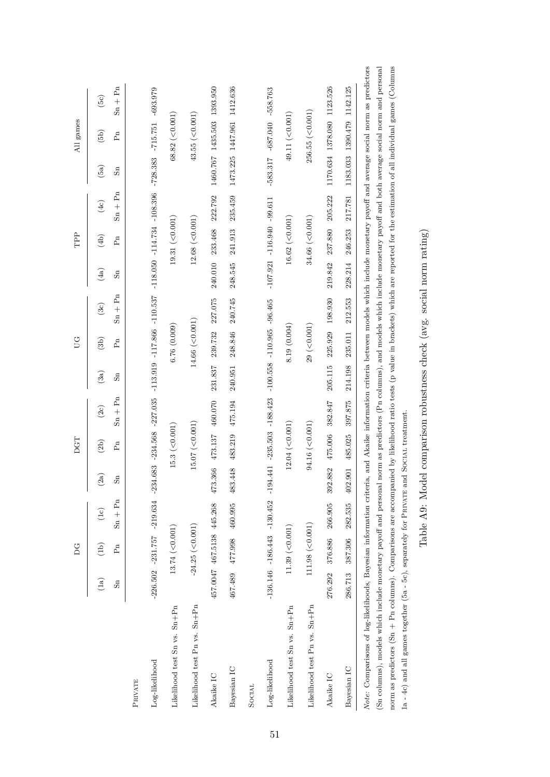|                                                                                                                                                                                                                                                                                                                                                                                                                                                         |                      | DG                        |                                                                                                                    |                         | DGT                     |                             |                      | S                |                 |                               | TPP                  |           |                                | All games        |                                                                                                                    |
|---------------------------------------------------------------------------------------------------------------------------------------------------------------------------------------------------------------------------------------------------------------------------------------------------------------------------------------------------------------------------------------------------------------------------------------------------------|----------------------|---------------------------|--------------------------------------------------------------------------------------------------------------------|-------------------------|-------------------------|-----------------------------|----------------------|------------------|-----------------|-------------------------------|----------------------|-----------|--------------------------------|------------------|--------------------------------------------------------------------------------------------------------------------|
|                                                                                                                                                                                                                                                                                                                                                                                                                                                         | (1a)                 | (lb)                      | $(1c)$                                                                                                             | (2a)                    | (2b)                    | (2c)                        | (3a)                 | (3b)             | (3c)            | (4a)                          | (4b)                 | (4c)      | (5a)                           | (5b)             | (5c)                                                                                                               |
|                                                                                                                                                                                                                                                                                                                                                                                                                                                         | $\operatorname{S}_n$ | $F_n$                     | $Sn + Pn$                                                                                                          | $\operatorname{ss}_{n}$ | $\mathbf{F}_\mathrm{R}$ | $\mathrm{Sn} + \mathrm{Pn}$ | $\operatorname{S}_n$ | Pn               | $Sn + Pn$       | S <sub>n</sub>                | Ρñ                   | $Sn + Pn$ | $\operatorname{S}_n$           | P <sub>n</sub>   | $Sn + Pn$                                                                                                          |
| <b>PRIVATE</b>                                                                                                                                                                                                                                                                                                                                                                                                                                          |                      |                           |                                                                                                                    |                         |                         |                             |                      |                  |                 |                               |                      |           |                                |                  |                                                                                                                    |
| Log-likelihood                                                                                                                                                                                                                                                                                                                                                                                                                                          |                      |                           | $-226.502 - 231.757 - 219.634 - 234.683 - 234.568 - 227.035 - 113.917.866 - 110.537 - 118.050 - 114.734 - 108.396$ |                         |                         |                             |                      |                  |                 |                               |                      |           | $-728.383 - 715.751 - 693.979$ |                  |                                                                                                                    |
| Likelihood test Sn vs. Sn+Pn                                                                                                                                                                                                                                                                                                                                                                                                                            |                      | $13.74$ (<0.001)          |                                                                                                                    |                         | $15.3$ (<0.001)         |                             |                      | 6.76(0.009)      |                 |                               | 19.31 $(< 0.001)$    |           |                                | $68.82$ (<0.001) |                                                                                                                    |
| Likelihood test Pn vs. Sn+Pn                                                                                                                                                                                                                                                                                                                                                                                                                            |                      | $-24.25$ (<0.001)         |                                                                                                                    |                         | $15.07$ (<0.001)        |                             |                      | $14.66$ (<0.001) |                 |                               | $12.68 \; (< 0.001)$ |           |                                | 43.55(<0.001)    |                                                                                                                    |
| Akaike IC                                                                                                                                                                                                                                                                                                                                                                                                                                               |                      | 457.0047 467.5138 445.268 |                                                                                                                    |                         | 473.366 473.137 460.070 |                             | 231.837              | 239.732          | 227.075         | 240.010                       | 233.468              | 222.792   |                                |                  | 1460.767 1435.503 1393.950                                                                                         |
| Bayesian IC                                                                                                                                                                                                                                                                                                                                                                                                                                             |                      | 467.489 477.998           | 460.995                                                                                                            | 483.448                 | 483.219                 | 475.194                     | 240.951              | 248.846          | 240.745         | 248.545                       | 241.913              | 235.459   |                                |                  | 1473.225 1447.961 1412.636                                                                                         |
| SOCIAL                                                                                                                                                                                                                                                                                                                                                                                                                                                  |                      |                           |                                                                                                                    |                         |                         |                             |                      |                  |                 |                               |                      |           |                                |                  |                                                                                                                    |
| $Log$ -likelihood                                                                                                                                                                                                                                                                                                                                                                                                                                       |                      |                           | $-136.146$ $-186.443$ $-130.452$ $-194.441$ $-235.503$ $-188.423$ $-100.558$ $-110.965$ $-96.465$                  |                         |                         |                             |                      |                  |                 | $-107.921 - 116.940 - 99.611$ |                      |           | $-583.317 -687.040 -558.763$   |                  |                                                                                                                    |
| Likelihood test Sn vs. Sn+Pn                                                                                                                                                                                                                                                                                                                                                                                                                            |                      | $11.39$ (<0.001)          |                                                                                                                    |                         | $12.04 \ (\leq 0.001)$  |                             |                      | 8.19(0.004)      |                 |                               | 16.62 (< 0.001)      |           |                                | 49.11 ( < 0.001) |                                                                                                                    |
| Likelihood test Pn vs. Sn+Pn                                                                                                                                                                                                                                                                                                                                                                                                                            |                      | 111.98 (< 0.001)          |                                                                                                                    |                         | 94.16 $(< 0.001)$       |                             |                      | 29 (0.001)       |                 |                               | $34.66$ (<0.001)     |           |                                | 256.55 (< 0.001) |                                                                                                                    |
| Akaike IC                                                                                                                                                                                                                                                                                                                                                                                                                                               | 276.292              | 376.886                   | 266.905                                                                                                            | 392.882                 | 475.006 382.847         |                             | 205.115              |                  | 225.929 198.930 | 219.842                       | 237.880 205.222      |           |                                |                  | 1170.634 1378.080 1123.526                                                                                         |
| Bayesian IC                                                                                                                                                                                                                                                                                                                                                                                                                                             | 286.713              | 387.306                   | 282.535                                                                                                            | 402.901                 | 485.025                 | 397.875                     | 214.198              | 235.011          | 212.553         | 228.214                       | 246.253              | 217.781   |                                |                  | 1183.033 1390.479 1142.125                                                                                         |
| norm as predictors (Sn + Pn columns). Comparisons are accompanied by likelihood ratio tests (p value in brackets) which are reported for the estimation of all individual games (Columns<br>(Sn columns), models which include monetary payoff and personal norm as predictors (Pn columns), and models which include monetary payoff and both average social norm and personal<br>Note: Comparisons of log-likelihoods, Bayesian information criteria, |                      |                           |                                                                                                                    |                         |                         |                             |                      |                  |                 |                               |                      |           |                                |                  | and Akaike information criteria between models which include monetary payoff and average social norm as predictors |

Table A9: Model comparison robustness check (avg. social norm rating) Table A9: Model comparison robustness check (avg. social norm rating)

<span id="page-52-0"></span>1a - 4c) and all games together (5a - 5c), separately for PRIVATE and SOCIAL treatment.

 $1a$  -  $4c)$  and all games together (5a - 5c), separately for PRIVATE and SOCIAL treatment.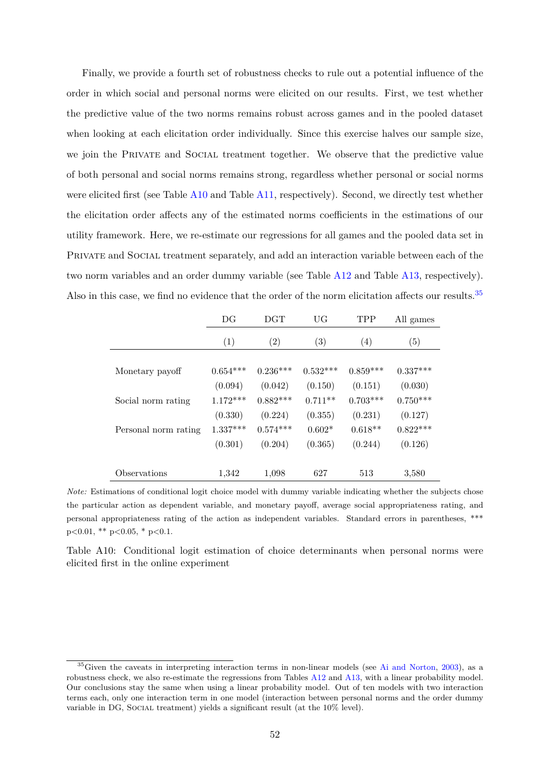Finally, we provide a fourth set of robustness checks to rule out a potential influence of the order in which social and personal norms were elicited on our results. First, we test whether the predictive value of the two norms remains robust across games and in the pooled dataset when looking at each elicitation order individually. Since this exercise halves our sample size, we join the PRIVATE and SOCIAL treatment together. We observe that the predictive value of both personal and social norms remains strong, regardless whether personal or social norms were elicited first (see Table [A10](#page-53-0) and Table [A11,](#page-54-0) respectively). Second, we directly test whether the elicitation order affects any of the estimated norms coefficients in the estimations of our utility framework. Here, we re-estimate our regressions for all games and the pooled data set in PRIVATE and SOCIAL treatment separately, and add an interaction variable between each of the two norm variables and an order dummy variable (see Table [A12](#page-54-1) and Table [A13,](#page-55-0) respectively). Also in this case, we find no evidence that the order of the norm elicitation affects our results.<sup>35</sup>

<span id="page-53-0"></span>

|                      | DG         | <b>DGT</b> | UG                | TPP        | All games  |
|----------------------|------------|------------|-------------------|------------|------------|
|                      | (1)        | (2)        | $\left( 3\right)$ | (4)        | (5)        |
| Monetary payoff      | $0.654***$ | $0.236***$ | $0.532***$        | $0.859***$ | $0.337***$ |
|                      | (0.094)    | (0.042)    | (0.150)           | (0.151)    | (0.030)    |
| Social norm rating   | $1.172***$ | $0.882***$ | $0.711**$         | $0.703***$ | $0.750***$ |
|                      | (0.330)    | (0.224)    | (0.355)           | (0.231)    | (0.127)    |
| Personal norm rating | $1.337***$ | $0.574***$ | $0.602*$          | $0.618**$  | $0.822***$ |
|                      | (0.301)    | (0.204)    | (0.365)           | (0.244)    | (0.126)    |
| Observations         | 1,342      | 1,098      | 627               | 513        | 3,580      |

*Note:* Estimations of conditional logit choice model with dummy variable indicating whether the subjects chose the particular action as dependent variable, and monetary payoff, average social appropriateness rating, and personal appropriateness rating of the action as independent variables. Standard errors in parentheses, \*\*\* p*<*0.01, \*\* p*<*0.05, \* p*<*0.1.

Table A10: Conditional logit estimation of choice determinants when personal norms were elicited first in the online experiment

 $35G$ iven the caveats in interpreting interaction terms in non-linear models (see [Ai and Norton,](#page-35-0) [2003](#page-35-0)), as a robustness check, we also re-estimate the regressions from Tables [A12](#page-54-1) and [A13,](#page-55-0) with a linear probability model. Our conclusions stay the same when using a linear probability model. Out of ten models with two interaction terms each, only one interaction term in one model (interaction between personal norms and the order dummy variable in DG, SOCIAL treatment) yields a significant result (at the 10% level).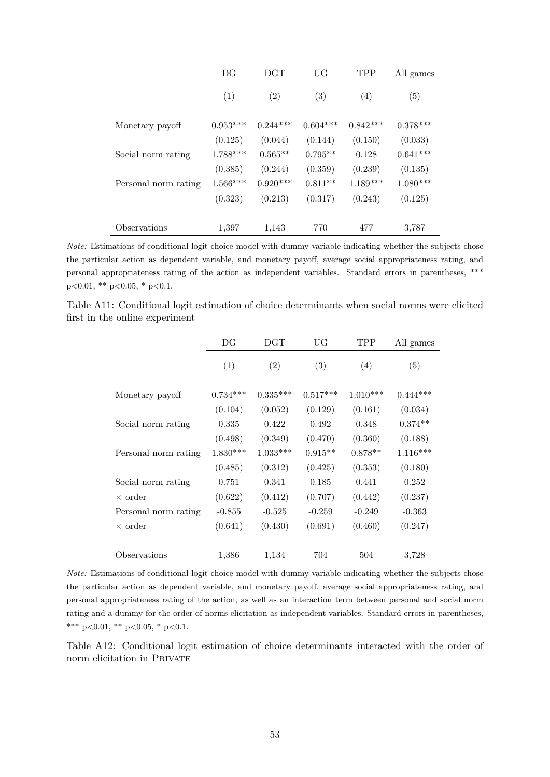<span id="page-54-0"></span>

|                      | DG         | <b>DGT</b> | UG                | <b>TPP</b> | All games  |
|----------------------|------------|------------|-------------------|------------|------------|
|                      | (1)        | (2)        | $\left( 3\right)$ | (4)        | (5)        |
| Monetary payoff      | $0.953***$ | $0.244***$ | $0.604***$        | $0.842***$ | $0.378***$ |
|                      | (0.125)    | (0.044)    | (0.144)           | (0.150)    | (0.033)    |
| Social norm rating   | $1.788***$ | $0.565**$  | $0.795**$         | 0.128      | $0.641***$ |
|                      | (0.385)    | (0.244)    | (0.359)           | (0.239)    | (0.135)    |
| Personal norm rating | $1.566***$ | $0.920***$ | $0.811**$         | $1.189***$ | $1.080***$ |
|                      | (0.323)    | (0.213)    | (0.317)           | (0.243)    | (0.125)    |
|                      |            |            |                   |            |            |
| Observations         | 1,397      | 1,143      | 770               | 477        | 3,787      |

*Note:* Estimations of conditional logit choice model with dummy variable indicating whether the subjects chose the particular action as dependent variable, and monetary payoff, average social appropriateness rating, and personal appropriateness rating of the action as independent variables. Standard errors in parentheses, \*\*\* p*<*0.01, \*\* p*<*0.05, \* p*<*0.1.

<span id="page-54-1"></span>Table A11: Conditional logit estimation of choice determinants when social norms were elicited first in the online experiment

|                      | DG         | $_{\rm DGT}$ | UG         | <b>TPP</b> | All games  |
|----------------------|------------|--------------|------------|------------|------------|
|                      | (1)        | (2)          | (3)        | (4)        | (5)        |
|                      |            |              |            |            |            |
| Monetary payoff      | $0.734***$ | $0.335***$   | $0.517***$ | $1.010***$ | $0.444***$ |
|                      | (0.104)    | (0.052)      | (0.129)    | (0.161)    | (0.034)    |
| Social norm rating   | 0.335      | 0.422        | 0.492      | 0.348      | $0.374**$  |
|                      | (0.498)    | (0.349)      | (0.470)    | (0.360)    | (0.188)    |
| Personal norm rating | $1.830***$ | $1.033***$   | $0.915**$  | $0.878**$  | $1.116***$ |
|                      | (0.485)    | (0.312)      | (0.425)    | (0.353)    | (0.180)    |
| Social norm rating   | 0.751      | 0.341        | 0.185      | 0.441      | 0.252      |
| $\times$ order       | (0.622)    | (0.412)      | (0.707)    | (0.442)    | (0.237)    |
| Personal norm rating | $-0.855$   | $-0.525$     | $-0.259$   | $-0.249$   | $-0.363$   |
| $\times$ order       | (0.641)    | (0.430)      | (0.691)    | (0.460)    | (0.247)    |
| Observations         | 1,386      | 1,134        | 704        | 504        | 3,728      |

*Note:* Estimations of conditional logit choice model with dummy variable indicating whether the subjects chose the particular action as dependent variable, and monetary payoff, average social appropriateness rating, and personal appropriateness rating of the action, as well as an interaction term between personal and social norm rating and a dummy for the order of norms elicitation as independent variables. Standard errors in parentheses, \*\*\* p*<*0.01, \*\* p*<*0.05, \* p*<*0.1.

Table A12: Conditional logit estimation of choice determinants interacted with the order of norm elicitation in Private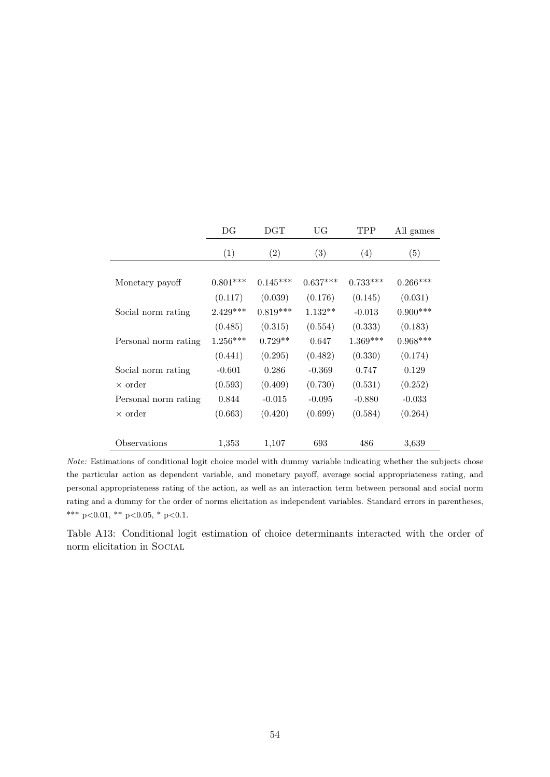<span id="page-55-0"></span>

|                      | DG         | $_{\rm DGT}$ | UG         | TPP        | All games  |
|----------------------|------------|--------------|------------|------------|------------|
|                      | (1)        | (2)          | (3)        | (4)        | (5)        |
|                      |            |              |            |            |            |
| Monetary payoff      | $0.801***$ | $0.145***$   | $0.637***$ | $0.733***$ | $0.266***$ |
|                      | (0.117)    | (0.039)      | (0.176)    | (0.145)    | (0.031)    |
| Social norm rating   | $2.429***$ | $0.819***$   | $1.132**$  | $-0.013$   | $0.900***$ |
|                      | (0.485)    | (0.315)      | (0.554)    | (0.333)    | (0.183)    |
| Personal norm rating | $1.256***$ | $0.729**$    | 0.647      | $1.369***$ | $0.968***$ |
|                      | (0.441)    | (0.295)      | (0.482)    | (0.330)    | (0.174)    |
| Social norm rating   | $-0.601$   | 0.286        | $-0.369$   | 0.747      | 0.129      |
| $\times$ order       | (0.593)    | (0.409)      | (0.730)    | (0.531)    | (0.252)    |
| Personal norm rating | 0.844      | $-0.015$     | $-0.095$   | $-0.880$   | $-0.033$   |
| $\times$ order       | (0.663)    | (0.420)      | (0.699)    | (0.584)    | (0.264)    |
|                      |            |              |            |            |            |
| Observations         | 1,353      | 1,107        | 693        | 486        | 3,639      |

*Note:* Estimations of conditional logit choice model with dummy variable indicating whether the subjects chose the particular action as dependent variable, and monetary payoff, average social appropriateness rating, and personal appropriateness rating of the action, as well as an interaction term between personal and social norm rating and a dummy for the order of norms elicitation as independent variables. Standard errors in parentheses, \*\*\* p*<*0.01, \*\* p*<*0.05, \* p*<*0.1.

Table A13: Conditional logit estimation of choice determinants interacted with the order of norm elicitation in Social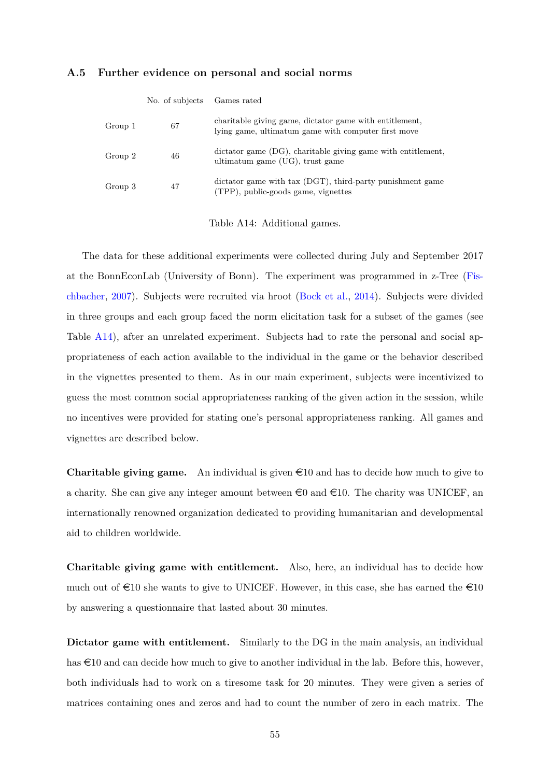### <span id="page-56-0"></span>**A.5 Further evidence on personal and social norms**

|         | No. of subjects | Games rated                                                                                                    |
|---------|-----------------|----------------------------------------------------------------------------------------------------------------|
| Group 1 | 67              | charitable giving game, dictator game with entitlement,<br>lying game, ultimatum game with computer first move |
| Group 2 | 46              | dictator game (DG), charitable giving game with entitlement,<br>ultimatum game (UG), trust game                |
| Group 3 | 47              | dictator game with tax (DGT), third-party punishment game<br>(TPP), public-goods game, vignettes               |

Table A14: Additional games.

The data for these additional experiments were collected during July and September 2017 at the BonnEconLab (University of Bonn). The experiment was programmed in z-Tree ([Fis](#page-39-1)[chbacher,](#page-39-1) [2007](#page-39-1)). Subjects were recruited via hroot ([Bock et al.,](#page-37-0) [2014](#page-37-0)). Subjects were divided in three groups and each group faced the norm elicitation task for a subset of the games (see Table [A14\)](#page-56-0), after an unrelated experiment. Subjects had to rate the personal and social appropriateness of each action available to the individual in the game or the behavior described in the vignettes presented to them. As in our main experiment, subjects were incentivized to guess the most common social appropriateness ranking of the given action in the session, while no incentives were provided for stating one's personal appropriateness ranking. All games and vignettes are described below.

**Charitable giving game.** An individual is given  $\infty$  10 and has to decide how much to give to a charity. She can give any integer amount between  $\epsilon 0$  and  $\epsilon 10$ . The charity was UNICEF, an internationally renowned organization dedicated to providing humanitarian and developmental aid to children worldwide.

**Charitable giving game with entitlement.** Also, here, an individual has to decide how much out of  $\epsilon$ 10 she wants to give to UNICEF. However, in this case, she has earned the  $\epsilon$ 10 by answering a questionnaire that lasted about 30 minutes.

**Dictator game with entitlement.** Similarly to the DG in the main analysis, an individual has  $\text{\textsterling}10$  and can decide how much to give to another individual in the lab. Before this, however, both individuals had to work on a tiresome task for 20 minutes. They were given a series of matrices containing ones and zeros and had to count the number of zero in each matrix. The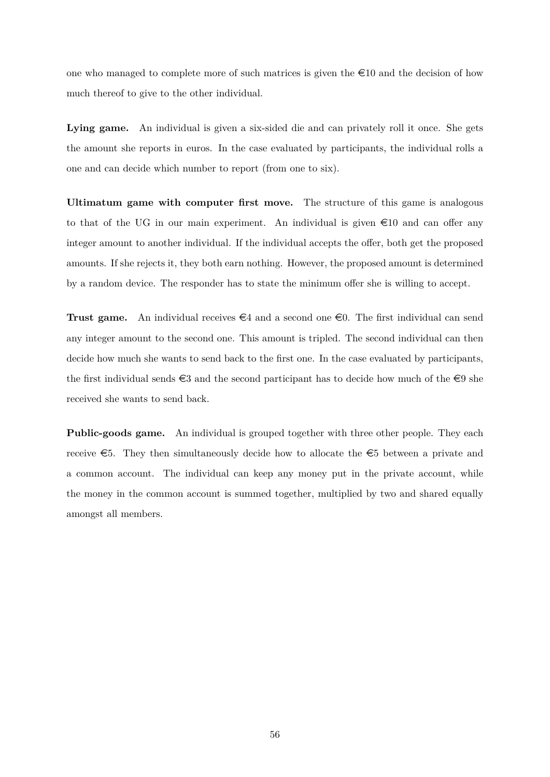one who managed to complete more of such matrices is given the  $\epsilon$ 10 and the decision of how much thereof to give to the other individual.

Lying game. An individual is given a six-sided die and can privately roll it once. She gets the amount she reports in euros. In the case evaluated by participants, the individual rolls a one and can decide which number to report (from one to six).

**Ultimatum game with computer first move.** The structure of this game is analogous to that of the UG in our main experiment. An individual is given  $\epsilon$ 10 and can offer any integer amount to another individual. If the individual accepts the offer, both get the proposed amounts. If she rejects it, they both earn nothing. However, the proposed amount is determined by a random device. The responder has to state the minimum offer she is willing to accept.

**Trust game.** An individual receives  $\epsilon$ 4 and a second one  $\epsilon$ 0. The first individual can send any integer amount to the second one. This amount is tripled. The second individual can then decide how much she wants to send back to the first one. In the case evaluated by participants, the first individual sends  $\epsilon$ 3 and the second participant has to decide how much of the  $\epsilon$ 9 she received she wants to send back.

**Public-goods game.** An individual is grouped together with three other people. They each receive  $\epsilon$ 5. They then simultaneously decide how to allocate the  $\epsilon$ 5 between a private and a common account. The individual can keep any money put in the private account, while the money in the common account is summed together, multiplied by two and shared equally amongst all members.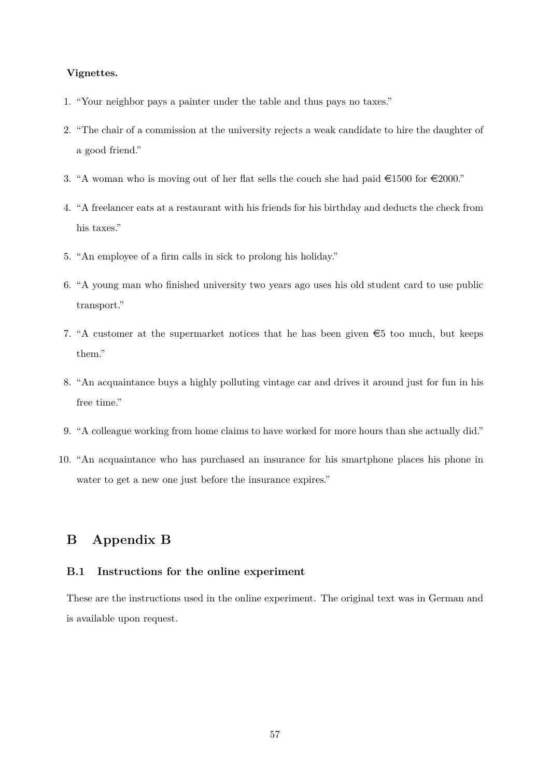### **Vignettes.**

- 1. "Your neighbor pays a painter under the table and thus pays no taxes."
- 2. "The chair of a commission at the university rejects a weak candidate to hire the daughter of a good friend."
- 3. "A woman who is moving out of her flat sells the couch she had paid  $\epsilon$ 1500 for  $\epsilon$ 2000."
- 4. "A freelancer eats at a restaurant with his friends for his birthday and deducts the check from his taxes."
- 5. "An employee of a firm calls in sick to prolong his holiday."
- 6. "A young man who finished university two years ago uses his old student card to use public transport."
- 7. "A customer at the supermarket notices that he has been given  $\epsilon$ 5 too much, but keeps them."
- 8. "An acquaintance buys a highly polluting vintage car and drives it around just for fun in his free time."
- 9. "A colleague working from home claims to have worked for more hours than she actually did."
- 10. "An acquaintance who has purchased an insurance for his smartphone places his phone in water to get a new one just before the insurance expires."

# **B Appendix B**

# **B.1 Instructions for the online experiment**

These are the instructions used in the online experiment. The original text was in German and is available upon request.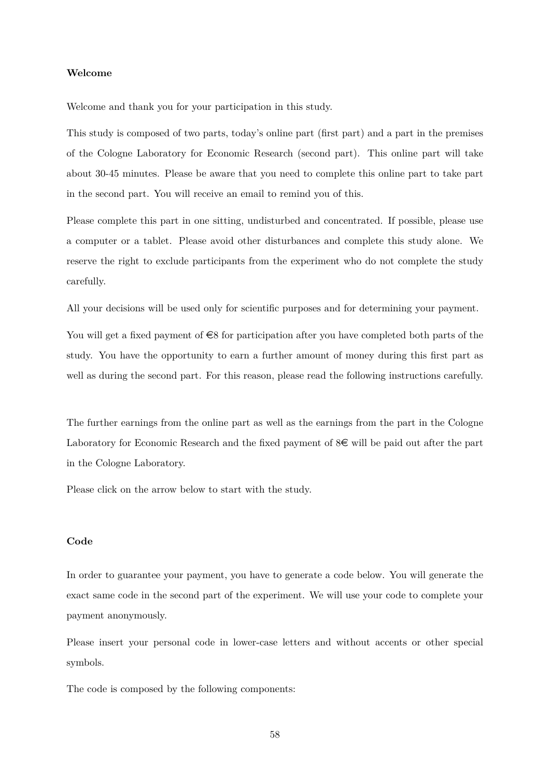### **Welcome**

Welcome and thank you for your participation in this study.

This study is composed of two parts, today's online part (first part) and a part in the premises of the Cologne Laboratory for Economic Research (second part). This online part will take about 30-45 minutes. Please be aware that you need to complete this online part to take part in the second part. You will receive an email to remind you of this.

Please complete this part in one sitting, undisturbed and concentrated. If possible, please use a computer or a tablet. Please avoid other disturbances and complete this study alone. We reserve the right to exclude participants from the experiment who do not complete the study carefully.

All your decisions will be used only for scientific purposes and for determining your payment.

You will get a fixed payment of  $\in$ 8 for participation after you have completed both parts of the study. You have the opportunity to earn a further amount of money during this first part as well as during the second part. For this reason, please read the following instructions carefully.

The further earnings from the online part as well as the earnings from the part in the Cologne Laboratory for Economic Research and the fixed payment of  $S\epsilon$  will be paid out after the part in the Cologne Laboratory.

Please click on the arrow below to start with the study.

### **Code**

In order to guarantee your payment, you have to generate a code below. You will generate the exact same code in the second part of the experiment. We will use your code to complete your payment anonymously.

Please insert your personal code in lower-case letters and without accents or other special symbols.

The code is composed by the following components:

58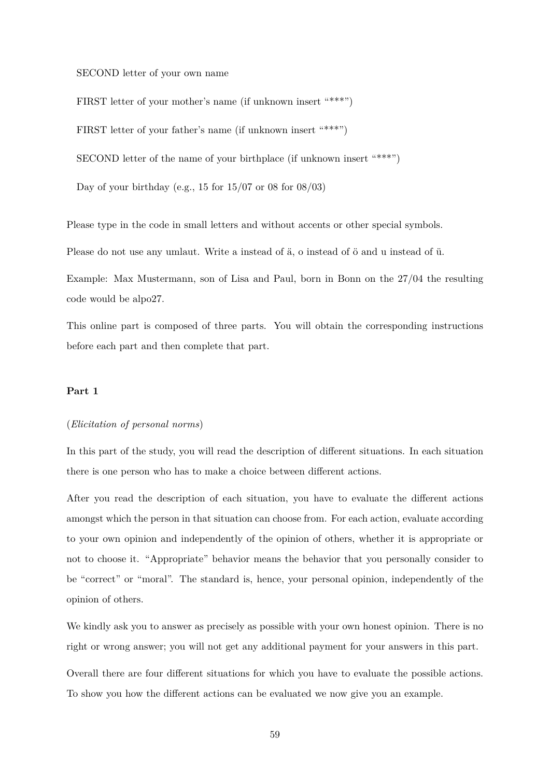### SECOND letter of your own name

FIRST letter of your mother's name (if unknown insert "\*\*\*")

FIRST letter of your father's name (if unknown insert "\*\*\*")

SECOND letter of the name of your birthplace (if unknown insert "\*\*\*")

Day of your birthday (e.g., 15 for  $15/07$  or 08 for  $08/03$ )

Please type in the code in small letters and without accents or other special symbols.

Please do not use any umlaut. Write a instead of ä, o instead of ö and u instead of ü.

Example: Max Mustermann, son of Lisa and Paul, born in Bonn on the 27/04 the resulting code would be alpo27.

This online part is composed of three parts. You will obtain the corresponding instructions before each part and then complete that part.

### **Part 1**

#### (*Elicitation of personal norms*)

In this part of the study, you will read the description of different situations. In each situation there is one person who has to make a choice between different actions.

After you read the description of each situation, you have to evaluate the different actions amongst which the person in that situation can choose from. For each action, evaluate according to your own opinion and independently of the opinion of others, whether it is appropriate or not to choose it. "Appropriate" behavior means the behavior that you personally consider to be "correct" or "moral". The standard is, hence, your personal opinion, independently of the opinion of others.

We kindly ask you to answer as precisely as possible with your own honest opinion. There is no right or wrong answer; you will not get any additional payment for your answers in this part.

Overall there are four different situations for which you have to evaluate the possible actions. To show you how the different actions can be evaluated we now give you an example.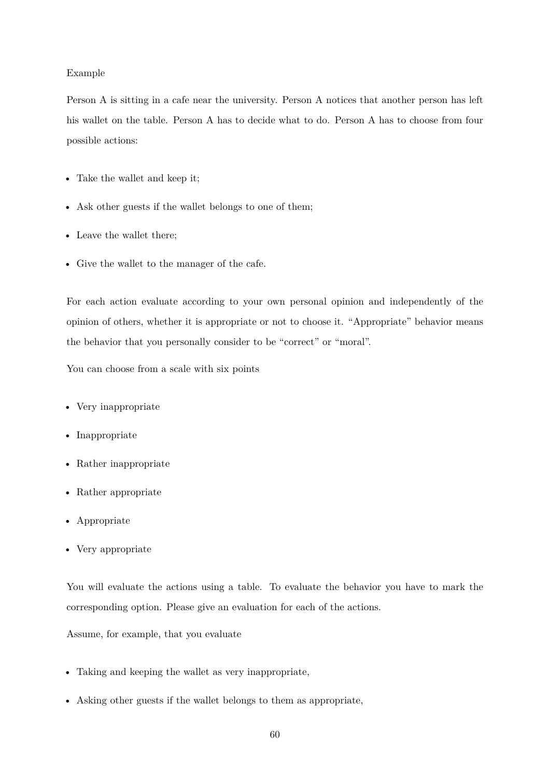### Example

Person A is sitting in a cafe near the university. Person A notices that another person has left his wallet on the table. Person A has to decide what to do. Person A has to choose from four possible actions:

- Take the wallet and keep it;
- Ask other guests if the wallet belongs to one of them;
- Leave the wallet there;
- Give the wallet to the manager of the cafe.

For each action evaluate according to your own personal opinion and independently of the opinion of others, whether it is appropriate or not to choose it. "Appropriate" behavior means the behavior that you personally consider to be "correct" or "moral".

You can choose from a scale with six points

- Very inappropriate
- Inappropriate
- Rather inappropriate
- Rather appropriate
- Appropriate
- Very appropriate

You will evaluate the actions using a table. To evaluate the behavior you have to mark the corresponding option. Please give an evaluation for each of the actions.

Assume, for example, that you evaluate

- Taking and keeping the wallet as very inappropriate,
- Asking other guests if the wallet belongs to them as appropriate,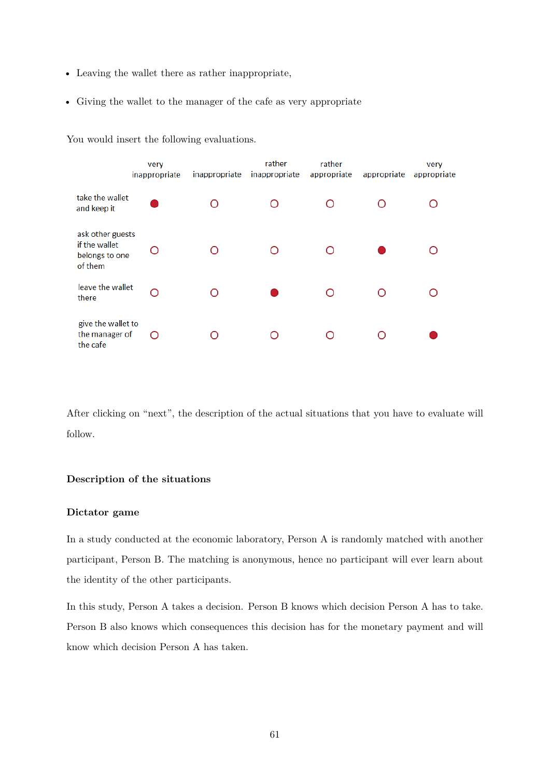- Leaving the wallet there as rather inappropriate,
- Giving the wallet to the manager of the cafe as very appropriate

|                                                                | very<br>inappropriate | inappropriate | rather<br>inappropriate | rather<br>appropriate | appropriate | very<br>appropriate |
|----------------------------------------------------------------|-----------------------|---------------|-------------------------|-----------------------|-------------|---------------------|
| take the wallet<br>and keep it                                 |                       |               |                         |                       |             |                     |
| ask other guests<br>if the wallet<br>belongs to one<br>of them |                       |               |                         |                       |             |                     |
| leave the wallet<br>there                                      | Ω                     |               |                         |                       | ∩           |                     |
| give the wallet to<br>the manager of<br>the cafe               | ∩                     |               |                         |                       |             |                     |

You would insert the following evaluations.

After clicking on "next", the description of the actual situations that you have to evaluate will follow.

## **Description of the situations**

### **Dictator game**

In a study conducted at the economic laboratory, Person A is randomly matched with another participant, Person B. The matching is anonymous, hence no participant will ever learn about the identity of the other participants.

In this study, Person A takes a decision. Person B knows which decision Person A has to take. Person B also knows which consequences this decision has for the monetary payment and will know which decision Person A has taken.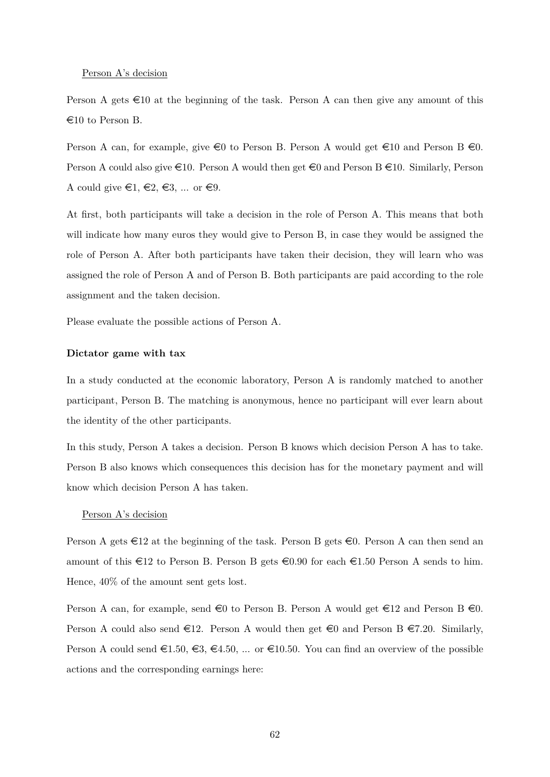#### Person A's decision

Person A gets  $\infty$  10 at the beginning of the task. Person A can then give any amount of this  $\epsilon$ 10 to Person B.

Person A can, for example, give  $\epsilon_0$  to Person B. Person A would get  $\epsilon_1$  and Person B  $\epsilon_0$ . Person A could also give  $\in$ 10. Person A would then get  $\in$ 0 and Person B  $\in$ 10. Similarly, Person A could give  $\in 1, \in \mathbb{2}, \in \mathbb{3}, \dots$  or  $\in \mathbb{9}$ .

At first, both participants will take a decision in the role of Person A. This means that both will indicate how many euros they would give to Person B, in case they would be assigned the role of Person A. After both participants have taken their decision, they will learn who was assigned the role of Person A and of Person B. Both participants are paid according to the role assignment and the taken decision.

Please evaluate the possible actions of Person A.

#### **Dictator game with tax**

In a study conducted at the economic laboratory, Person A is randomly matched to another participant, Person B. The matching is anonymous, hence no participant will ever learn about the identity of the other participants.

In this study, Person A takes a decision. Person B knows which decision Person A has to take. Person B also knows which consequences this decision has for the monetary payment and will know which decision Person A has taken.

#### Person A's decision

Person A gets  $\in$ 12 at the beginning of the task. Person B gets  $\in$ 0. Person A can then send an amount of this  $\epsilon$ 12 to Person B. Person B gets  $\epsilon$ 0.90 for each  $\epsilon$ 1.50 Person A sends to him. Hence, 40% of the amount sent gets lost.

Person A can, for example, send  $\in 0$  to Person B. Person A would get  $\in 12$  and Person B  $\in 0$ . Person A could also send  $\epsilon$ 12. Person A would then get  $\epsilon$ 0 and Person B  $\epsilon$ 7.20. Similarly, Person A could send  $\epsilon 1.50, \epsilon 3, \epsilon 4.50, \ldots$  or  $\epsilon 10.50$ . You can find an overview of the possible actions and the corresponding earnings here: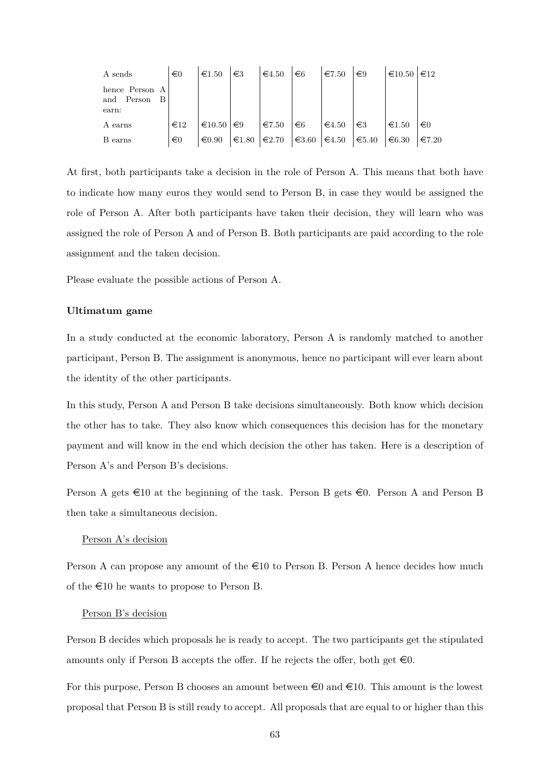| A sends                                      | $\in 0$         | $\epsilon$ 1.50  | $\in$ 3               | $\epsilon$ 4.50 | $\epsilon$ <sub>6</sub> | $\epsilon$ 7.50 | $\epsilon$ 9 | $€10.50$ $∈12$  |                 |
|----------------------------------------------|-----------------|------------------|-----------------------|-----------------|-------------------------|-----------------|--------------|-----------------|-----------------|
| hence Person A<br>and Person<br>- B<br>earn: |                 |                  |                       |                 |                         |                 |              |                 |                 |
| A earns                                      | $\epsilon_{12}$ | $\epsilon$ 10.50 | $\epsilon$ 9          | $\epsilon$ 7.50 | $\epsilon$ 6            | $\epsilon$ 4.50 | $\in$ 3      | $\epsilon$ 1.50 | $\in 0$         |
| B earns                                      | $\epsilon$ 0    | $\epsilon 0.90$  | $\in$ 1.80 $\in$ 2.70 |                 | $\equiv 3.60$           | $\in 4.50$      | $\in 5.40$   | $\epsilon$ 6.30 | $\epsilon$ 7.20 |

At first, both participants take a decision in the role of Person A. This means that both have to indicate how many euros they would send to Person B, in case they would be assigned the role of Person A. After both participants have taken their decision, they will learn who was assigned the role of Person A and of Person B. Both participants are paid according to the role assignment and the taken decision.

Please evaluate the possible actions of Person A.

### **Ultimatum game**

In a study conducted at the economic laboratory, Person A is randomly matched to another participant, Person B. The assignment is anonymous, hence no participant will ever learn about the identity of the other participants.

In this study, Person A and Person B take decisions simultaneously. Both know which decision the other has to take. They also know which consequences this decision has for the monetary payment and will know in the end which decision the other has taken. Here is a description of Person A's and Person B's decisions.

Person A gets  $\infty$  at the beginning of the task. Person B gets  $\infty$ . Person A and Person B then take a simultaneous decision.

#### Person A's decision

Person A can propose any amount of the  $\epsilon 10$  to Person B. Person A hence decides how much of the  $\epsilon$ 10 he wants to propose to Person B.

#### Person B's decision

Person B decides which proposals he is ready to accept. The two participants get the stipulated amounts only if Person B accepts the offer. If he rejects the offer, both get  $\epsilon$ 0.

For this purpose, Person B chooses an amount between  $\infty$  and  $\infty$ 10. This amount is the lowest proposal that Person B is still ready to accept. All proposals that are equal to or higher than this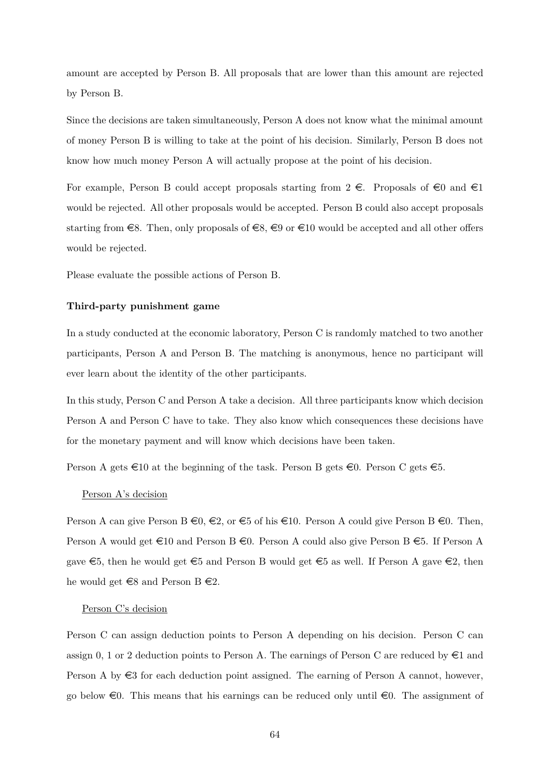amount are accepted by Person B. All proposals that are lower than this amount are rejected by Person B.

Since the decisions are taken simultaneously, Person A does not know what the minimal amount of money Person B is willing to take at the point of his decision. Similarly, Person B does not know how much money Person A will actually propose at the point of his decision.

For example, Person B could accept proposals starting from  $2 \in \mathbb{R}$ . Proposals of  $\in \mathbb{Q}$  and  $\in \mathbb{R}$ would be rejected. All other proposals would be accepted. Person B could also accept proposals starting from  $\epsilon$ 8. Then, only proposals of  $\epsilon$ 8,  $\epsilon$ 9 or  $\epsilon$ 10 would be accepted and all other offers would be rejected.

Please evaluate the possible actions of Person B.

#### **Third-party punishment game**

In a study conducted at the economic laboratory, Person C is randomly matched to two another participants, Person A and Person B. The matching is anonymous, hence no participant will ever learn about the identity of the other participants.

In this study, Person C and Person A take a decision. All three participants know which decision Person A and Person C have to take. They also know which consequences these decisions have for the monetary payment and will know which decisions have been taken.

Person A gets  $\in$ 10 at the beginning of the task. Person B gets  $\in$ 0. Person C gets  $\in$ 5.

#### Person A's decision

Person A can give Person B  $\epsilon_0, \epsilon_2$ , or  $\epsilon_5$  of his  $\epsilon_1$ 0. Person A could give Person B  $\epsilon_0$ . Then, Person A would get  $\in$ 10 and Person B  $\in$ 0. Person A could also give Person B  $\in$ 5. If Person A gave  $\epsilon$ 5, then he would get  $\epsilon$ 5 and Person B would get  $\epsilon$ 5 as well. If Person A gave  $\epsilon$ 2, then he would get  $\text{\textless}8$  and Person B  $\text{\textless}2$ .

#### Person C's decision

Person C can assign deduction points to Person A depending on his decision. Person C can assign 0, 1 or 2 deduction points to Person A. The earnings of Person C are reduced by  $\in$ 1 and Person A by  $\epsilon$ 3 for each deduction point assigned. The earning of Person A cannot, however, go below  $\epsilon$ 0. This means that his earnings can be reduced only until  $\epsilon$ 0. The assignment of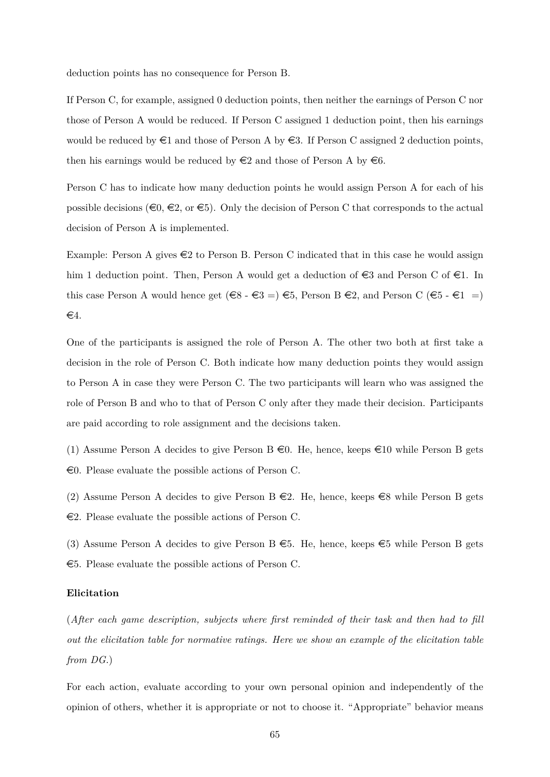deduction points has no consequence for Person B.

If Person C, for example, assigned 0 deduction points, then neither the earnings of Person C nor those of Person A would be reduced. If Person C assigned 1 deduction point, then his earnings would be reduced by  $\in$ 1 and those of Person A by  $\in$ 3. If Person C assigned 2 deduction points, then his earnings would be reduced by  $\in \mathbb{2}$  and those of Person A by  $\in \mathbb{6}$ .

Person C has to indicate how many deduction points he would assign Person A for each of his possible decisions ( $\infty$ ,  $\infty$ , or  $\infty$ ). Only the decision of Person C that corresponds to the actual decision of Person A is implemented.

Example: Person A gives  $\in \{2\}$  to Person B. Person C indicated that in this case he would assign him 1 deduction point. Then, Person A would get a deduction of  $\epsilon$ 3 and Person C of  $\epsilon$ 1. In this case Person A would hence get  $(\epsilon_8 - \epsilon_3 = \epsilon_5 = \epsilon_5$ , Person B  $\epsilon_2$ , and Person C  $(\epsilon_5 - \epsilon_1 =$  $\epsilon$ 4.

One of the participants is assigned the role of Person A. The other two both at first take a decision in the role of Person C. Both indicate how many deduction points they would assign to Person A in case they were Person C. The two participants will learn who was assigned the role of Person B and who to that of Person C only after they made their decision. Participants are paid according to role assignment and the decisions taken.

(1) Assume Person A decides to give Person B  $\in$  0. He, hence, keeps  $\in$  10 while Person B gets  $\epsilon$ 0. Please evaluate the possible actions of Person C.

(2) Assume Person A decides to give Person B  $\epsilon$ 2. He, hence, keeps  $\epsilon$ 8 while Person B gets  $\epsilon$ 2. Please evaluate the possible actions of Person C.

(3) Assume Person A decides to give Person B  $\epsilon$ 5. He, hence, keeps  $\epsilon$ 5 while Person B gets  $\epsilon$ 5. Please evaluate the possible actions of Person C.

### **Elicitation**

(*After each game description, subjects where first reminded of their task and then had to fill out the elicitation table for normative ratings. Here we show an example of the elicitation table from DG.*)

For each action, evaluate according to your own personal opinion and independently of the opinion of others, whether it is appropriate or not to choose it. "Appropriate" behavior means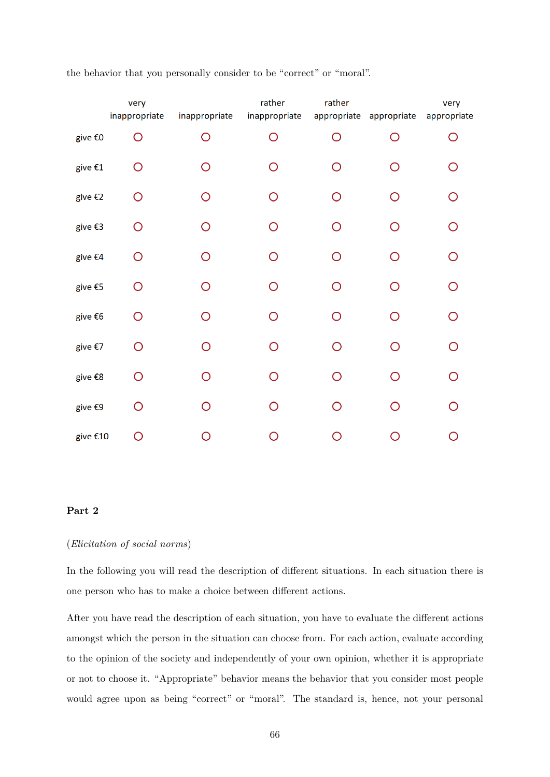|          | very<br>inappropriate | inappropriate | rather<br>inappropriate | rather | appropriate appropriate | very<br>appropriate |
|----------|-----------------------|---------------|-------------------------|--------|-------------------------|---------------------|
| give €0  | ∩                     | ∩             | ∩                       | ∩      | ∩                       | ∩                   |
| give €1  | O                     | O             | ◯                       | O      | ∩                       | O                   |
| give €2  | O                     | $\bigcirc$    | O                       | O      | O                       | $\bigcirc$          |
| give €3  | O                     | O             | ∩                       | ∩      | ∩                       | $\overline{O}$      |
| give €4  | O                     | O             | ◠                       | ∩      | ∩                       | O                   |
| give €5  | ∩                     | O             | ∩                       | O      | ∩                       | O                   |
| give €6  | O                     | $\bigcirc$    | ∩                       | O      | $\bigcirc$              | $\bigcirc$          |
| give €7  | O                     | $\bigcirc$    | ∩                       | ∩      | ∩                       | $\overline{O}$      |
| give €8  | ∩                     | ∩             | ∩                       |        | ∩                       | ∩                   |
| give €9  | O                     | O             | Ω                       |        | ∩                       | ∩                   |
| give €10 | ∩                     | ∩             |                         |        | $\cap$                  |                     |

the behavior that you personally consider to be "correct" or "moral".

### **Part 2**

### (*Elicitation of social norms*)

In the following you will read the description of different situations. In each situation there is one person who has to make a choice between different actions.

After you have read the description of each situation, you have to evaluate the different actions amongst which the person in the situation can choose from. For each action, evaluate according to the opinion of the society and independently of your own opinion, whether it is appropriate or not to choose it. "Appropriate" behavior means the behavior that you consider most people would agree upon as being "correct" or "moral". The standard is, hence, not your personal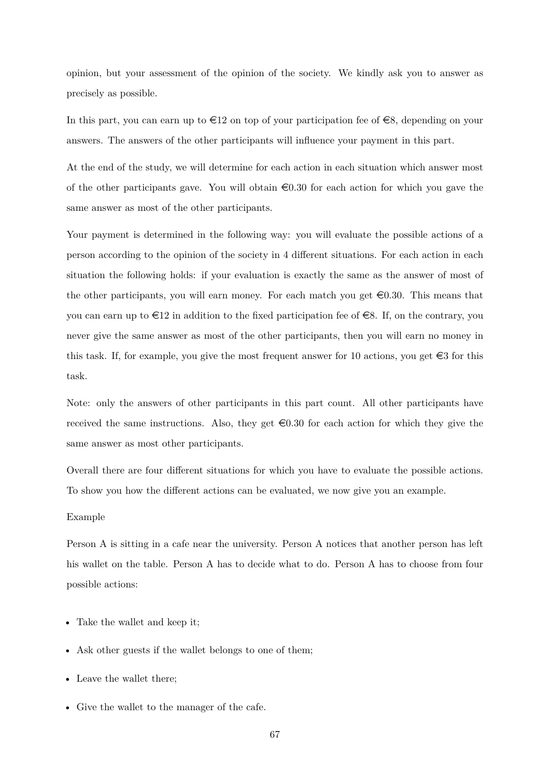opinion, but your assessment of the opinion of the society. We kindly ask you to answer as precisely as possible.

In this part, you can earn up to  $\epsilon 12$  on top of your participation fee of  $\epsilon 8$ , depending on your answers. The answers of the other participants will influence your payment in this part.

At the end of the study, we will determine for each action in each situation which answer most of the other participants gave. You will obtain  $\epsilon 0.30$  for each action for which you gave the same answer as most of the other participants.

Your payment is determined in the following way: you will evaluate the possible actions of a person according to the opinion of the society in 4 different situations. For each action in each situation the following holds: if your evaluation is exactly the same as the answer of most of the other participants, you will earn money. For each match you get  $\in 0.30$ . This means that you can earn up to  $\epsilon 12$  in addition to the fixed participation fee of  $\epsilon 8$ . If, on the contrary, you never give the same answer as most of the other participants, then you will earn no money in this task. If, for example, you give the most frequent answer for 10 actions, you get  $\in$ 3 for this task.

Note: only the answers of other participants in this part count. All other participants have received the same instructions. Also, they get  $\in 0.30$  for each action for which they give the same answer as most other participants.

Overall there are four different situations for which you have to evaluate the possible actions. To show you how the different actions can be evaluated, we now give you an example.

#### Example

Person A is sitting in a cafe near the university. Person A notices that another person has left his wallet on the table. Person A has to decide what to do. Person A has to choose from four possible actions:

- Take the wallet and keep it;
- Ask other guests if the wallet belongs to one of them;
- Leave the wallet there;
- Give the wallet to the manager of the cafe.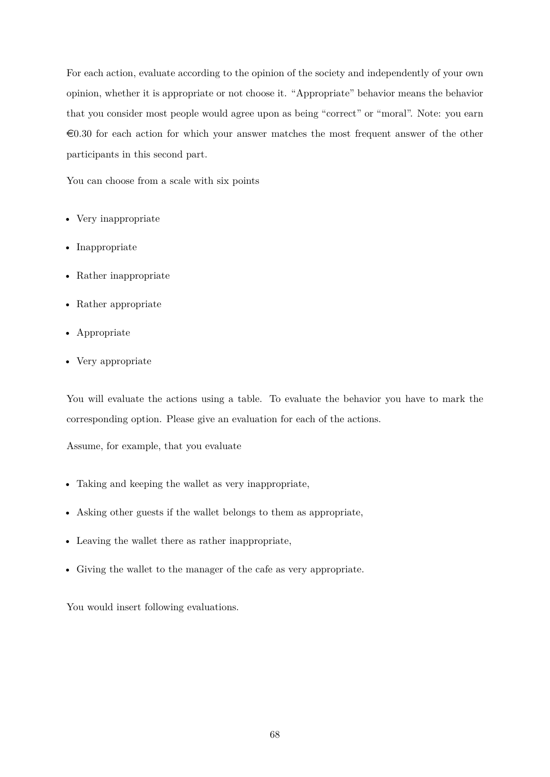For each action, evaluate according to the opinion of the society and independently of your own opinion, whether it is appropriate or not choose it. "Appropriate" behavior means the behavior that you consider most people would agree upon as being "correct" or "moral". Note: you earn  $\epsilon$ 0.30 for each action for which your answer matches the most frequent answer of the other participants in this second part.

You can choose from a scale with six points

- Very inappropriate
- Inappropriate
- Rather inappropriate
- Rather appropriate
- Appropriate
- Very appropriate

You will evaluate the actions using a table. To evaluate the behavior you have to mark the corresponding option. Please give an evaluation for each of the actions.

Assume, for example, that you evaluate

- Taking and keeping the wallet as very inappropriate,
- Asking other guests if the wallet belongs to them as appropriate,
- Leaving the wallet there as rather inappropriate,
- Giving the wallet to the manager of the cafe as very appropriate.

You would insert following evaluations.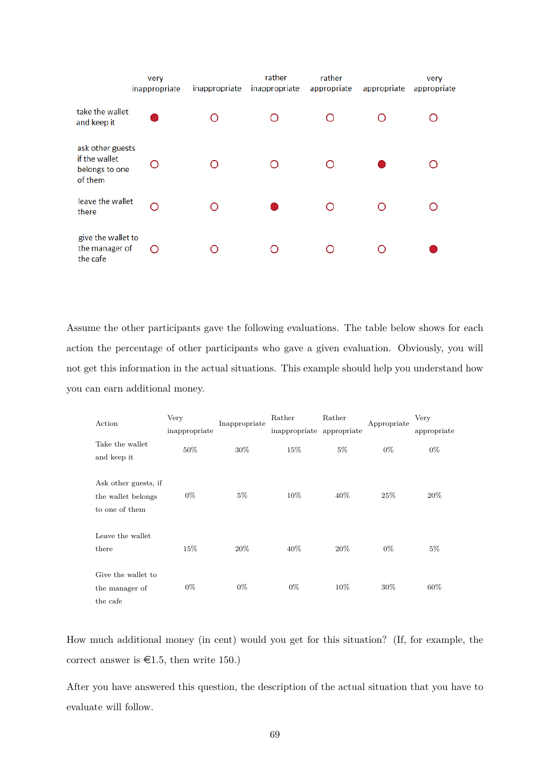|                                                                | very<br>inappropriate | inappropriate | rather<br>inappropriate | rather<br>appropriate | appropriate | very<br>appropriate |
|----------------------------------------------------------------|-----------------------|---------------|-------------------------|-----------------------|-------------|---------------------|
| take the wallet<br>and keep it                                 |                       |               |                         | ∩                     |             |                     |
| ask other guests<br>if the wallet<br>belongs to one<br>of them | Ω                     |               |                         |                       |             |                     |
| leave the wallet<br>there                                      |                       |               |                         |                       |             |                     |
| give the wallet to<br>the manager of<br>the cafe               | ∩                     |               |                         |                       |             |                     |

Assume the other participants gave the following evaluations. The table below shows for each action the percentage of other participants who gave a given evaluation. Obviously, you will not get this information in the actual situations. This example should help you understand how you can earn additional money.

| Action                                                       | Very          | Inappropriate | Rather<br>Rather          |       | Appropriate | Very        |
|--------------------------------------------------------------|---------------|---------------|---------------------------|-------|-------------|-------------|
|                                                              | inappropriate |               | inappropriate appropriate |       |             | appropriate |
| Take the wallet<br>and keep it                               | 50%           | $30\%$        | 15%                       | $5\%$ | $0\%$       | $0\%$       |
| Ask other guests, if<br>the wallet belongs<br>to one of them | $0\%$         | $5\%$         | 10%                       | 40\%  | 25\%        | 20%         |
| Leave the wallet<br>there                                    | 15%           | $20\%$        | 40%                       | 20%   | $0\%$       | $5\%$       |
| Give the wallet to<br>the manager of<br>the cafe             | $0\%$         | $0\%$         | $0\%$                     | 10%   | 30\%        | 60%         |

How much additional money (in cent) would you get for this situation? (If, for example, the correct answer is  $\in$ 1.5, then write 150.)

After you have answered this question, the description of the actual situation that you have to evaluate will follow.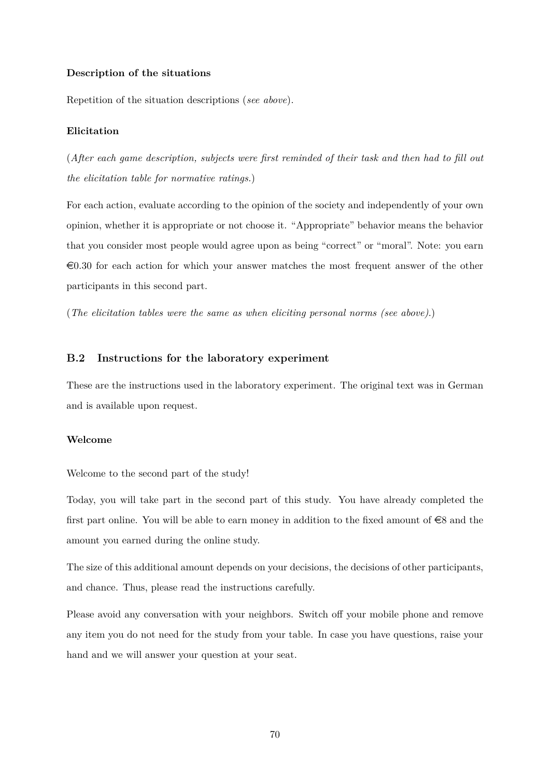### **Description of the situations**

Repetition of the situation descriptions (*see above*).

#### **Elicitation**

(*After each game description, subjects were first reminded of their task and then had to fill out the elicitation table for normative ratings.*)

For each action, evaluate according to the opinion of the society and independently of your own opinion, whether it is appropriate or not choose it. "Appropriate" behavior means the behavior that you consider most people would agree upon as being "correct" or "moral". Note: you earn  $\epsilon$ 0.30 for each action for which your answer matches the most frequent answer of the other participants in this second part.

(*The elicitation tables were the same as when eliciting personal norms (see above)*.)

### **B.2 Instructions for the laboratory experiment**

These are the instructions used in the laboratory experiment. The original text was in German and is available upon request.

### **Welcome**

Welcome to the second part of the study!

Today, you will take part in the second part of this study. You have already completed the first part online. You will be able to earn money in addition to the fixed amount of  $\epsilon$ 8 and the amount you earned during the online study.

The size of this additional amount depends on your decisions, the decisions of other participants, and chance. Thus, please read the instructions carefully.

Please avoid any conversation with your neighbors. Switch off your mobile phone and remove any item you do not need for the study from your table. In case you have questions, raise your hand and we will answer your question at your seat.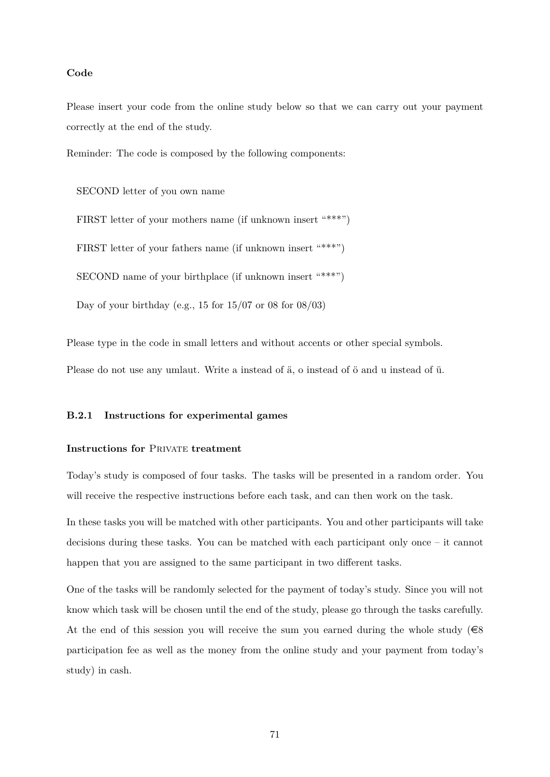## **Code**

Please insert your code from the online study below so that we can carry out your payment correctly at the end of the study.

Reminder: The code is composed by the following components:

SECOND letter of you own name

FIRST letter of your mothers name (if unknown insert "\*\*\*") FIRST letter of your fathers name (if unknown insert "\*\*\*") SECOND name of your birthplace (if unknown insert "\*\*\*") Day of your birthday (e.g., 15 for  $15/07$  or 08 for  $08/03$ )

Please type in the code in small letters and without accents or other special symbols. Please do not use any umlaut. Write a instead of ä, o instead of ö and u instead of ü.

# **B.2.1 Instructions for experimental games**

# **Instructions for PRIVATE treatment**

Today's study is composed of four tasks. The tasks will be presented in a random order. You will receive the respective instructions before each task, and can then work on the task.

In these tasks you will be matched with other participants. You and other participants will take decisions during these tasks. You can be matched with each participant only once – it cannot happen that you are assigned to the same participant in two different tasks.

One of the tasks will be randomly selected for the payment of today's study. Since you will not know which task will be chosen until the end of the study, please go through the tasks carefully. At the end of this session you will receive the sum you earned during the whole study  $(€8)$ participation fee as well as the money from the online study and your payment from today's study) in cash.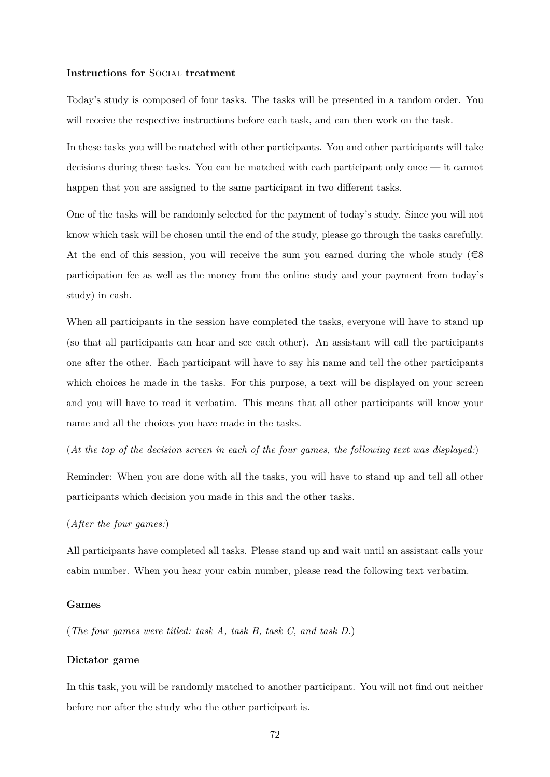#### **Instructions for** Social **treatment**

Today's study is composed of four tasks. The tasks will be presented in a random order. You will receive the respective instructions before each task, and can then work on the task.

In these tasks you will be matched with other participants. You and other participants will take decisions during these tasks. You can be matched with each participant only once — it cannot happen that you are assigned to the same participant in two different tasks.

One of the tasks will be randomly selected for the payment of today's study. Since you will not know which task will be chosen until the end of the study, please go through the tasks carefully. At the end of this session, you will receive the sum you earned during the whole study ( $\in$ 8 participation fee as well as the money from the online study and your payment from today's study) in cash.

When all participants in the session have completed the tasks, everyone will have to stand up (so that all participants can hear and see each other). An assistant will call the participants one after the other. Each participant will have to say his name and tell the other participants which choices he made in the tasks. For this purpose, a text will be displayed on your screen and you will have to read it verbatim. This means that all other participants will know your name and all the choices you have made in the tasks.

(*At the top of the decision screen in each of the four games, the following text was displayed:*)

Reminder: When you are done with all the tasks, you will have to stand up and tell all other participants which decision you made in this and the other tasks.

(*After the four games:*)

All participants have completed all tasks. Please stand up and wait until an assistant calls your cabin number. When you hear your cabin number, please read the following text verbatim.

### **Games**

(*The four games were titled: task A, task B, task C, and task D.*)

### **Dictator game**

In this task, you will be randomly matched to another participant. You will not find out neither before nor after the study who the other participant is.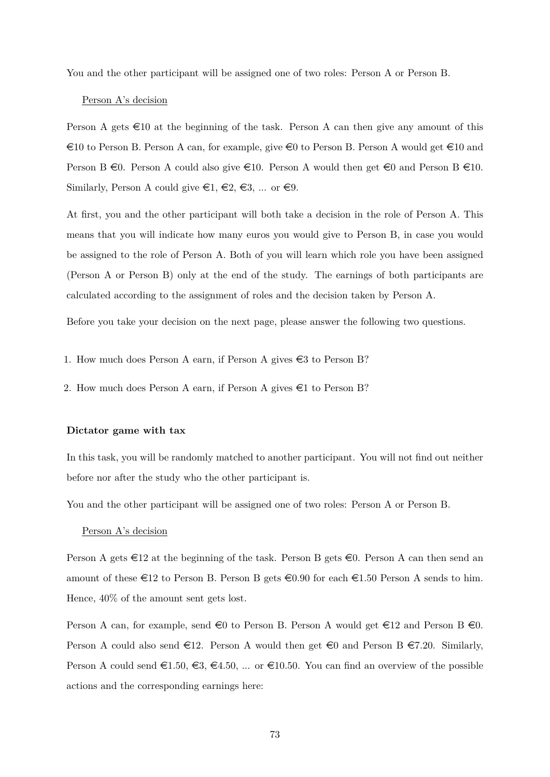You and the other participant will be assigned one of two roles: Person A or Person B.

### Person A's decision

Person A gets  $\infty$  at the beginning of the task. Person A can then give any amount of this  $\epsilon$ 10 to Person B. Person A can, for example, give  $\epsilon$ 0 to Person B. Person A would get  $\epsilon$ 10 and Person B  $\in$ 0. Person A could also give  $\in$ 10. Person A would then get  $\in$ 0 and Person B  $\in$ 10. Similarly, Person A could give  $\in 1, \in \mathbb{2}, \in \mathbb{3}, \dots$  or  $\in \mathbb{9}$ .

At first, you and the other participant will both take a decision in the role of Person A. This means that you will indicate how many euros you would give to Person B, in case you would be assigned to the role of Person A. Both of you will learn which role you have been assigned (Person A or Person B) only at the end of the study. The earnings of both participants are calculated according to the assignment of roles and the decision taken by Person A.

Before you take your decision on the next page, please answer the following two questions.

- 1. How much does Person A earn, if Person A gives  $\epsilon$ 3 to Person B?
- 2. How much does Person A earn, if Person A gives  $\epsilon$ 1 to Person B?

### **Dictator game with tax**

In this task, you will be randomly matched to another participant. You will not find out neither before nor after the study who the other participant is.

You and the other participant will be assigned one of two roles: Person A or Person B.

### Person A's decision

Person A gets  $\in$ 12 at the beginning of the task. Person B gets  $\in$ 0. Person A can then send an amount of these  $\in$  12 to Person B. Person B gets  $\in$  0.90 for each  $\in$  1.50 Person A sends to him. Hence, 40% of the amount sent gets lost.

Person A can, for example, send  $\in 0$  to Person B. Person A would get  $\in 12$  and Person B  $\in 0$ . Person A could also send  $\epsilon$ 12. Person A would then get  $\epsilon$ 0 and Person B  $\epsilon$ 7.20. Similarly, Person A could send  $\epsilon 1.50, \epsilon 3, \epsilon 4.50, \ldots$  or  $\epsilon 10.50$ . You can find an overview of the possible actions and the corresponding earnings here: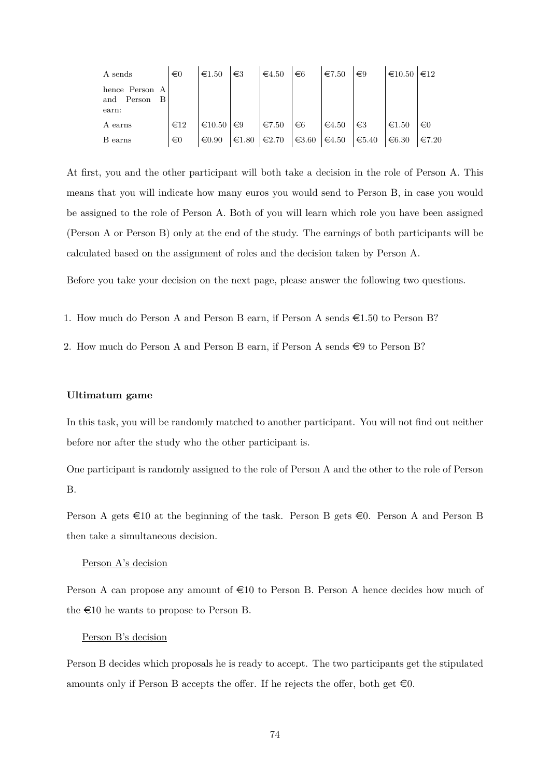| A sends                                      | $\epsilon$ 0    | $\epsilon$ 1.50  | $\in$ 3         | $\epsilon$ 4.50 | $\epsilon$ 6    | €7.50           | $\epsilon$ 9    | $\epsilon$ 10.50 | $\epsilon_{12}$ |
|----------------------------------------------|-----------------|------------------|-----------------|-----------------|-----------------|-----------------|-----------------|------------------|-----------------|
| hence Person A<br>and Person<br>- B<br>earn: |                 |                  |                 |                 |                 |                 |                 |                  |                 |
| A earns                                      | $\epsilon_{12}$ | $\epsilon$ 10.50 | $\epsilon$ 9    | $\epsilon$ 7.50 | $\epsilon$ 6    | $\epsilon$ 4.50 | $\in$ 3         | $\epsilon$ 1.50  | $\in 0$         |
| B earns                                      | $\epsilon$ 0    | $\epsilon 0.90$  | $€1.80$ $€2.70$ |                 | $\epsilon$ 3.60 | $\epsilon$ 4.50 | $\epsilon$ 5.40 | $\epsilon$ 6.30  | $\epsilon$ 7.20 |

At first, you and the other participant will both take a decision in the role of Person A. This means that you will indicate how many euros you would send to Person B, in case you would be assigned to the role of Person A. Both of you will learn which role you have been assigned (Person A or Person B) only at the end of the study. The earnings of both participants will be calculated based on the assignment of roles and the decision taken by Person A.

Before you take your decision on the next page, please answer the following two questions.

- 1. How much do Person A and Person B earn, if Person A sends  $\epsilon$ 1.50 to Person B?
- 2. How much do Person A and Person B earn, if Person A sends  $\in$ 9 to Person B?

#### **Ultimatum game**

In this task, you will be randomly matched to another participant. You will not find out neither before nor after the study who the other participant is.

One participant is randomly assigned to the role of Person A and the other to the role of Person B.

Person A gets  $\infty$  at the beginning of the task. Person B gets  $\infty$ . Person A and Person B then take a simultaneous decision.

### Person A's decision

Person A can propose any amount of  $\in 10$  to Person B. Person A hence decides how much of the  $\epsilon$ 10 he wants to propose to Person B.

### Person B's decision

Person B decides which proposals he is ready to accept. The two participants get the stipulated amounts only if Person B accepts the offer. If he rejects the offer, both get  $\infty$ .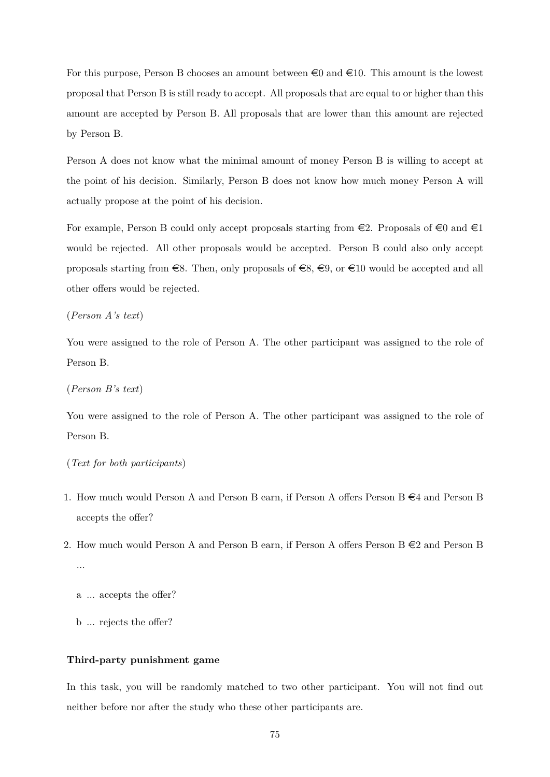For this purpose, Person B chooses an amount between  $\infty$  and  $\infty$ 10. This amount is the lowest proposal that Person B is still ready to accept. All proposals that are equal to or higher than this amount are accepted by Person B. All proposals that are lower than this amount are rejected by Person B.

Person A does not know what the minimal amount of money Person B is willing to accept at the point of his decision. Similarly, Person B does not know how much money Person A will actually propose at the point of his decision.

For example, Person B could only accept proposals starting from  $\epsilon$ 2. Proposals of  $\epsilon$ 0 and  $\epsilon$ 1 would be rejected. All other proposals would be accepted. Person B could also only accept proposals starting from  $\in$ 8. Then, only proposals of  $\in$ 8,  $\in$ 9, or  $\in$ 10 would be accepted and all other offers would be rejected.

(*Person A's text*)

You were assigned to the role of Person A. The other participant was assigned to the role of Person B.

(*Person B's text*)

You were assigned to the role of Person A. The other participant was assigned to the role of Person B.

(*Text for both participants*)

- 1. How much would Person A and Person B earn, if Person A offers Person B  $\in 4$  and Person B accepts the offer?
- 2. How much would Person A and Person B earn, if Person A offers Person B  $\in 2$  and Person B ...
	- a ... accepts the offer?
	- b ... rejects the offer?

## **Third-party punishment game**

In this task, you will be randomly matched to two other participant. You will not find out neither before nor after the study who these other participants are.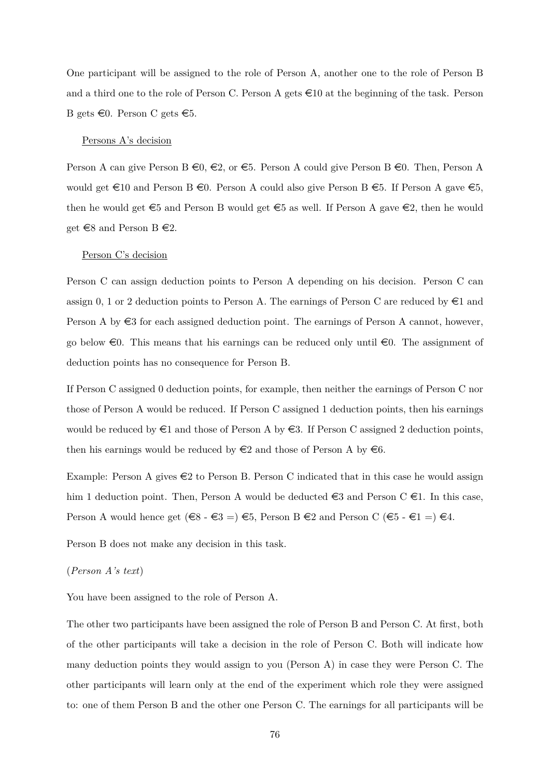One participant will be assigned to the role of Person A, another one to the role of Person B and a third one to the role of Person C. Person A gets  $\epsilon$ 10 at the beginning of the task. Person B gets  $\infty$ . Person C gets  $\in$ 5.

### Persons A's decision

Person A can give Person B  $\epsilon_0, \epsilon_2$ , or  $\epsilon_5$ . Person A could give Person B  $\epsilon_0$ . Then, Person A would get  $\in$ 10 and Person B  $\in$ 0. Person A could also give Person B  $\in$ 5. If Person A gave  $\in$ 5, then he would get  $\epsilon$ 5 and Person B would get  $\epsilon$ 5 as well. If Person A gave  $\epsilon$ 2, then he would get  $\in$ 8 and Person B  $\in$ 2.

#### Person C's decision

Person C can assign deduction points to Person A depending on his decision. Person C can assign 0, 1 or 2 deduction points to Person A. The earnings of Person C are reduced by  $\in$ 1 and Person A by  $\epsilon$ 3 for each assigned deduction point. The earnings of Person A cannot, however, go below  $\epsilon$ 0. This means that his earnings can be reduced only until  $\epsilon$ 0. The assignment of deduction points has no consequence for Person B.

If Person C assigned 0 deduction points, for example, then neither the earnings of Person C nor those of Person A would be reduced. If Person C assigned 1 deduction points, then his earnings would be reduced by  $\in$ 1 and those of Person A by  $\in$ 3. If Person C assigned 2 deduction points, then his earnings would be reduced by  $\in \mathbb{2}$  and those of Person A by  $\in \mathbb{6}$ .

Example: Person A gives  $\in \{2\}$  to Person B. Person C indicated that in this case he would assign him 1 deduction point. Then, Person A would be deducted  $\in$ 3 and Person C  $\in$ 1. In this case, Person A would hence get  $(\epsilon \in S - \epsilon \in S = \epsilon) \epsilon$ , Person B  $\epsilon \in S$  and Person C  $(\epsilon \in S - \epsilon \in I = \epsilon) \epsilon$ .

Person B does not make any decision in this task.

## (*Person A's text*)

You have been assigned to the role of Person A.

The other two participants have been assigned the role of Person B and Person C. At first, both of the other participants will take a decision in the role of Person C. Both will indicate how many deduction points they would assign to you (Person A) in case they were Person C. The other participants will learn only at the end of the experiment which role they were assigned to: one of them Person B and the other one Person C. The earnings for all participants will be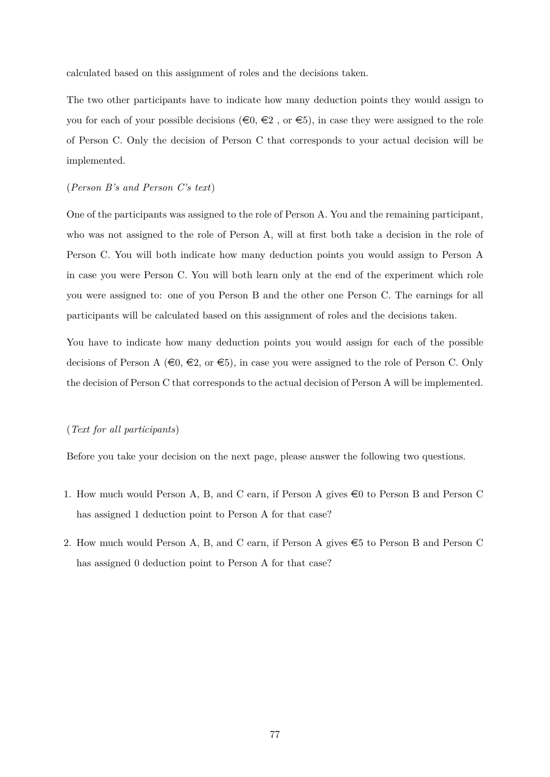calculated based on this assignment of roles and the decisions taken.

The two other participants have to indicate how many deduction points they would assign to you for each of your possible decisions  $(\epsilon_0, \epsilon_2)$ , or  $\epsilon_5$ ), in case they were assigned to the role of Person C. Only the decision of Person C that corresponds to your actual decision will be implemented.

# (*Person B's and Person C's text*)

One of the participants was assigned to the role of Person A. You and the remaining participant, who was not assigned to the role of Person A, will at first both take a decision in the role of Person C. You will both indicate how many deduction points you would assign to Person A in case you were Person C. You will both learn only at the end of the experiment which role you were assigned to: one of you Person B and the other one Person C. The earnings for all participants will be calculated based on this assignment of roles and the decisions taken.

You have to indicate how many deduction points you would assign for each of the possible decisions of Person A ( $\in \mathbb{Q}, \in \mathbb{Z}$ , or  $\in \mathbb{S}$ ), in case you were assigned to the role of Person C. Only the decision of Person C that corresponds to the actual decision of Person A will be implemented.

## (*Text for all participants*)

Before you take your decision on the next page, please answer the following two questions.

- 1. How much would Person A, B, and C earn, if Person A gives  $\in 0$  to Person B and Person C has assigned 1 deduction point to Person A for that case?
- 2. How much would Person A, B, and C earn, if Person A gives  $\epsilon$ 5 to Person B and Person C has assigned 0 deduction point to Person A for that case?